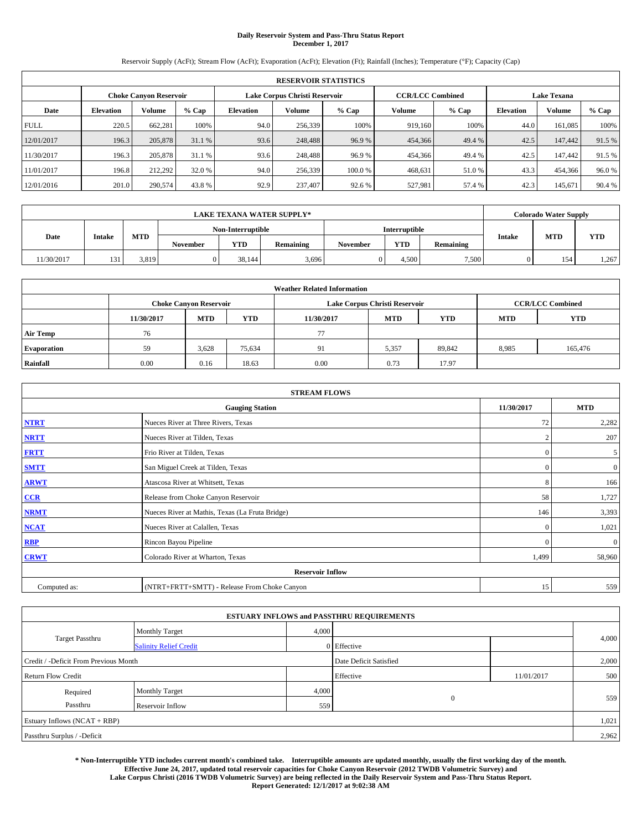# **Daily Reservoir System and Pass-Thru Status Report December 1, 2017**

Reservoir Supply (AcFt); Stream Flow (AcFt); Evaporation (AcFt); Elevation (Ft); Rainfall (Inches); Temperature (°F); Capacity (Cap)

|             | <b>RESERVOIR STATISTICS</b>   |         |        |                               |               |         |               |                         |                  |         |        |
|-------------|-------------------------------|---------|--------|-------------------------------|---------------|---------|---------------|-------------------------|------------------|---------|--------|
|             | <b>Choke Canvon Reservoir</b> |         |        | Lake Corpus Christi Reservoir |               |         |               | <b>CCR/LCC Combined</b> |                  |         |        |
| Date        | <b>Elevation</b>              | Volume  | % Cap  | <b>Elevation</b>              | <b>Volume</b> | % Cap   | <b>Volume</b> | $%$ Cap                 | <b>Elevation</b> | Volume  | % Cap  |
| <b>FULL</b> | 220.5                         | 662.281 | 100%   | 94.0                          | 256,339       | 100%    | 919.160       | 100%                    | 44.0             | 161.085 | 100%   |
| 12/01/2017  | 196.3                         | 205,878 | 31.1 % | 93.6                          | 248,488       | 96.9%   | 454,366       | 49.4 %                  | 42.5             | 147,442 | 91.5 % |
| 11/30/2017  | 196.3                         | 205,878 | 31.1 % | 93.6                          | 248,488       | 96.9%   | 454,366       | 49.4 %                  | 42.5             | 147,442 | 91.5 % |
| 11/01/2017  | 196.8                         | 212,292 | 32.0 % | 94.0                          | 256,339       | 100.0 % | 468,631       | 51.0%                   | 43.3             | 454,366 | 96.0%  |
| 12/01/2016  | 201.0                         | 290,574 | 43.8%  | 92.9                          | 237,407       | 92.6 %  | 527,981       | 57.4 %                  | 42.3             | 145,671 | 90.4 % |

|           | <b>LAKE TEXANA WATER SUPPLY*</b> |            |                 |                   |           |          |               |                  |        |            | <b>Colorado Water Supply</b> |
|-----------|----------------------------------|------------|-----------------|-------------------|-----------|----------|---------------|------------------|--------|------------|------------------------------|
|           |                                  |            |                 | Non-Interruptible |           |          | Interruptible |                  |        | <b>MTD</b> |                              |
| Date      | <b>Intake</b>                    | <b>MTD</b> | <b>November</b> | <b>YTD</b>        | Remaining | November | YTD           | <b>Remaining</b> | Intake |            | <b>YTD</b>                   |
| 1/30/2017 | 131                              | 3.819      |                 | 38.144            | 3,696     |          | 4.500         | 7,500            |        | 154        | 1,267                        |

| <b>Weather Related Information</b> |            |                               |            |            |                               |                         |            |            |  |  |
|------------------------------------|------------|-------------------------------|------------|------------|-------------------------------|-------------------------|------------|------------|--|--|
|                                    |            | <b>Choke Canyon Reservoir</b> |            |            | Lake Corpus Christi Reservoir | <b>CCR/LCC Combined</b> |            |            |  |  |
|                                    | 11/30/2017 | <b>MTD</b>                    | <b>YTD</b> | 11/30/2017 | <b>MTD</b>                    | <b>YTD</b>              | <b>MTD</b> | <b>YTD</b> |  |  |
| <b>Air Temp</b>                    | 76         |                               |            | 77         |                               |                         |            |            |  |  |
| <b>Evaporation</b>                 | 59         | 3,628                         | 75,634     | 91         | 5,357                         | 89,842                  | 8,985      | 165,476    |  |  |
| Rainfall                           | 0.00       | 0.16                          | 18.63      | 0.00       | 0.73                          | 17.97                   |            |            |  |  |

| <b>STREAM FLOWS</b> |                                                 |                |                |  |  |  |  |  |  |
|---------------------|-------------------------------------------------|----------------|----------------|--|--|--|--|--|--|
|                     | <b>Gauging Station</b>                          | 11/30/2017     | <b>MTD</b>     |  |  |  |  |  |  |
| <b>NTRT</b>         | Nueces River at Three Rivers, Texas             | 72             | 2,282          |  |  |  |  |  |  |
| <b>NRTT</b>         | Nueces River at Tilden, Texas                   | $\overline{2}$ | 207            |  |  |  |  |  |  |
| <b>FRTT</b>         | Frio River at Tilden, Texas                     | $\mathbf{0}$   | 5              |  |  |  |  |  |  |
| <b>SMTT</b>         | San Miguel Creek at Tilden, Texas               | $\mathbf{0}$   | $\overline{0}$ |  |  |  |  |  |  |
| <b>ARWT</b>         | Atascosa River at Whitsett, Texas               | 8              | 166            |  |  |  |  |  |  |
| $CCR$               | Release from Choke Canyon Reservoir             | 58             | 1,727          |  |  |  |  |  |  |
| <b>NRMT</b>         | Nueces River at Mathis, Texas (La Fruta Bridge) | 146            | 3,393          |  |  |  |  |  |  |
| <b>NCAT</b>         | Nueces River at Calallen, Texas                 | $\mathbf{0}$   | 1,021          |  |  |  |  |  |  |
| RBP                 | Rincon Bayou Pipeline                           | $\Omega$       | $\mathbf{0}$   |  |  |  |  |  |  |
| <b>CRWT</b>         | Colorado River at Wharton, Texas                | 1,499          | 58,960         |  |  |  |  |  |  |
|                     | <b>Reservoir Inflow</b>                         |                |                |  |  |  |  |  |  |
| Computed as:        | (NTRT+FRTT+SMTT) - Release From Choke Canyon    | 15             | 559            |  |  |  |  |  |  |

| <b>ESTUARY INFLOWS and PASSTHRU REQUIREMENTS</b> |                               |       |                        |            |       |  |  |  |  |  |
|--------------------------------------------------|-------------------------------|-------|------------------------|------------|-------|--|--|--|--|--|
|                                                  | <b>Monthly Target</b>         | 4,000 |                        |            |       |  |  |  |  |  |
| <b>Target Passthru</b>                           | <b>Salinity Relief Credit</b> |       | $0$ Effective          |            | 4,000 |  |  |  |  |  |
| Credit / -Deficit From Previous Month            |                               |       | Date Deficit Satisfied |            | 2,000 |  |  |  |  |  |
| <b>Return Flow Credit</b>                        |                               |       | Effective              | 11/01/2017 | 500   |  |  |  |  |  |
| Required                                         | <b>Monthly Target</b>         | 4,000 |                        |            |       |  |  |  |  |  |
| Passthru                                         | Reservoir Inflow              | 559   | $\overline{0}$         |            | 559   |  |  |  |  |  |
| Estuary Inflows (NCAT + RBP)                     |                               |       |                        |            | 1,021 |  |  |  |  |  |
| Passthru Surplus / -Deficit                      |                               |       |                        |            | 2,962 |  |  |  |  |  |

**\* Non-Interruptible YTD includes current month's combined take. Interruptible amounts are updated monthly, usually the first working day of the month. Effective June 24, 2017, updated total reservoir capacities for Choke Canyon Reservoir (2012 TWDB Volumetric Survey) and Lake Corpus Christi (2016 TWDB Volumetric Survey) are being reflected in the Daily Reservoir System and Pass-Thru Status Report. Report Generated: 12/1/2017 at 9:02:38 AM**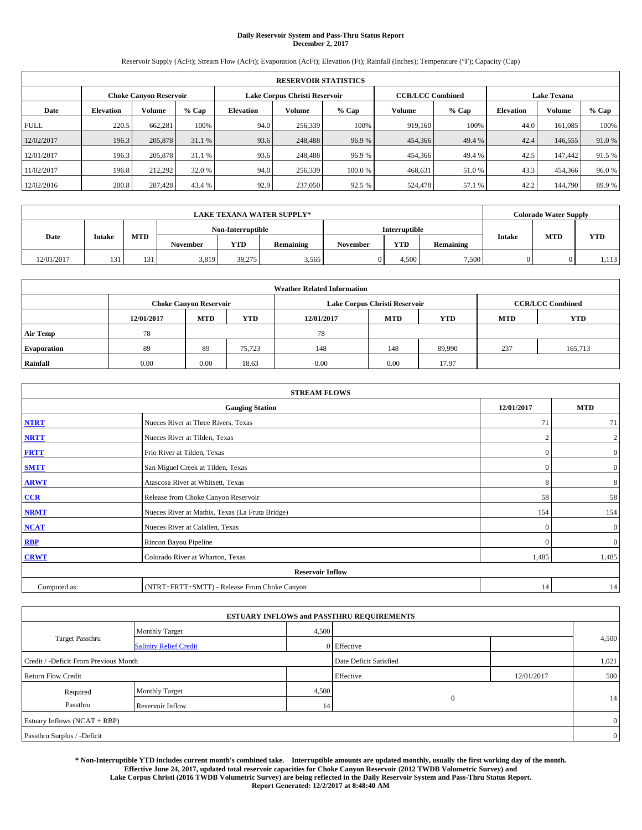# **Daily Reservoir System and Pass-Thru Status Report December 2, 2017**

Reservoir Supply (AcFt); Stream Flow (AcFt); Evaporation (AcFt); Elevation (Ft); Rainfall (Inches); Temperature (°F); Capacity (Cap)

|             | <b>RESERVOIR STATISTICS</b>   |         |         |                               |               |         |                         |         |                    |         |        |
|-------------|-------------------------------|---------|---------|-------------------------------|---------------|---------|-------------------------|---------|--------------------|---------|--------|
|             | <b>Choke Canvon Reservoir</b> |         |         | Lake Corpus Christi Reservoir |               |         | <b>CCR/LCC Combined</b> |         | <b>Lake Texana</b> |         |        |
| Date        | <b>Elevation</b>              | Volume  | $%$ Cap | <b>Elevation</b>              | <b>Volume</b> | % Cap   | <b>Volume</b>           | $%$ Cap | <b>Elevation</b>   | Volume  | % Cap  |
| <b>FULL</b> | 220.5                         | 662.281 | 100%    | 94.0                          | 256,339       | 100%    | 919.160                 | 100%    | 44.0               | 161.085 | 100%   |
| 12/02/2017  | 196.3                         | 205,878 | 31.1 %  | 93.6                          | 248,488       | 96.9%   | 454,366                 | 49.4 %  | 42.4               | 146,555 | 91.0%  |
| 12/01/2017  | 196.3                         | 205,878 | 31.1 %  | 93.6                          | 248,488       | 96.9%   | 454,366                 | 49.4 %  | 42.5               | 147,442 | 91.5 % |
| 11/02/2017  | 196.8                         | 212,292 | 32.0 %  | 94.0                          | 256,339       | 100.0 % | 468,631                 | 51.0%   | 43.3               | 454,366 | 96.0%  |
| 12/02/2016  | 200.8                         | 287,428 | 43.4 %  | 92.9                          | 237,050       | 92.5 %  | 524,478                 | 57.1 %  | 42.2               | 144,790 | 89.9%  |

|            | <b>LAKE TEXANA WATER SUPPLY*</b> |            |          |                   |                  |          |               |           |               |            | <b>Colorado Water Supply</b> |  |  |
|------------|----------------------------------|------------|----------|-------------------|------------------|----------|---------------|-----------|---------------|------------|------------------------------|--|--|
|            |                                  |            |          | Non-Interruptible |                  |          | Interruptible |           |               |            |                              |  |  |
| Date       | <b>Intake</b>                    | <b>MTD</b> | November | <b>YTD</b>        | <b>Remaining</b> | November | <b>YTD</b>    | Remaining | <b>Intake</b> | <b>MTD</b> | <b>YTD</b>                   |  |  |
| 12/01/2017 | $12^{\circ}$<br>1 J 1            | 131        | 3,819    | 38,275            | 3,565            |          | 4.500         | 7,500     |               |            | 1,113                        |  |  |

| <b>Weather Related Information</b> |            |                               |            |            |                               |                         |            |            |  |  |
|------------------------------------|------------|-------------------------------|------------|------------|-------------------------------|-------------------------|------------|------------|--|--|
|                                    |            | <b>Choke Canyon Reservoir</b> |            |            | Lake Corpus Christi Reservoir | <b>CCR/LCC Combined</b> |            |            |  |  |
|                                    | 12/01/2017 | <b>MTD</b>                    | <b>YTD</b> | 12/01/2017 | <b>MTD</b>                    | <b>YTD</b>              | <b>MTD</b> | <b>YTD</b> |  |  |
| <b>Air Temp</b>                    | 78         |                               |            | 78         |                               |                         |            |            |  |  |
| <b>Evaporation</b>                 | 89         | 89                            | 75.723     | 148        | 148                           | 89,990                  | 237        | 165,713    |  |  |
| Rainfall                           | 0.00       | 0.00                          | 18.63      | 0.00       | 0.00                          | 17.97                   |            |            |  |  |

|              | <b>STREAM FLOWS</b>                             |              |                  |  |  |  |  |  |  |  |
|--------------|-------------------------------------------------|--------------|------------------|--|--|--|--|--|--|--|
|              | <b>Gauging Station</b>                          | 12/01/2017   | <b>MTD</b>       |  |  |  |  |  |  |  |
| <b>NTRT</b>  | Nueces River at Three Rivers, Texas             | 71           | 71               |  |  |  |  |  |  |  |
| <b>NRTT</b>  | Nueces River at Tilden, Texas                   | $\bigcap$    | 2                |  |  |  |  |  |  |  |
| <b>FRTT</b>  | Frio River at Tilden, Texas                     | $\theta$     | $\boldsymbol{0}$ |  |  |  |  |  |  |  |
| <b>SMTT</b>  | San Miguel Creek at Tilden, Texas               | $\mathbf{0}$ | $\overline{0}$   |  |  |  |  |  |  |  |
| <b>ARWT</b>  | Atascosa River at Whitsett, Texas               | 8            | 8                |  |  |  |  |  |  |  |
| $CCR$        | Release from Choke Canyon Reservoir             | 58           | 58               |  |  |  |  |  |  |  |
| <b>NRMT</b>  | Nueces River at Mathis, Texas (La Fruta Bridge) | 154          | 154              |  |  |  |  |  |  |  |
| <b>NCAT</b>  | Nueces River at Calallen, Texas                 | $\mathbf{0}$ | $\mathbf{0}$     |  |  |  |  |  |  |  |
| RBP          | Rincon Bayou Pipeline                           | $\Omega$     | $\mathbf{0}$     |  |  |  |  |  |  |  |
| <b>CRWT</b>  | Colorado River at Wharton, Texas                | 1,485        | 1,485            |  |  |  |  |  |  |  |
|              | <b>Reservoir Inflow</b>                         |              |                  |  |  |  |  |  |  |  |
| Computed as: | (NTRT+FRTT+SMTT) - Release From Choke Canyon    | 14           | 14               |  |  |  |  |  |  |  |

| <b>ESTUARY INFLOWS and PASSTHRU REQUIREMENTS</b> |                               |       |                        |            |       |  |  |  |  |  |
|--------------------------------------------------|-------------------------------|-------|------------------------|------------|-------|--|--|--|--|--|
|                                                  | <b>Monthly Target</b>         | 4,500 |                        |            |       |  |  |  |  |  |
| <b>Target Passthru</b>                           | <b>Salinity Relief Credit</b> |       | 0 Effective            |            | 4,500 |  |  |  |  |  |
| Credit / -Deficit From Previous Month            |                               |       | Date Deficit Satisfied | 1,021      |       |  |  |  |  |  |
| <b>Return Flow Credit</b>                        |                               |       | Effective              | 12/01/2017 | 500   |  |  |  |  |  |
| Required                                         | <b>Monthly Target</b>         | 4,500 |                        |            |       |  |  |  |  |  |
| Passthru                                         | Reservoir Inflow              | 14    | $\mathbf{0}$           |            | 14    |  |  |  |  |  |
|                                                  | Estuary Inflows (NCAT + RBP)  |       |                        |            |       |  |  |  |  |  |
| Passthru Surplus / -Deficit                      |                               |       |                        |            |       |  |  |  |  |  |

**\* Non-Interruptible YTD includes current month's combined take. Interruptible amounts are updated monthly, usually the first working day of the month. Effective June 24, 2017, updated total reservoir capacities for Choke Canyon Reservoir (2012 TWDB Volumetric Survey) and Lake Corpus Christi (2016 TWDB Volumetric Survey) are being reflected in the Daily Reservoir System and Pass-Thru Status Report. Report Generated: 12/2/2017 at 8:48:40 AM**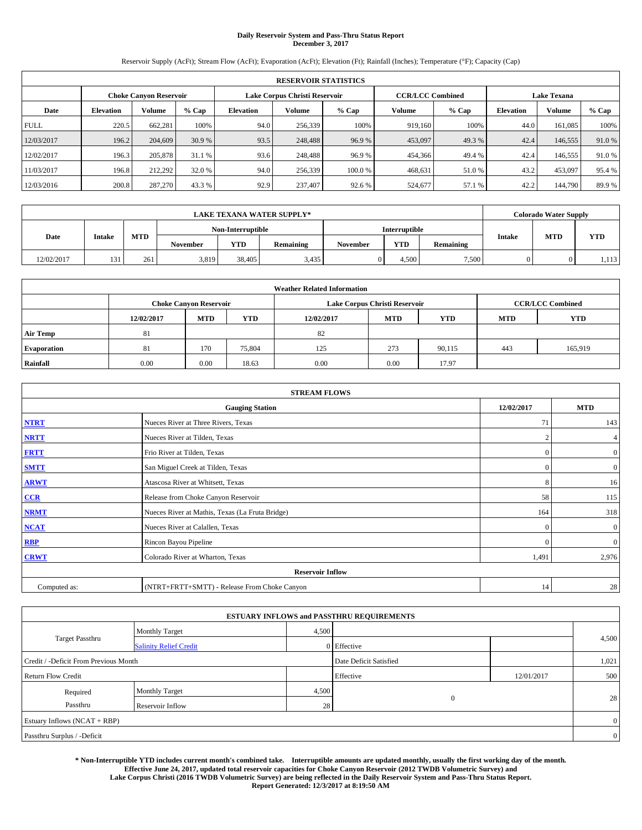# **Daily Reservoir System and Pass-Thru Status Report December 3, 2017**

Reservoir Supply (AcFt); Stream Flow (AcFt); Evaporation (AcFt); Elevation (Ft); Rainfall (Inches); Temperature (°F); Capacity (Cap)

|             | <b>RESERVOIR STATISTICS</b>   |         |         |                               |               |         |                         |         |                    |         |        |
|-------------|-------------------------------|---------|---------|-------------------------------|---------------|---------|-------------------------|---------|--------------------|---------|--------|
|             | <b>Choke Canvon Reservoir</b> |         |         | Lake Corpus Christi Reservoir |               |         | <b>CCR/LCC Combined</b> |         | <b>Lake Texana</b> |         |        |
| Date        | <b>Elevation</b>              | Volume  | $%$ Cap | <b>Elevation</b>              | <b>Volume</b> | % Cap   | <b>Volume</b>           | $%$ Cap | <b>Elevation</b>   | Volume  | % Cap  |
| <b>FULL</b> | 220.5                         | 662.281 | 100%    | 94.0                          | 256,339       | 100%    | 919.160                 | 100%    | 44.0               | 161.085 | 100%   |
| 12/03/2017  | 196.2                         | 204,609 | 30.9 %  | 93.5                          | 248,488       | 96.9%   | 453,097                 | 49.3 %  | 42.4               | 146,555 | 91.0%  |
| 12/02/2017  | 196.3                         | 205,878 | 31.1 %  | 93.6                          | 248,488       | 96.9%   | 454,366                 | 49.4 %  | 42.4               | 146,555 | 91.0 % |
| 11/03/2017  | 196.8                         | 212,292 | 32.0 %  | 94.0                          | 256,339       | 100.0 % | 468,631                 | 51.0%   | 43.2               | 453.097 | 95.4 % |
| 12/03/2016  | 200.8                         | 287,270 | 43.3%   | 92.9                          | 237,407       | 92.6 %  | 524,677                 | 57.1 %  | 42.2               | 144,790 | 89.9%  |

|            | <b>LAKE TEXANA WATER SUPPLY*</b> |            |          |                   |                  |          |               |           |               |            | <b>Colorado Water Supply</b> |
|------------|----------------------------------|------------|----------|-------------------|------------------|----------|---------------|-----------|---------------|------------|------------------------------|
|            |                                  |            |          | Non-Interruptible |                  |          | Interruptible |           |               |            |                              |
| Date       | <b>Intake</b>                    | <b>MTD</b> | November | <b>YTD</b>        | <b>Remaining</b> | November | YTD           | Remaining | <b>Intake</b> | <b>MTD</b> | <b>YTD</b>                   |
| 12/02/2017 | $12^{\circ}$<br>1 J 1            | 261        | 3,819    | 38,405            | 3,435            |          | 4.500         | 7,500     |               |            | 1,113                        |

| <b>Weather Related Information</b> |            |                               |            |            |                                                |                         |     |         |  |  |
|------------------------------------|------------|-------------------------------|------------|------------|------------------------------------------------|-------------------------|-----|---------|--|--|
|                                    |            | <b>Choke Canyon Reservoir</b> |            |            | Lake Corpus Christi Reservoir                  | <b>CCR/LCC Combined</b> |     |         |  |  |
|                                    | 12/02/2017 | <b>MTD</b>                    | <b>YTD</b> | 12/02/2017 | <b>YTD</b><br><b>MTD</b><br>YTD.<br><b>MTD</b> |                         |     |         |  |  |
| <b>Air Temp</b>                    | 81         |                               |            | 82         |                                                |                         |     |         |  |  |
| <b>Evaporation</b>                 | 81         | 170                           | 75,804     | 125        | 273                                            | 90,115                  | 443 | 165,919 |  |  |
| Rainfall                           | 0.00       | 0.00                          | 18.63      | 0.00       | 0.00                                           | 17.97                   |     |         |  |  |

| <b>STREAM FLOWS</b> |                                                 |                |                  |  |  |  |  |  |
|---------------------|-------------------------------------------------|----------------|------------------|--|--|--|--|--|
|                     | 12/02/2017                                      | <b>MTD</b>     |                  |  |  |  |  |  |
| <b>NTRT</b>         | Nueces River at Three Rivers, Texas             | 71             | 143              |  |  |  |  |  |
| <b>NRTT</b>         | Nueces River at Tilden, Texas                   | $\overline{2}$ | 4 <sub>1</sub>   |  |  |  |  |  |
| <b>FRTT</b>         | Frio River at Tilden, Texas                     | $\mathbf{0}$   | $\boldsymbol{0}$ |  |  |  |  |  |
| <b>SMTT</b>         | San Miguel Creek at Tilden, Texas               | $\mathbf{0}$   | $\overline{0}$   |  |  |  |  |  |
| <b>ARWT</b>         | Atascosa River at Whitsett, Texas               | 8              | 16               |  |  |  |  |  |
| $CCR$               | Release from Choke Canyon Reservoir             | 58             | 115              |  |  |  |  |  |
| <b>NRMT</b>         | Nueces River at Mathis, Texas (La Fruta Bridge) | 164            | 318              |  |  |  |  |  |
| <b>NCAT</b>         | Nueces River at Calallen, Texas                 | $\mathbf{0}$   | $\overline{0}$   |  |  |  |  |  |
| RBP                 | Rincon Bayou Pipeline                           | $\Omega$       | $\mathbf{0}$     |  |  |  |  |  |
| <b>CRWT</b>         | Colorado River at Wharton, Texas                | 1,491          | 2,976            |  |  |  |  |  |
|                     | <b>Reservoir Inflow</b>                         |                |                  |  |  |  |  |  |
| Computed as:        | (NTRT+FRTT+SMTT) - Release From Choke Canyon    | 14             | 28               |  |  |  |  |  |

|                                       |                               |                        | <b>ESTUARY INFLOWS and PASSTHRU REQUIREMENTS</b> |            |                |  |  |  |
|---------------------------------------|-------------------------------|------------------------|--------------------------------------------------|------------|----------------|--|--|--|
|                                       | <b>Monthly Target</b>         | 4,500                  |                                                  |            |                |  |  |  |
| <b>Target Passthru</b>                | <b>Salinity Relief Credit</b> |                        | 0 Effective                                      |            | 4,500          |  |  |  |
| Credit / -Deficit From Previous Month |                               | Date Deficit Satisfied |                                                  | 1,021      |                |  |  |  |
| <b>Return Flow Credit</b>             |                               |                        | Effective                                        | 12/01/2017 | 500            |  |  |  |
| Required                              | Monthly Target                | 4,500                  |                                                  |            |                |  |  |  |
| Passthru                              | Reservoir Inflow              | 28                     | $\overline{0}$                                   |            | 28             |  |  |  |
| Estuary Inflows (NCAT + RBP)          |                               |                        |                                                  |            |                |  |  |  |
| Passthru Surplus / -Deficit           |                               |                        |                                                  |            | $\overline{0}$ |  |  |  |

**\* Non-Interruptible YTD includes current month's combined take. Interruptible amounts are updated monthly, usually the first working day of the month. Effective June 24, 2017, updated total reservoir capacities for Choke Canyon Reservoir (2012 TWDB Volumetric Survey) and Lake Corpus Christi (2016 TWDB Volumetric Survey) are being reflected in the Daily Reservoir System and Pass-Thru Status Report. Report Generated: 12/3/2017 at 8:19:50 AM**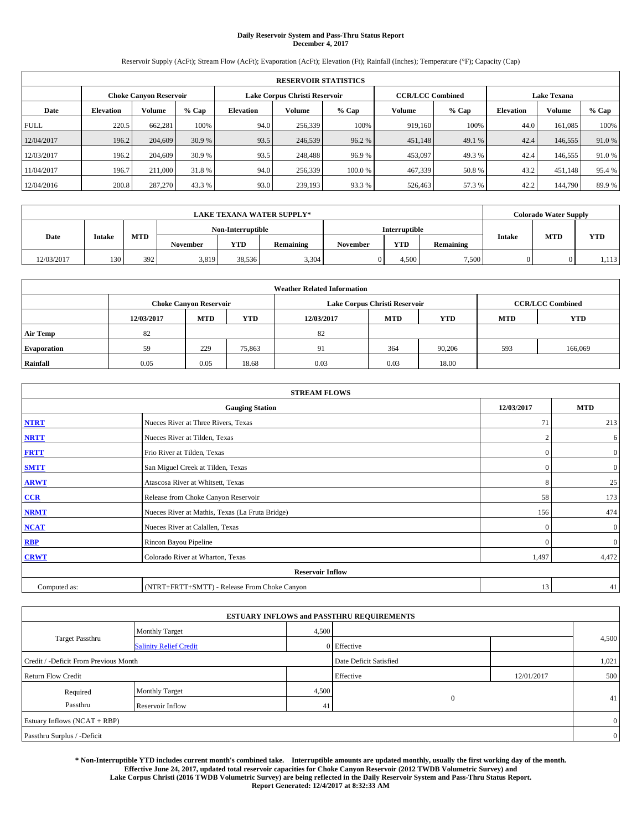# **Daily Reservoir System and Pass-Thru Status Report December 4, 2017**

Reservoir Supply (AcFt); Stream Flow (AcFt); Evaporation (AcFt); Elevation (Ft); Rainfall (Inches); Temperature (°F); Capacity (Cap)

| <b>RESERVOIR STATISTICS</b> |                  |                               |         |                               |               |         |                         |         |                    |         |        |
|-----------------------------|------------------|-------------------------------|---------|-------------------------------|---------------|---------|-------------------------|---------|--------------------|---------|--------|
|                             |                  | <b>Choke Canvon Reservoir</b> |         | Lake Corpus Christi Reservoir |               |         | <b>CCR/LCC Combined</b> |         | <b>Lake Texana</b> |         |        |
| Date                        | <b>Elevation</b> | Volume                        | $%$ Cap | <b>Elevation</b>              | <b>Volume</b> | $%$ Cap | <b>Volume</b>           | $%$ Cap | <b>Elevation</b>   | Volume  | % Cap  |
| <b>FULL</b>                 | 220.5            | 662.281                       | 100%    | 94.0                          | 256,339       | 100%    | 919.160                 | 100%    | 44.0               | 161.085 | 100%   |
| 12/04/2017                  | 196.2            | 204,609                       | 30.9 %  | 93.5                          | 246,539       | 96.2 %  | 451,148                 | 49.1 %  | 42.4               | 146,555 | 91.0%  |
| 12/03/2017                  | 196.2            | 204,609                       | 30.9 %  | 93.5                          | 248,488       | 96.9%   | 453,097                 | 49.3 %  | 42.4               | 146,555 | 91.0 % |
| 11/04/2017                  | 196.7            | 211,000                       | 31.8%   | 94.0                          | 256,339       | 100.0 % | 467,339                 | 50.8%   | 43.2               | 451,148 | 95.4 % |
| 12/04/2016                  | 200.8            | 287,270                       | 43.3%   | 93.0                          | 239,193       | 93.3 %  | 526,463                 | 57.3 %  | 42.2               | 144,790 | 89.9%  |

| <b>LAKE TEXANA WATER SUPPLY*</b> |        |            |          |                   |                  |          |               |           |   | <b>Colorado Water Supply</b> |      |
|----------------------------------|--------|------------|----------|-------------------|------------------|----------|---------------|-----------|---|------------------------------|------|
|                                  |        |            |          | Non-Interruptible |                  |          | Interruptible |           |   | <b>YTD</b>                   |      |
| <b>Date</b>                      | Intake | <b>MTD</b> | November | <b>YTD</b>        | <b>Remaining</b> | November | <b>YTD</b>    | Remaining |   | <b>MTD</b><br><b>Intake</b>  |      |
| 12/03/2017                       | 130    | 392        | 3,819    | 38.536            | 3,304            |          | 4.500         | 7,500     | 0 |                              | .113 |

| <b>Weather Related Information</b> |            |                               |            |            |                                                      |                         |     |         |  |  |
|------------------------------------|------------|-------------------------------|------------|------------|------------------------------------------------------|-------------------------|-----|---------|--|--|
|                                    |            | <b>Choke Canyon Reservoir</b> |            |            | Lake Corpus Christi Reservoir                        | <b>CCR/LCC Combined</b> |     |         |  |  |
|                                    | 12/03/2017 | <b>MTD</b>                    | <b>YTD</b> | 12/03/2017 | <b>YTD</b><br><b>MTD</b><br><b>YTD</b><br><b>MTD</b> |                         |     |         |  |  |
| <b>Air Temp</b>                    | 82         |                               |            | 82         |                                                      |                         |     |         |  |  |
| <b>Evaporation</b>                 | 59         | 229                           | 75,863     | 91         | 364                                                  | 90,206                  | 593 | 166,069 |  |  |
| Rainfall                           | 0.05       | 0.05                          | 18.68      | 0.03       | 0.03                                                 | 18.00                   |     |         |  |  |

| <b>STREAM FLOWS</b> |                                                 |                |                |  |  |  |  |  |
|---------------------|-------------------------------------------------|----------------|----------------|--|--|--|--|--|
|                     | 12/03/2017                                      | <b>MTD</b>     |                |  |  |  |  |  |
| <b>NTRT</b>         | Nueces River at Three Rivers, Texas             | 71             | 213            |  |  |  |  |  |
| <b>NRTT</b>         | Nueces River at Tilden, Texas                   | $\overline{2}$ | 6              |  |  |  |  |  |
| <b>FRTT</b>         | Frio River at Tilden, Texas                     | $\mathbf{0}$   | $\mathbf{0}$   |  |  |  |  |  |
| <b>SMTT</b>         | San Miguel Creek at Tilden, Texas               | $\mathbf{0}$   | $\overline{0}$ |  |  |  |  |  |
| <b>ARWT</b>         | Atascosa River at Whitsett, Texas               | 8              | 25             |  |  |  |  |  |
| $CCR$               | Release from Choke Canyon Reservoir             | 58             | 173            |  |  |  |  |  |
| <b>NRMT</b>         | Nueces River at Mathis, Texas (La Fruta Bridge) | 156            | 474            |  |  |  |  |  |
| <b>NCAT</b>         | Nueces River at Calallen, Texas                 | $\Omega$       | $\mathbf{0}$   |  |  |  |  |  |
| RBP                 | Rincon Bayou Pipeline                           | $\mathbf{0}$   | $\mathbf{0}$   |  |  |  |  |  |
| <b>CRWT</b>         | Colorado River at Wharton, Texas                | 1,497          | 4,472          |  |  |  |  |  |
|                     | <b>Reservoir Inflow</b>                         |                |                |  |  |  |  |  |
| Computed as:        | (NTRT+FRTT+SMTT) - Release From Choke Canyon    | 13             | 41             |  |  |  |  |  |

|                                       |                               |       | <b>ESTUARY INFLOWS and PASSTHRU REQUIREMENTS</b> |            |                |
|---------------------------------------|-------------------------------|-------|--------------------------------------------------|------------|----------------|
|                                       | <b>Monthly Target</b>         | 4,500 |                                                  |            |                |
| Target Passthru                       | <b>Salinity Relief Credit</b> |       | 0 Effective                                      |            | 4,500          |
| Credit / -Deficit From Previous Month |                               |       | Date Deficit Satisfied                           |            | 1,021          |
| <b>Return Flow Credit</b>             |                               |       | Effective                                        | 12/01/2017 | 500            |
| Required                              | <b>Monthly Target</b>         | 4,500 |                                                  |            |                |
| Passthru                              | Reservoir Inflow              | 41    | $\overline{0}$                                   |            | 41             |
| Estuary Inflows (NCAT + RBP)          |                               |       |                                                  |            | $\overline{0}$ |
| Passthru Surplus / -Deficit           |                               |       |                                                  |            | $\overline{0}$ |

**\* Non-Interruptible YTD includes current month's combined take. Interruptible amounts are updated monthly, usually the first working day of the month. Effective June 24, 2017, updated total reservoir capacities for Choke Canyon Reservoir (2012 TWDB Volumetric Survey) and Lake Corpus Christi (2016 TWDB Volumetric Survey) are being reflected in the Daily Reservoir System and Pass-Thru Status Report. Report Generated: 12/4/2017 at 8:32:33 AM**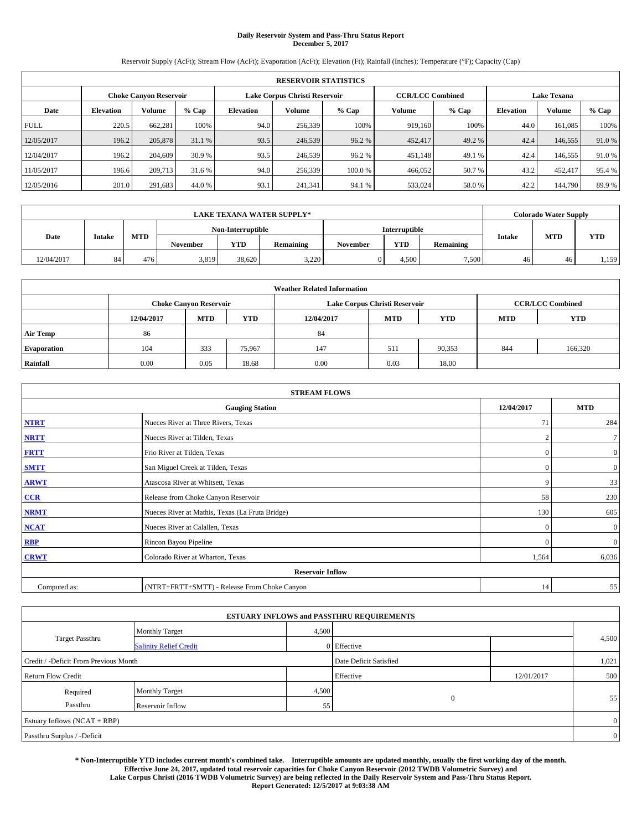# **Daily Reservoir System and Pass-Thru Status Report December 5, 2017**

Reservoir Supply (AcFt); Stream Flow (AcFt); Evaporation (AcFt); Elevation (Ft); Rainfall (Inches); Temperature (°F); Capacity (Cap)

| <b>RESERVOIR STATISTICS</b> |                  |                               |        |                               |               |         |                         |         |                    |         |        |
|-----------------------------|------------------|-------------------------------|--------|-------------------------------|---------------|---------|-------------------------|---------|--------------------|---------|--------|
|                             |                  | <b>Choke Canvon Reservoir</b> |        | Lake Corpus Christi Reservoir |               |         | <b>CCR/LCC Combined</b> |         | <b>Lake Texana</b> |         |        |
| Date                        | <b>Elevation</b> | Volume                        | % Cap  | <b>Elevation</b>              | <b>Volume</b> | $%$ Cap | <b>Volume</b>           | $%$ Cap | <b>Elevation</b>   | Volume  | % Cap  |
| <b>FULL</b>                 | 220.5            | 662.281                       | 100%   | 94.0                          | 256,339       | 100%    | 919.160                 | 100%    | 44.0               | 161.085 | 100%   |
| 12/05/2017                  | 196.2            | 205,878                       | 31.1 % | 93.5                          | 246,539       | 96.2 %  | 452,417                 | 49.2 %  | 42.4               | 146,555 | 91.0%  |
| 12/04/2017                  | 196.2            | 204,609                       | 30.9 % | 93.5                          | 246,539       | 96.2%   | 451,148                 | 49.1 %  | 42.4               | 146,555 | 91.0 % |
| 11/05/2017                  | 196.6            | 209,713                       | 31.6 % | 94.0                          | 256,339       | 100.0 % | 466,052                 | 50.7 %  | 43.2               | 452,417 | 95.4 % |
| 12/05/2016                  | 201.0            | 291,683                       | 44.0 % | 93.1                          | 241,341       | 94.1 %  | 533,024                 | 58.0%   | 42.2               | 144,790 | 89.9%  |

| LAKE TEXANA WATER SUPPLY* |               |            |          |                   |                  |          |                      |                  | <b>Colorado Water Supply</b> |            |            |
|---------------------------|---------------|------------|----------|-------------------|------------------|----------|----------------------|------------------|------------------------------|------------|------------|
|                           |               |            |          | Non-Interruptible |                  |          | <b>Interruptible</b> |                  |                              |            |            |
| <b>Date</b>               | <b>Intake</b> | <b>MTD</b> | November | <b>YTD</b>        | <b>Remaining</b> | November | <b>YTD</b>           | <b>Remaining</b> | <b>Intake</b>                | <b>MTD</b> | <b>YTD</b> |
| 12/04/2017                | 84            | 476        | 3,819    | 38.620            | 3,220            |          | 4.500                | 7,500            | 46                           | 46         | 1,159      |

| <b>Weather Related Information</b> |            |                               |            |            |                               |                         |     |         |
|------------------------------------|------------|-------------------------------|------------|------------|-------------------------------|-------------------------|-----|---------|
|                                    |            | <b>Choke Canyon Reservoir</b> |            |            | Lake Corpus Christi Reservoir | <b>CCR/LCC Combined</b> |     |         |
|                                    | 12/04/2017 | <b>MTD</b>                    | <b>YTD</b> | 12/04/2017 | <b>MTD</b>                    | <b>YTD</b>              |     |         |
| <b>Air Temp</b>                    | 86         |                               |            | 84         |                               |                         |     |         |
| <b>Evaporation</b>                 | 104        | 333                           | 75,967     | 147        | 511                           | 90,353                  | 844 | 166,320 |
| Rainfall                           | 0.00       | 0.05                          | 18.68      | 0.00       | 0.03                          | 18.00                   |     |         |

| <b>STREAM FLOWS</b> |                                                 |                |                  |  |  |  |  |  |  |
|---------------------|-------------------------------------------------|----------------|------------------|--|--|--|--|--|--|
|                     | 12/04/2017                                      | <b>MTD</b>     |                  |  |  |  |  |  |  |
| <b>NTRT</b>         | Nueces River at Three Rivers, Texas             | 71             | 284              |  |  |  |  |  |  |
| <b>NRTT</b>         | Nueces River at Tilden, Texas                   | $\overline{2}$ | $\tau$           |  |  |  |  |  |  |
| <b>FRTT</b>         | Frio River at Tilden, Texas                     | $\mathbf{0}$   | $\boldsymbol{0}$ |  |  |  |  |  |  |
| <b>SMTT</b>         | San Miguel Creek at Tilden, Texas               | $\mathbf{0}$   | $\mathbf{0}$     |  |  |  |  |  |  |
| <b>ARWT</b>         | Atascosa River at Whitsett, Texas               | 9              | 33               |  |  |  |  |  |  |
| CCR                 | Release from Choke Canyon Reservoir             | 58             | 230              |  |  |  |  |  |  |
| <b>NRMT</b>         | Nueces River at Mathis, Texas (La Fruta Bridge) | 130            | 605              |  |  |  |  |  |  |
| <b>NCAT</b>         | Nueces River at Calallen, Texas                 | $\Omega$       | $\boldsymbol{0}$ |  |  |  |  |  |  |
| RBP                 | Rincon Bayou Pipeline                           | $\theta$       | $\mathbf{0}$     |  |  |  |  |  |  |
| <b>CRWT</b>         | Colorado River at Wharton, Texas                | 1,564          | 6,036            |  |  |  |  |  |  |
|                     | <b>Reservoir Inflow</b>                         |                |                  |  |  |  |  |  |  |
| Computed as:        | (NTRT+FRTT+SMTT) - Release From Choke Canyon    | 14             | 55               |  |  |  |  |  |  |

|                                       |                               |       | <b>ESTUARY INFLOWS and PASSTHRU REQUIREMENTS</b> |            |                |
|---------------------------------------|-------------------------------|-------|--------------------------------------------------|------------|----------------|
|                                       | <b>Monthly Target</b>         | 4,500 |                                                  |            |                |
| Target Passthru                       | <b>Salinity Relief Credit</b> |       | 0 Effective                                      |            | 4,500          |
| Credit / -Deficit From Previous Month |                               |       | Date Deficit Satisfied                           |            | 1,021          |
| <b>Return Flow Credit</b>             |                               |       | Effective                                        | 12/01/2017 | 500            |
| Required                              | <b>Monthly Target</b>         | 4,500 |                                                  |            |                |
| Passthru                              | Reservoir Inflow              | 55    | $\overline{0}$                                   |            | 55             |
| Estuary Inflows (NCAT + RBP)          |                               |       |                                                  |            | $\overline{0}$ |
| Passthru Surplus / -Deficit           |                               |       |                                                  |            | $\overline{0}$ |

**\* Non-Interruptible YTD includes current month's combined take. Interruptible amounts are updated monthly, usually the first working day of the month. Effective June 24, 2017, updated total reservoir capacities for Choke Canyon Reservoir (2012 TWDB Volumetric Survey) and Lake Corpus Christi (2016 TWDB Volumetric Survey) are being reflected in the Daily Reservoir System and Pass-Thru Status Report. Report Generated: 12/5/2017 at 9:03:38 AM**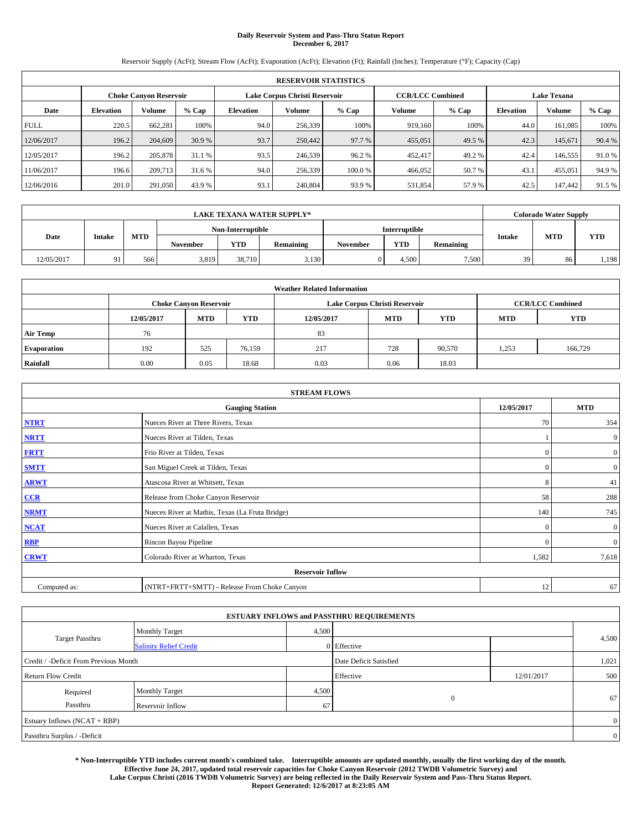# **Daily Reservoir System and Pass-Thru Status Report December 6, 2017**

Reservoir Supply (AcFt); Stream Flow (AcFt); Evaporation (AcFt); Elevation (Ft); Rainfall (Inches); Temperature (°F); Capacity (Cap)

| <b>RESERVOIR STATISTICS</b> |                  |                               |        |                  |                               |         |                         |        |                                                                                                                                                                               |         |        |
|-----------------------------|------------------|-------------------------------|--------|------------------|-------------------------------|---------|-------------------------|--------|-------------------------------------------------------------------------------------------------------------------------------------------------------------------------------|---------|--------|
|                             |                  | <b>Choke Canvon Reservoir</b> |        |                  | Lake Corpus Christi Reservoir |         | <b>CCR/LCC Combined</b> |        | <b>Lake Texana</b><br>Volume<br>$%$ Cap<br><b>Elevation</b><br>100%<br>161.085<br>44.0<br>42.3<br>49.5 %<br>145,671<br>49.2 %<br>42.4<br>146,555<br>50.7 %<br>43.1<br>455,051 |         |        |
| Date                        | <b>Elevation</b> | Volume                        | % Cap  | <b>Elevation</b> | <b>Volume</b>                 | % Cap   | <b>Volume</b>           |        |                                                                                                                                                                               |         | % Cap  |
| <b>FULL</b>                 | 220.5            | 662.281                       | 100%   | 94.0             | 256,339                       | 100%    | 919.160                 |        |                                                                                                                                                                               |         | 100%   |
| 12/06/2017                  | 196.2            | 204,609                       | 30.9 % | 93.7             | 250,442                       | 97.7 %  | 455,051                 |        |                                                                                                                                                                               |         | 90.4 % |
| 12/05/2017                  | 196.2            | 205,878                       | 31.1 % | 93.5             | 246,539                       | 96.2%   | 452,417                 |        |                                                                                                                                                                               |         | 91.0 % |
| 11/06/2017                  | 196.6            | 209,713                       | 31.6 % | 94.0             | 256,339                       | 100.0 % | 466,052                 |        |                                                                                                                                                                               |         | 94.9 % |
| 12/06/2016                  | 201.0            | 291,050                       | 43.9 % | 93.1             | 240,804                       | 93.9 %  | 531,854                 | 57.9 % | 42.5                                                                                                                                                                          | 147,442 | 91.5 % |

|            | LAKE TEXANA WATER SUPPLY* |            |          |                   |                  |          |                      |                  |               | <b>Colorado Water Supply</b> |            |
|------------|---------------------------|------------|----------|-------------------|------------------|----------|----------------------|------------------|---------------|------------------------------|------------|
|            |                           |            |          | Non-Interruptible |                  |          | <b>Interruptible</b> |                  |               |                              |            |
| Date       | <b>Intake</b>             | <b>MTD</b> | November | <b>YTD</b>        | <b>Remaining</b> | November | <b>YTD</b>           | <b>Remaining</b> | <b>Intake</b> | <b>MTD</b>                   | <b>YTD</b> |
| 12/05/2017 | Q <sub>1</sub>            | 566        | 3,819    | 38.710            | 3,130            |          | 4.500                | 7,500            | 39            | 86                           | 1,198      |

| <b>Weather Related Information</b> |                                                                                                |                               |        |      |                               |        |       |                         |  |  |
|------------------------------------|------------------------------------------------------------------------------------------------|-------------------------------|--------|------|-------------------------------|--------|-------|-------------------------|--|--|
|                                    |                                                                                                | <b>Choke Canyon Reservoir</b> |        |      | Lake Corpus Christi Reservoir |        |       | <b>CCR/LCC Combined</b> |  |  |
|                                    | <b>YTD</b><br><b>MTD</b><br><b>MTD</b><br>12/05/2017<br><b>YTD</b><br>12/05/2017<br><b>MTD</b> |                               |        |      |                               |        |       |                         |  |  |
| <b>Air Temp</b>                    | 76                                                                                             |                               |        | 83   |                               |        |       |                         |  |  |
| <b>Evaporation</b>                 | 192                                                                                            | 525                           | 76,159 | 217  | 728                           | 90,570 | 1,253 | 166,729                 |  |  |
| Rainfall                           | 0.00                                                                                           | 0.05                          | 18.68  | 0.03 | 0.06                          | 18.03  |       |                         |  |  |

| <b>STREAM FLOWS</b> |                                                 |              |                  |  |  |  |  |  |  |
|---------------------|-------------------------------------------------|--------------|------------------|--|--|--|--|--|--|
|                     | <b>Gauging Station</b>                          | 12/05/2017   | <b>MTD</b>       |  |  |  |  |  |  |
| <b>NTRT</b>         | Nueces River at Three Rivers, Texas             | 70           | 354              |  |  |  |  |  |  |
| <b>NRTT</b>         | Nueces River at Tilden, Texas                   |              | 9                |  |  |  |  |  |  |
| <b>FRTT</b>         | Frio River at Tilden, Texas                     | $\Omega$     | $\boldsymbol{0}$ |  |  |  |  |  |  |
| <b>SMTT</b>         | San Miguel Creek at Tilden, Texas               | $\mathbf{0}$ | $\overline{0}$   |  |  |  |  |  |  |
| <b>ARWT</b>         | Atascosa River at Whitsett, Texas               | 8            | 41               |  |  |  |  |  |  |
| $CCR$               | Release from Choke Canyon Reservoir             | 58           | 288              |  |  |  |  |  |  |
| <b>NRMT</b>         | Nueces River at Mathis, Texas (La Fruta Bridge) | 140          | 745              |  |  |  |  |  |  |
| <b>NCAT</b>         | Nueces River at Calallen, Texas                 | $\mathbf{0}$ | $\mathbf{0}$     |  |  |  |  |  |  |
| RBP                 | Rincon Bayou Pipeline                           | $\Omega$     | $\mathbf{0}$     |  |  |  |  |  |  |
| <b>CRWT</b>         | Colorado River at Wharton, Texas                | 1,582        | 7,618            |  |  |  |  |  |  |
|                     |                                                 |              |                  |  |  |  |  |  |  |
| Computed as:        | (NTRT+FRTT+SMTT) - Release From Choke Canyon    | 12           | 67               |  |  |  |  |  |  |

|                                       |                               |       | <b>ESTUARY INFLOWS and PASSTHRU REQUIREMENTS</b> |            |                |
|---------------------------------------|-------------------------------|-------|--------------------------------------------------|------------|----------------|
|                                       | <b>Monthly Target</b>         | 4,500 |                                                  |            |                |
| Target Passthru                       | <b>Salinity Relief Credit</b> |       | 0 Effective                                      |            | 4,500          |
| Credit / -Deficit From Previous Month |                               |       | Date Deficit Satisfied                           |            | 1,021          |
| <b>Return Flow Credit</b>             |                               |       | Effective                                        | 12/01/2017 | 500            |
| Required                              | <b>Monthly Target</b>         | 4,500 |                                                  |            |                |
| Passthru                              | Reservoir Inflow              | 67    | $\overline{0}$                                   |            | 67             |
| Estuary Inflows (NCAT + RBP)          |                               |       |                                                  |            | $\overline{0}$ |
| Passthru Surplus / -Deficit           |                               |       |                                                  |            | $\overline{0}$ |

**\* Non-Interruptible YTD includes current month's combined take. Interruptible amounts are updated monthly, usually the first working day of the month. Effective June 24, 2017, updated total reservoir capacities for Choke Canyon Reservoir (2012 TWDB Volumetric Survey) and Lake Corpus Christi (2016 TWDB Volumetric Survey) are being reflected in the Daily Reservoir System and Pass-Thru Status Report. Report Generated: 12/6/2017 at 8:23:05 AM**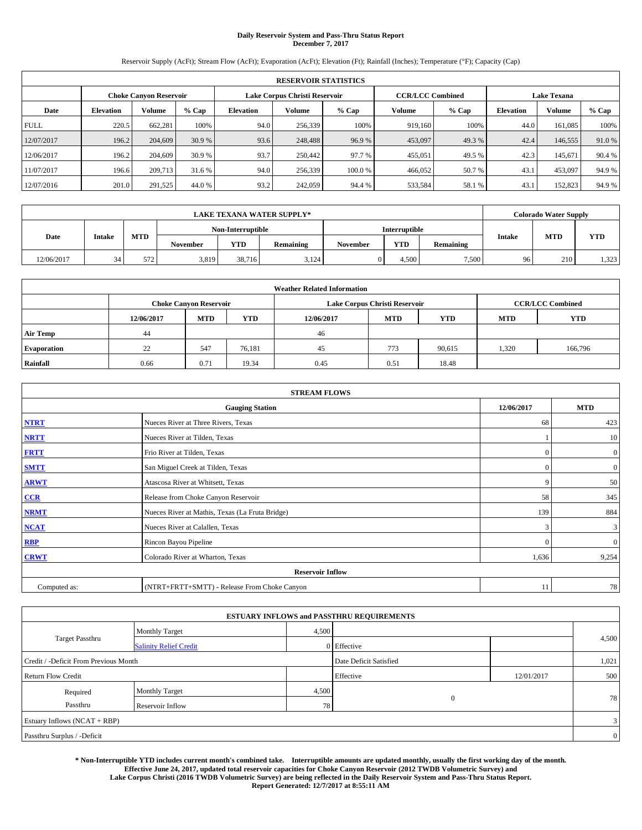# **Daily Reservoir System and Pass-Thru Status Report December 7, 2017**

Reservoir Supply (AcFt); Stream Flow (AcFt); Evaporation (AcFt); Elevation (Ft); Rainfall (Inches); Temperature (°F); Capacity (Cap)

|             | <b>RESERVOIR STATISTICS</b> |                               |        |                  |                               |         |                                                                                                                                                                                       |        |      |         |        |  |
|-------------|-----------------------------|-------------------------------|--------|------------------|-------------------------------|---------|---------------------------------------------------------------------------------------------------------------------------------------------------------------------------------------|--------|------|---------|--------|--|
|             |                             | <b>Choke Canvon Reservoir</b> |        |                  | Lake Corpus Christi Reservoir |         | <b>Lake Texana</b><br><b>CCR/LCC Combined</b><br>Volume<br><b>Volume</b><br>$%$ Cap<br><b>Elevation</b><br>100%<br>161.085<br>919.160<br>44.0<br>453,097<br>49.3 %<br>42.4<br>146,555 |        |      |         |        |  |
| Date        | <b>Elevation</b>            | Volume                        | % Cap  | <b>Elevation</b> | <b>Volume</b>                 | % Cap   |                                                                                                                                                                                       |        |      |         | % Cap  |  |
| <b>FULL</b> | 220.5                       | 662.281                       | 100%   | 94.0             | 256,339                       | 100%    |                                                                                                                                                                                       |        |      |         | 100%   |  |
| 12/07/2017  | 196.2                       | 204,609                       | 30.9 % | 93.6             | 248,488                       | 96.9%   |                                                                                                                                                                                       |        |      |         | 91.0%  |  |
| 12/06/2017  | 196.2                       | 204,609                       | 30.9 % | 93.7             | 250,442                       | 97.7 %  | 455,051                                                                                                                                                                               | 49.5 % | 42.3 | 145.671 | 90.4 % |  |
| 11/07/2017  | 196.6                       | 209,713                       | 31.6 % | 94.0             | 256,339                       | 100.0 % | 466,052                                                                                                                                                                               | 50.7 % | 43.1 | 453.097 | 94.9 % |  |
| 12/07/2016  | 201.0                       | 291,525                       | 44.0 % | 93.2             | 242,059                       | 94.4 %  | 533,584                                                                                                                                                                               | 58.1 % | 43.1 | 152,823 | 94.9 % |  |

|            | LAKE TEXANA WATER SUPPLY* |            |          |                   |                  |                      |            |                  |               | <b>Colorado Water Supply</b> |            |
|------------|---------------------------|------------|----------|-------------------|------------------|----------------------|------------|------------------|---------------|------------------------------|------------|
|            |                           |            |          | Non-Interruptible |                  | <b>Interruptible</b> |            |                  |               |                              |            |
| Date       | <b>Intake</b>             | <b>MTD</b> | November | <b>YTD</b>        | <b>Remaining</b> | November             | <b>YTD</b> | <b>Remaining</b> | <b>Intake</b> | <b>MTD</b>                   | <b>YTD</b> |
| 12/06/2017 | 34                        | 572        | 3,819    | 38.716            | 3,124            |                      | 4.500      | 7,500            | 96            | 210                          | 1,323      |

| <b>Weather Related Information</b> |                                                                                          |                               |        |      |                               |        |       |                         |  |  |
|------------------------------------|------------------------------------------------------------------------------------------|-------------------------------|--------|------|-------------------------------|--------|-------|-------------------------|--|--|
|                                    |                                                                                          | <b>Choke Canyon Reservoir</b> |        |      | Lake Corpus Christi Reservoir |        |       | <b>CCR/LCC Combined</b> |  |  |
|                                    | <b>YTD</b><br><b>MTD</b><br><b>MTD</b><br>12/06/2017<br>12/06/2017<br>YTD.<br><b>MTD</b> |                               |        |      |                               |        |       |                         |  |  |
| <b>Air Temp</b>                    | 44                                                                                       |                               |        | 46   |                               |        |       |                         |  |  |
| <b>Evaporation</b>                 | 22                                                                                       | 547                           | 76,181 | 45   | 773                           | 90,615 | 1,320 | 166,796                 |  |  |
| Rainfall                           | 0.66                                                                                     | 0.71                          | 19.34  | 0.45 | 0.51                          | 18.48  |       |                         |  |  |

| <b>STREAM FLOWS</b>     |                                                 |              |                |  |  |  |  |  |  |
|-------------------------|-------------------------------------------------|--------------|----------------|--|--|--|--|--|--|
|                         | <b>Gauging Station</b>                          | 12/06/2017   | <b>MTD</b>     |  |  |  |  |  |  |
| <b>NTRT</b>             | Nueces River at Three Rivers, Texas             | 68           | 423            |  |  |  |  |  |  |
| <b>NRTT</b>             | Nueces River at Tilden, Texas                   |              | 10             |  |  |  |  |  |  |
| <b>FRTT</b>             | Frio River at Tilden, Texas                     | $\mathbf{0}$ | $\mathbf{0}$   |  |  |  |  |  |  |
| <b>SMTT</b>             | San Miguel Creek at Tilden, Texas               | $\mathbf{0}$ | $\overline{0}$ |  |  |  |  |  |  |
| <b>ARWT</b>             | Atascosa River at Whitsett, Texas               | 9            | 50             |  |  |  |  |  |  |
| $CCR$                   | Release from Choke Canyon Reservoir             | 58           | 345            |  |  |  |  |  |  |
| <b>NRMT</b>             | Nueces River at Mathis, Texas (La Fruta Bridge) | 139          | 884            |  |  |  |  |  |  |
| <b>NCAT</b>             | Nueces River at Calallen, Texas                 | 3            | 3              |  |  |  |  |  |  |
| <b>RBP</b>              | Rincon Bayou Pipeline                           | $\mathbf{0}$ | $\mathbf{0}$   |  |  |  |  |  |  |
| <b>CRWT</b>             | Colorado River at Wharton, Texas                | 1,636        | 9,254          |  |  |  |  |  |  |
| <b>Reservoir Inflow</b> |                                                 |              |                |  |  |  |  |  |  |
| Computed as:            | (NTRT+FRTT+SMTT) - Release From Choke Canyon    | 11           | 78             |  |  |  |  |  |  |

| <b>ESTUARY INFLOWS and PASSTHRU REQUIREMENTS</b> |                               |           |                        |     |                |  |  |  |  |  |
|--------------------------------------------------|-------------------------------|-----------|------------------------|-----|----------------|--|--|--|--|--|
|                                                  | <b>Monthly Target</b>         | 4,500     |                        |     |                |  |  |  |  |  |
| <b>Target Passthru</b>                           | <b>Salinity Relief Credit</b> |           | 0 Effective            |     | 4,500          |  |  |  |  |  |
| Credit / -Deficit From Previous Month            |                               |           | Date Deficit Satisfied |     | 1,021          |  |  |  |  |  |
| <b>Return Flow Credit</b>                        |                               | Effective | 12/01/2017             | 500 |                |  |  |  |  |  |
| Required                                         | Monthly Target                | 4,500     |                        |     |                |  |  |  |  |  |
| Passthru                                         | Reservoir Inflow              | 78        | $\overline{0}$         |     | 78             |  |  |  |  |  |
| Estuary Inflows (NCAT + RBP)                     |                               |           |                        |     |                |  |  |  |  |  |
| Passthru Surplus / -Deficit                      |                               |           |                        |     | $\overline{0}$ |  |  |  |  |  |

**\* Non-Interruptible YTD includes current month's combined take. Interruptible amounts are updated monthly, usually the first working day of the month. Effective June 24, 2017, updated total reservoir capacities for Choke Canyon Reservoir (2012 TWDB Volumetric Survey) and Lake Corpus Christi (2016 TWDB Volumetric Survey) are being reflected in the Daily Reservoir System and Pass-Thru Status Report. Report Generated: 12/7/2017 at 8:55:11 AM**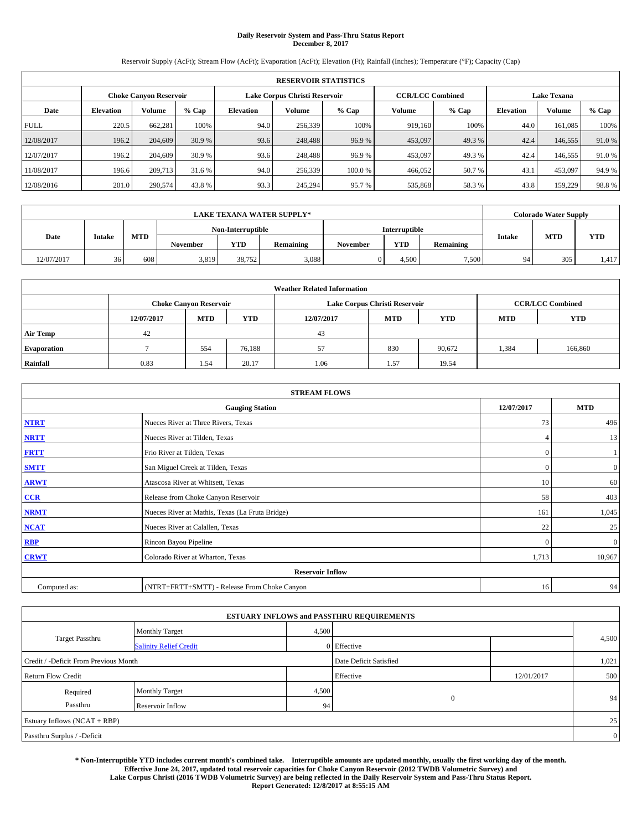# **Daily Reservoir System and Pass-Thru Status Report December 8, 2017**

Reservoir Supply (AcFt); Stream Flow (AcFt); Evaporation (AcFt); Elevation (Ft); Rainfall (Inches); Temperature (°F); Capacity (Cap)

| <b>RESERVOIR STATISTICS</b> |                  |                               |        |                  |                               |         |               |                                                                                                                                                                                                          |      |         |        |
|-----------------------------|------------------|-------------------------------|--------|------------------|-------------------------------|---------|---------------|----------------------------------------------------------------------------------------------------------------------------------------------------------------------------------------------------------|------|---------|--------|
|                             |                  | <b>Choke Canvon Reservoir</b> |        |                  | Lake Corpus Christi Reservoir |         |               | <b>Lake Texana</b><br><b>CCR/LCC Combined</b><br>Volume<br>$%$ Cap<br><b>Elevation</b><br>100%<br>161.085<br>44.0<br>49.3 %<br>42.4<br>146,555<br>49.3 %<br>42.4<br>146,555<br>50.7 %<br>43.1<br>453.097 |      |         |        |
| Date                        | <b>Elevation</b> | Volume                        | % Cap  | <b>Elevation</b> | <b>Volume</b>                 | % Cap   | <b>Volume</b> |                                                                                                                                                                                                          |      |         | % Cap  |
| <b>FULL</b>                 | 220.5            | 662.281                       | 100%   | 94.0             | 256,339                       | 100%    | 919.160       |                                                                                                                                                                                                          |      |         | 100%   |
| 12/08/2017                  | 196.2            | 204,609                       | 30.9 % | 93.6             | 248,488                       | 96.9%   | 453,097       |                                                                                                                                                                                                          |      |         | 91.0%  |
| 12/07/2017                  | 196.2            | 204,609                       | 30.9 % | 93.6             | 248,488                       | 96.9%   | 453,097       |                                                                                                                                                                                                          |      |         | 91.0 % |
| 11/08/2017                  | 196.6            | 209,713                       | 31.6 % | 94.0             | 256,339                       | 100.0 % | 466,052       |                                                                                                                                                                                                          |      |         | 94.9 % |
| 12/08/2016                  | 201.0            | 290,574                       | 43.8%  | 93.3             | 245,294                       | 95.7 %  | 535,868       | 58.3%                                                                                                                                                                                                    | 43.8 | 159,229 | 98.8%  |

|             | <b>LAKE TEXANA WATER SUPPLY*</b> |            |                   |            |                  |          |               |           |               | <b>Colorado Water Supply</b> |            |  |
|-------------|----------------------------------|------------|-------------------|------------|------------------|----------|---------------|-----------|---------------|------------------------------|------------|--|
|             |                                  |            | Non-Interruptible |            |                  |          | Interruptible |           |               |                              |            |  |
| <b>Date</b> | Intake                           | <b>MTD</b> | November          | <b>YTD</b> | <b>Remaining</b> | November | <b>YTD</b>    | Remaining | <b>Intake</b> | <b>MTD</b>                   | <b>YTD</b> |  |
| 12/07/2017  | 36                               | 608        | 3,819             | 38.752     | 3,088            |          | 4.500         | 7,500     | 94            | 305                          | 1,417      |  |

|                    | <b>Weather Related Information</b> |                                                                                                |        |      |                               |                         |       |         |  |  |  |  |
|--------------------|------------------------------------|------------------------------------------------------------------------------------------------|--------|------|-------------------------------|-------------------------|-------|---------|--|--|--|--|
|                    |                                    | <b>Choke Canyon Reservoir</b>                                                                  |        |      | Lake Corpus Christi Reservoir | <b>CCR/LCC Combined</b> |       |         |  |  |  |  |
|                    | 12/07/2017                         | <b>YTD</b><br><b>YTD</b><br><b>MTD</b><br><b>MTD</b><br>12/07/2017<br><b>YTD</b><br><b>MTD</b> |        |      |                               |                         |       |         |  |  |  |  |
| <b>Air Temp</b>    | 42                                 |                                                                                                |        | 43   |                               |                         |       |         |  |  |  |  |
| <b>Evaporation</b> |                                    | 554                                                                                            | 76,188 | 57   | 830                           | 90,672                  | 1,384 | 166,860 |  |  |  |  |
| Rainfall           | 0.83                               | 1.54                                                                                           | 20.17  | 1.06 | 1.57                          | 19.54                   |       |         |  |  |  |  |

| <b>STREAM FLOWS</b> |                                                 |              |                  |  |  |  |  |  |
|---------------------|-------------------------------------------------|--------------|------------------|--|--|--|--|--|
|                     | <b>Gauging Station</b>                          | 12/07/2017   | <b>MTD</b>       |  |  |  |  |  |
| <b>NTRT</b>         | Nueces River at Three Rivers, Texas             | 73           | 496              |  |  |  |  |  |
| <b>NRTT</b>         | Nueces River at Tilden, Texas                   | 4            | 13               |  |  |  |  |  |
| <b>FRTT</b>         | Frio River at Tilden, Texas                     | $\mathbf{0}$ |                  |  |  |  |  |  |
| <b>SMTT</b>         | San Miguel Creek at Tilden, Texas               | $\mathbf{0}$ | $\boldsymbol{0}$ |  |  |  |  |  |
| <b>ARWT</b>         | Atascosa River at Whitsett, Texas               | 10           | 60               |  |  |  |  |  |
| $CCR$               | Release from Choke Canyon Reservoir             | 58           | 403              |  |  |  |  |  |
| <b>NRMT</b>         | Nueces River at Mathis, Texas (La Fruta Bridge) | 161          | 1,045            |  |  |  |  |  |
| <b>NCAT</b>         | Nueces River at Calallen, Texas                 | 22           | 25               |  |  |  |  |  |
| RBP                 | Rincon Bayou Pipeline                           | $\Omega$     | $\mathbf{0}$     |  |  |  |  |  |
| <b>CRWT</b>         | Colorado River at Wharton, Texas                | 1,713        | 10,967           |  |  |  |  |  |
|                     | <b>Reservoir Inflow</b>                         |              |                  |  |  |  |  |  |
| Computed as:        | (NTRT+FRTT+SMTT) - Release From Choke Canyon    | 16           | 94               |  |  |  |  |  |

|                                       |                               |       | <b>ESTUARY INFLOWS and PASSTHRU REQUIREMENTS</b> |            |                |
|---------------------------------------|-------------------------------|-------|--------------------------------------------------|------------|----------------|
|                                       | <b>Monthly Target</b>         | 4,500 |                                                  |            |                |
| Target Passthru                       | <b>Salinity Relief Credit</b> |       | 0 Effective                                      |            | 4,500          |
| Credit / -Deficit From Previous Month |                               |       | Date Deficit Satisfied                           |            | 1,021          |
| <b>Return Flow Credit</b>             |                               |       | Effective                                        | 12/01/2017 | 500            |
| Required                              | <b>Monthly Target</b>         | 4,500 |                                                  |            |                |
| Passthru                              | Reservoir Inflow              | 94    | $\overline{0}$                                   |            | 94             |
| Estuary Inflows (NCAT + RBP)          |                               |       |                                                  |            | 25             |
| Passthru Surplus / -Deficit           |                               |       |                                                  |            | $\overline{0}$ |

**\* Non-Interruptible YTD includes current month's combined take. Interruptible amounts are updated monthly, usually the first working day of the month. Effective June 24, 2017, updated total reservoir capacities for Choke Canyon Reservoir (2012 TWDB Volumetric Survey) and Lake Corpus Christi (2016 TWDB Volumetric Survey) are being reflected in the Daily Reservoir System and Pass-Thru Status Report. Report Generated: 12/8/2017 at 8:55:15 AM**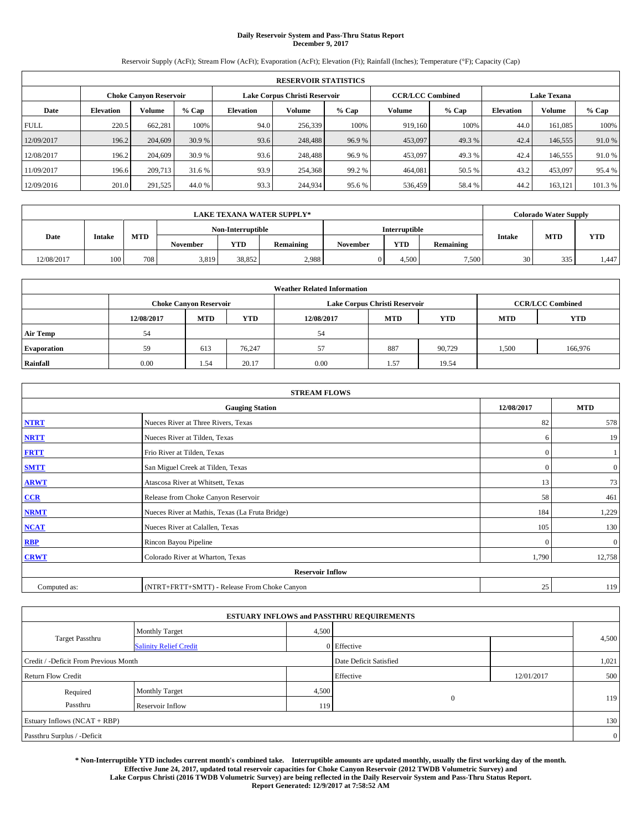# **Daily Reservoir System and Pass-Thru Status Report December 9, 2017**

Reservoir Supply (AcFt); Stream Flow (AcFt); Evaporation (AcFt); Elevation (Ft); Rainfall (Inches); Temperature (°F); Capacity (Cap)

|             | <b>RESERVOIR STATISTICS</b> |                               |         |                               |         |         |                         |         |                    |         |        |  |  |
|-------------|-----------------------------|-------------------------------|---------|-------------------------------|---------|---------|-------------------------|---------|--------------------|---------|--------|--|--|
|             |                             | <b>Choke Canyon Reservoir</b> |         | Lake Corpus Christi Reservoir |         |         | <b>CCR/LCC Combined</b> |         | <b>Lake Texana</b> |         |        |  |  |
| Date        | <b>Elevation</b>            | Volume                        | $%$ Cap | <b>Elevation</b>              | Volume  | $%$ Cap | Volume                  | $%$ Cap | <b>Elevation</b>   | Volume  | % Cap  |  |  |
| <b>FULL</b> | 220.5                       | 662.281                       | 100%    | 94.0                          | 256,339 | 100%    | 919.160                 | 100%    | 44.0               | 161,085 | 100%   |  |  |
| 12/09/2017  | 196.2                       | 204,609                       | 30.9 %  | 93.6                          | 248,488 | 96.9%   | 453,097                 | 49.3%   | 42.4               | 146,555 | 91.0%  |  |  |
| 12/08/2017  | 196.2                       | 204,609                       | 30.9 %  | 93.6                          | 248,488 | 96.9%   | 453,097                 | 49.3 %  | 42.4               | 146,555 | 91.0 % |  |  |
| 11/09/2017  | 196.6                       | 209.713                       | 31.6 %  | 93.9                          | 254,368 | 99.2 %  | 464,081                 | 50.5 %  | 43.2               | 453,097 | 95.4 % |  |  |
| 12/09/2016  | 201.0                       | 291,525                       | 44.0 %  | 93.3                          | 244,934 | 95.6%   | 536,459                 | 58.4%   | 44.2               | 163,121 | 101.3% |  |  |

|            | LAKE TEXANA WATER SUPPLY* |            |                   |            |                  |          |                      |                  |    | <b>Colorado Water Supply</b> |            |  |
|------------|---------------------------|------------|-------------------|------------|------------------|----------|----------------------|------------------|----|------------------------------|------------|--|
|            |                           |            | Non-Interruptible |            |                  |          | <b>Interruptible</b> |                  |    |                              |            |  |
| Date       | <b>Intake</b>             | <b>MTD</b> | November          | <b>YTD</b> | <b>Remaining</b> | November | <b>YTD</b>           | <b>Remaining</b> |    | <b>MTD</b><br><b>Intake</b>  | <b>YTD</b> |  |
| 12/08/2017 | 100                       | 708        | 3,819             | 38,852     | 2,988            |          | 4.500                | 7,500            | 30 | 335                          | 1.447      |  |

|                    | <b>Weather Related Information</b> |                                                                                  |        |      |                               |                         |       |         |  |  |  |  |
|--------------------|------------------------------------|----------------------------------------------------------------------------------|--------|------|-------------------------------|-------------------------|-------|---------|--|--|--|--|
|                    |                                    | <b>Choke Canyon Reservoir</b>                                                    |        |      | Lake Corpus Christi Reservoir | <b>CCR/LCC Combined</b> |       |         |  |  |  |  |
|                    | 12/08/2017                         | <b>YTD</b><br><b>MTD</b><br><b>MTD</b><br>12/08/2017<br><b>YTD</b><br><b>MTD</b> |        |      |                               |                         |       |         |  |  |  |  |
| <b>Air Temp</b>    | 54                                 |                                                                                  |        | 54   |                               |                         |       |         |  |  |  |  |
| <b>Evaporation</b> | 59                                 | 613                                                                              | 76.247 | 57   | 887                           | 90,729                  | 1,500 | 166,976 |  |  |  |  |
| Rainfall           | 0.00                               | 1.54                                                                             | 20.17  | 0.00 | 1.57                          | 19.54                   |       |         |  |  |  |  |

| <b>STREAM FLOWS</b> |                                                 |              |                  |  |  |  |  |  |
|---------------------|-------------------------------------------------|--------------|------------------|--|--|--|--|--|
|                     | <b>Gauging Station</b>                          | 12/08/2017   | <b>MTD</b>       |  |  |  |  |  |
| <b>NTRT</b>         | Nueces River at Three Rivers, Texas             | 82           | 578              |  |  |  |  |  |
| <b>NRTT</b>         | Nueces River at Tilden, Texas                   | 6            | 19               |  |  |  |  |  |
| <b>FRTT</b>         | Frio River at Tilden, Texas                     | $\mathbf{0}$ |                  |  |  |  |  |  |
| <b>SMTT</b>         | San Miguel Creek at Tilden, Texas               | $\mathbf{0}$ | $\boldsymbol{0}$ |  |  |  |  |  |
| <b>ARWT</b>         | Atascosa River at Whitsett, Texas               | 13           | 73               |  |  |  |  |  |
| $CCR$               | Release from Choke Canyon Reservoir             | 58           | 461              |  |  |  |  |  |
| <b>NRMT</b>         | Nueces River at Mathis, Texas (La Fruta Bridge) | 184          | 1,229            |  |  |  |  |  |
| <b>NCAT</b>         | Nueces River at Calallen, Texas                 | 105          | 130              |  |  |  |  |  |
| RBP                 | Rincon Bayou Pipeline                           | $\Omega$     | $\mathbf{0}$     |  |  |  |  |  |
| <b>CRWT</b>         | Colorado River at Wharton, Texas                | 1,790        | 12,758           |  |  |  |  |  |
|                     | <b>Reservoir Inflow</b>                         |              |                  |  |  |  |  |  |
| Computed as:        | (NTRT+FRTT+SMTT) - Release From Choke Canyon    | 25           | 119              |  |  |  |  |  |

|                                       |                               |       | <b>ESTUARY INFLOWS and PASSTHRU REQUIREMENTS</b> |            |                |
|---------------------------------------|-------------------------------|-------|--------------------------------------------------|------------|----------------|
|                                       | <b>Monthly Target</b>         | 4,500 |                                                  |            |                |
| <b>Target Passthru</b>                | <b>Salinity Relief Credit</b> |       | $0$ Effective                                    |            | 4,500          |
| Credit / -Deficit From Previous Month |                               |       | Date Deficit Satisfied                           |            | 1,021          |
| <b>Return Flow Credit</b>             |                               |       | Effective                                        | 12/01/2017 | 500            |
| Required                              | <b>Monthly Target</b>         | 4,500 |                                                  |            |                |
| Passthru                              | Reservoir Inflow              | 119   | $\overline{0}$                                   |            | 119            |
| Estuary Inflows (NCAT + RBP)          |                               |       |                                                  |            | 130            |
| Passthru Surplus / -Deficit           |                               |       |                                                  |            | $\overline{0}$ |

**\* Non-Interruptible YTD includes current month's combined take. Interruptible amounts are updated monthly, usually the first working day of the month. Effective June 24, 2017, updated total reservoir capacities for Choke Canyon Reservoir (2012 TWDB Volumetric Survey) and Lake Corpus Christi (2016 TWDB Volumetric Survey) are being reflected in the Daily Reservoir System and Pass-Thru Status Report. Report Generated: 12/9/2017 at 7:58:52 AM**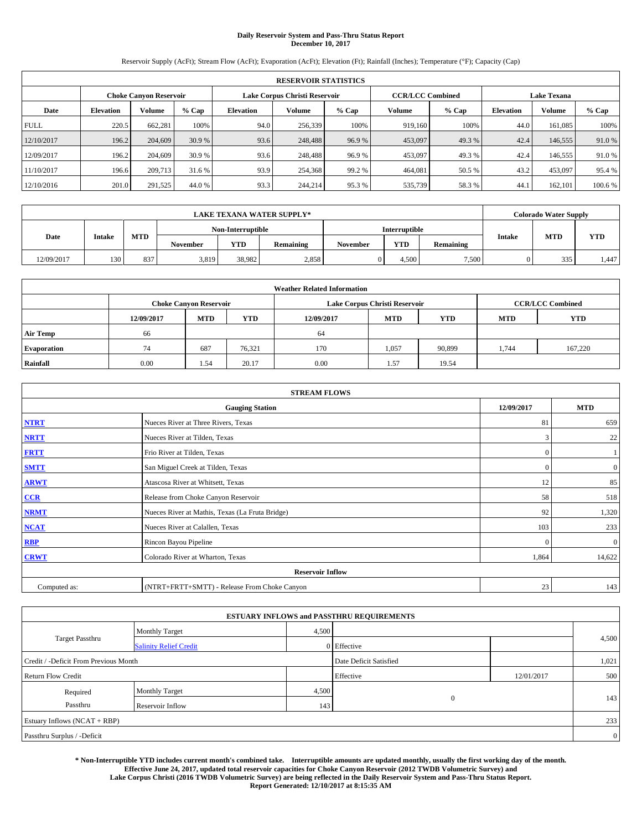# **Daily Reservoir System and Pass-Thru Status Report December 10, 2017**

Reservoir Supply (AcFt); Stream Flow (AcFt); Evaporation (AcFt); Elevation (Ft); Rainfall (Inches); Temperature (°F); Capacity (Cap)

|             | <b>RESERVOIR STATISTICS</b> |                               |         |                               |         |         |                         |         |                    |         |        |  |  |
|-------------|-----------------------------|-------------------------------|---------|-------------------------------|---------|---------|-------------------------|---------|--------------------|---------|--------|--|--|
|             |                             | <b>Choke Canyon Reservoir</b> |         | Lake Corpus Christi Reservoir |         |         | <b>CCR/LCC Combined</b> |         | <b>Lake Texana</b> |         |        |  |  |
| Date        | <b>Elevation</b>            | Volume                        | $%$ Cap | <b>Elevation</b>              | Volume  | $%$ Cap | Volume                  | $%$ Cap | <b>Elevation</b>   | Volume  | % Cap  |  |  |
| <b>FULL</b> | 220.5                       | 662.281                       | 100%    | 94.0                          | 256,339 | 100%    | 919.160                 | 100%    | 44.0               | 161,085 | 100%   |  |  |
| 12/10/2017  | 196.2                       | 204,609                       | 30.9 %  | 93.6                          | 248,488 | 96.9%   | 453,097                 | 49.3 %  | 42.4               | 146,555 | 91.0%  |  |  |
| 12/09/2017  | 196.2                       | 204,609                       | 30.9 %  | 93.6                          | 248,488 | 96.9%   | 453,097                 | 49.3 %  | 42.4               | 146,555 | 91.0 % |  |  |
| 11/10/2017  | 196.6                       | 209,713                       | 31.6 %  | 93.9                          | 254,368 | 99.2 %  | 464,081                 | 50.5 %  | 43.2               | 453,097 | 95.4 % |  |  |
| 12/10/2016  | 201.0                       | 291,525                       | 44.0 %  | 93.3                          | 244,214 | 95.3%   | 535,739                 | 58.3%   | 44.1               | 162,101 | 100.6% |  |  |

|            | LAKE TEXANA WATER SUPPLY* |                                             |                   |        |                  |          |               |           |               | <b>Colorado Water Supply</b> |            |  |
|------------|---------------------------|---------------------------------------------|-------------------|--------|------------------|----------|---------------|-----------|---------------|------------------------------|------------|--|
|            |                           |                                             | Non-Interruptible |        |                  |          | Interruptible |           |               |                              |            |  |
| Date       | <b>Intake</b>             | <b>MTD</b><br><b>YTD</b><br><b>November</b> |                   |        | <b>Remaining</b> | November | <b>YTD</b>    | Remaining | <b>Intake</b> | <b>MTD</b>                   | <b>YTD</b> |  |
| 12/09/2017 | 130                       | 837                                         | 3,819             | 38,982 | 2,858            |          | 4,500         | 7,500     |               | 335                          | 1,447      |  |

|                    | <b>Weather Related Information</b> |                                                                                  |        |      |                               |                         |       |         |  |  |  |  |  |
|--------------------|------------------------------------|----------------------------------------------------------------------------------|--------|------|-------------------------------|-------------------------|-------|---------|--|--|--|--|--|
|                    |                                    | <b>Choke Canyon Reservoir</b>                                                    |        |      | Lake Corpus Christi Reservoir | <b>CCR/LCC Combined</b> |       |         |  |  |  |  |  |
|                    | 12/09/2017                         | <b>YTD</b><br><b>MTD</b><br><b>MTD</b><br>12/09/2017<br><b>YTD</b><br><b>MTD</b> |        |      |                               |                         |       |         |  |  |  |  |  |
| <b>Air Temp</b>    | 66                                 |                                                                                  |        | 64   |                               |                         |       |         |  |  |  |  |  |
| <b>Evaporation</b> | 74                                 | 687                                                                              | 76,321 | 170  | 1,057                         | 90,899                  | 1.744 | 167,220 |  |  |  |  |  |
| Rainfall           | 0.00                               | 1.54                                                                             | 20.17  | 0.00 | 1.57                          | 19.54                   |       |         |  |  |  |  |  |

| <b>STREAM FLOWS</b> |                                                 |              |                  |  |  |  |  |  |  |
|---------------------|-------------------------------------------------|--------------|------------------|--|--|--|--|--|--|
|                     | <b>Gauging Station</b>                          |              |                  |  |  |  |  |  |  |
| <b>NTRT</b>         | Nueces River at Three Rivers, Texas             |              |                  |  |  |  |  |  |  |
| <b>NRTT</b>         | Nueces River at Tilden, Texas                   | 3            | 22               |  |  |  |  |  |  |
| <b>FRTT</b>         | Frio River at Tilden, Texas                     | $\mathbf{0}$ |                  |  |  |  |  |  |  |
| <b>SMTT</b>         | San Miguel Creek at Tilden, Texas               | $\mathbf{0}$ | $\boldsymbol{0}$ |  |  |  |  |  |  |
| <b>ARWT</b>         | Atascosa River at Whitsett, Texas               | 12           | 85               |  |  |  |  |  |  |
| $CCR$               | Release from Choke Canyon Reservoir             | 58           | 518              |  |  |  |  |  |  |
| <b>NRMT</b>         | Nueces River at Mathis, Texas (La Fruta Bridge) | 92           | 1,320            |  |  |  |  |  |  |
| <b>NCAT</b>         | Nueces River at Calallen, Texas                 | 103          | 233              |  |  |  |  |  |  |
| RBP                 | Rincon Bayou Pipeline                           | $\Omega$     | $\mathbf{0}$     |  |  |  |  |  |  |
| <b>CRWT</b>         | Colorado River at Wharton, Texas                | 1,864        | 14,622           |  |  |  |  |  |  |
|                     |                                                 |              |                  |  |  |  |  |  |  |
| Computed as:        | (NTRT+FRTT+SMTT) - Release From Choke Canyon    | 23           | 143              |  |  |  |  |  |  |

| <b>ESTUARY INFLOWS and PASSTHRU REQUIREMENTS</b> |                               |       |                        |            |                |  |  |  |  |  |
|--------------------------------------------------|-------------------------------|-------|------------------------|------------|----------------|--|--|--|--|--|
|                                                  | <b>Monthly Target</b>         | 4,500 |                        |            |                |  |  |  |  |  |
| <b>Target Passthru</b>                           | <b>Salinity Relief Credit</b> |       | 0 Effective            |            | 4,500          |  |  |  |  |  |
| Credit / -Deficit From Previous Month            |                               |       | Date Deficit Satisfied |            | 1,021          |  |  |  |  |  |
| <b>Return Flow Credit</b>                        |                               |       | Effective              | 12/01/2017 | 500            |  |  |  |  |  |
| Required                                         | Monthly Target                | 4,500 |                        |            |                |  |  |  |  |  |
| Passthru                                         | Reservoir Inflow              | 143   | $\overline{0}$         |            | 143            |  |  |  |  |  |
| Estuary Inflows (NCAT + RBP)                     |                               |       |                        |            |                |  |  |  |  |  |
| Passthru Surplus / -Deficit                      |                               |       |                        |            | $\overline{0}$ |  |  |  |  |  |

**\* Non-Interruptible YTD includes current month's combined take. Interruptible amounts are updated monthly, usually the first working day of the month. Effective June 24, 2017, updated total reservoir capacities for Choke Canyon Reservoir (2012 TWDB Volumetric Survey) and Lake Corpus Christi (2016 TWDB Volumetric Survey) are being reflected in the Daily Reservoir System and Pass-Thru Status Report. Report Generated: 12/10/2017 at 8:15:35 AM**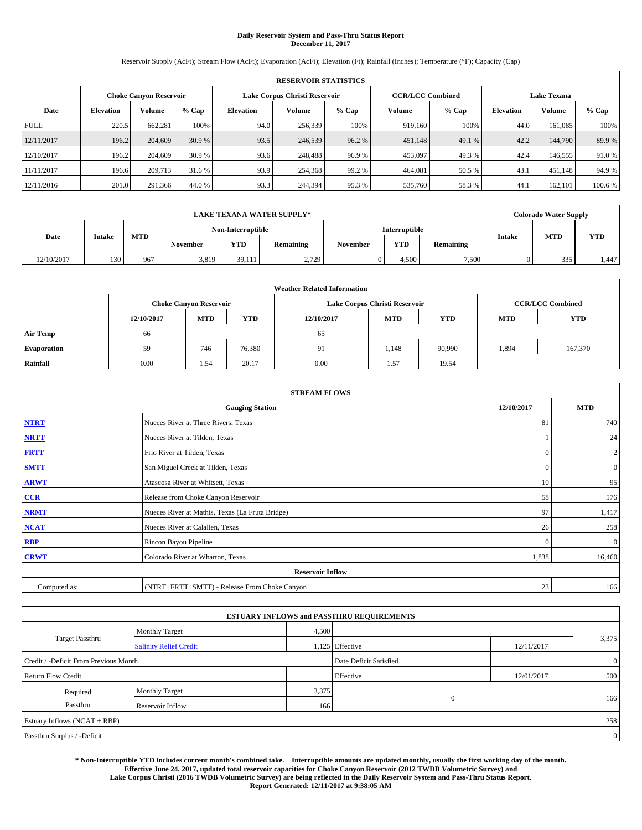# **Daily Reservoir System and Pass-Thru Status Report December 11, 2017**

Reservoir Supply (AcFt); Stream Flow (AcFt); Evaporation (AcFt); Elevation (Ft); Rainfall (Inches); Temperature (°F); Capacity (Cap)

|             | <b>RESERVOIR STATISTICS</b> |                               |         |                  |                               |         |                         |         |                    |         |         |  |
|-------------|-----------------------------|-------------------------------|---------|------------------|-------------------------------|---------|-------------------------|---------|--------------------|---------|---------|--|
|             |                             | <b>Choke Canyon Reservoir</b> |         |                  | Lake Corpus Christi Reservoir |         | <b>CCR/LCC Combined</b> |         | <b>Lake Texana</b> |         |         |  |
| Date        | <b>Elevation</b>            | Volume                        | $%$ Cap | <b>Elevation</b> | Volume                        | $%$ Cap | Volume                  | $%$ Cap | <b>Elevation</b>   | Volume  | % Cap   |  |
| <b>FULL</b> | 220.5                       | 662.281                       | 100%    | 94.0             | 256,339                       | 100%    | 919,160                 | 100%    | 44.0               | 161,085 | 100%    |  |
| 12/11/2017  | 196.2                       | 204,609                       | 30.9 %  | 93.5             | 246,539                       | 96.2 %  | 451,148                 | 49.1 %  | 42.2               | 144,790 | 89.9%   |  |
| 12/10/2017  | 196.2                       | 204,609                       | 30.9 %  | 93.6             | 248,488                       | 96.9%   | 453,097                 | 49.3 %  | 42.4               | 146,555 | 91.0 %  |  |
| 11/11/2017  | 196.6                       | 209,713                       | 31.6 %  | 93.9             | 254,368                       | 99.2 %  | 464,081                 | 50.5 %  | 43.1               | 451,148 | 94.9%   |  |
| 12/11/2016  | 201.0                       | 291,366                       | 44.0 %  | 93.3             | 244,394                       | 95.3%   | 535,760                 | 58.3%   | 44.1               | 162,101 | 100.6 % |  |

| LAKE TEXANA WATER SUPPLY* |               |                   |          |            |                      |          |            | <b>Colorado Water Supply</b> |               |            |            |
|---------------------------|---------------|-------------------|----------|------------|----------------------|----------|------------|------------------------------|---------------|------------|------------|
|                           |               | Non-Interruptible |          |            | <b>Interruptible</b> |          |            |                              |               |            |            |
| Date                      | <b>Intake</b> | <b>MTD</b>        | November | <b>YTD</b> | <b>Remaining</b>     | November | <b>YTD</b> | <b>Remaining</b>             | <b>Intake</b> | <b>MTD</b> | <b>YTD</b> |
| 12/10/2017                | 130           | 967               | 3,819    | 39.111     | 2,729                |          | 4.500      | 7,500                        |               | 335        | 1.447      |

| <b>Weather Related Information</b> |            |                               |            |            |                               |                         |            |            |  |  |
|------------------------------------|------------|-------------------------------|------------|------------|-------------------------------|-------------------------|------------|------------|--|--|
|                                    |            | <b>Choke Canyon Reservoir</b> |            |            | Lake Corpus Christi Reservoir | <b>CCR/LCC Combined</b> |            |            |  |  |
|                                    | 12/10/2017 | <b>MTD</b>                    | <b>YTD</b> | 12/10/2017 | <b>MTD</b>                    | <b>YTD</b>              | <b>MTD</b> | <b>YTD</b> |  |  |
| <b>Air Temp</b>                    | 66         |                               |            | 65         |                               |                         |            |            |  |  |
| <b>Evaporation</b>                 | 59         | 746                           | 76,380     | 91         | 1,148                         | 90,990                  | 1,894      | 167,370    |  |  |
| Rainfall                           | 0.00       | 1.54                          | 20.17      | 0.00       | 1.57                          | 19.54                   |            |            |  |  |

| <b>STREAM FLOWS</b> |                                                 |              |                  |  |  |  |  |  |  |
|---------------------|-------------------------------------------------|--------------|------------------|--|--|--|--|--|--|
|                     | <b>Gauging Station</b>                          |              |                  |  |  |  |  |  |  |
| <b>NTRT</b>         | Nueces River at Three Rivers, Texas             |              |                  |  |  |  |  |  |  |
| <b>NRTT</b>         | Nueces River at Tilden, Texas                   |              | 24               |  |  |  |  |  |  |
| <b>FRTT</b>         | Frio River at Tilden, Texas                     | $\mathbf{0}$ | $\boldsymbol{2}$ |  |  |  |  |  |  |
| <b>SMTT</b>         | San Miguel Creek at Tilden, Texas               | $\mathbf{0}$ | $\overline{0}$   |  |  |  |  |  |  |
| <b>ARWT</b>         | Atascosa River at Whitsett, Texas               | 10           | 95               |  |  |  |  |  |  |
| $CCR$               | Release from Choke Canyon Reservoir             | 58           | 576              |  |  |  |  |  |  |
| <b>NRMT</b>         | Nueces River at Mathis, Texas (La Fruta Bridge) | 97           | 1,417            |  |  |  |  |  |  |
| <b>NCAT</b>         | Nueces River at Calallen, Texas                 | 26           | 258              |  |  |  |  |  |  |
| RBP                 | Rincon Bayou Pipeline                           | $\Omega$     | $\mathbf{0}$     |  |  |  |  |  |  |
| <b>CRWT</b>         | Colorado River at Wharton, Texas                | 1,838        | 16,460           |  |  |  |  |  |  |
|                     | <b>Reservoir Inflow</b>                         |              |                  |  |  |  |  |  |  |
| Computed as:        | (NTRT+FRTT+SMTT) - Release From Choke Canyon    | 23           | 166              |  |  |  |  |  |  |

|                                       |                               |       | <b>ESTUARY INFLOWS and PASSTHRU REQUIREMENTS</b> |            |                |
|---------------------------------------|-------------------------------|-------|--------------------------------------------------|------------|----------------|
|                                       | <b>Monthly Target</b>         | 4,500 |                                                  |            |                |
| <b>Target Passthru</b>                | <b>Salinity Relief Credit</b> |       | 1,125 Effective                                  | 12/11/2017 | 3,375          |
| Credit / -Deficit From Previous Month |                               |       | Date Deficit Satisfied                           |            | $\overline{0}$ |
| <b>Return Flow Credit</b>             |                               |       | Effective                                        | 12/01/2017 | 500            |
| Required                              | Monthly Target                | 3,375 |                                                  |            |                |
| Passthru                              | <b>Reservoir Inflow</b>       | 166   | $\mathbf{0}$                                     |            | 166            |
| Estuary Inflows (NCAT + RBP)          |                               |       |                                                  |            | 258            |
| Passthru Surplus / -Deficit           |                               |       |                                                  |            | $\overline{0}$ |

**\* Non-Interruptible YTD includes current month's combined take. Interruptible amounts are updated monthly, usually the first working day of the month. Effective June 24, 2017, updated total reservoir capacities for Choke Canyon Reservoir (2012 TWDB Volumetric Survey) and Lake Corpus Christi (2016 TWDB Volumetric Survey) are being reflected in the Daily Reservoir System and Pass-Thru Status Report. Report Generated: 12/11/2017 at 9:38:05 AM**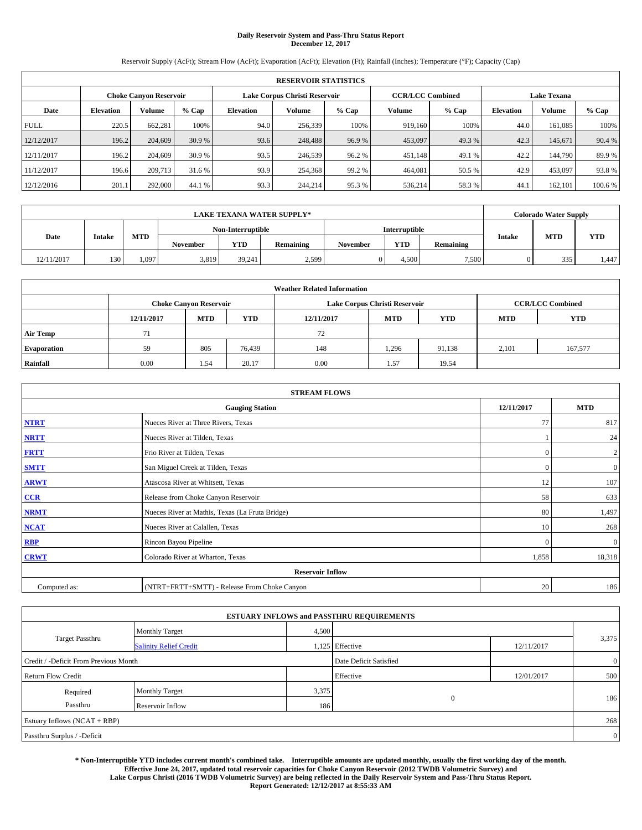# **Daily Reservoir System and Pass-Thru Status Report December 12, 2017**

Reservoir Supply (AcFt); Stream Flow (AcFt); Evaporation (AcFt); Elevation (Ft); Rainfall (Inches); Temperature (°F); Capacity (Cap)

| <b>RESERVOIR STATISTICS</b> |                  |                               |         |                  |                               |         |                         |         |                    |         |        |
|-----------------------------|------------------|-------------------------------|---------|------------------|-------------------------------|---------|-------------------------|---------|--------------------|---------|--------|
|                             |                  | <b>Choke Canyon Reservoir</b> |         |                  | Lake Corpus Christi Reservoir |         | <b>CCR/LCC Combined</b> |         | <b>Lake Texana</b> |         |        |
| Date                        | <b>Elevation</b> | Volume                        | $%$ Cap | <b>Elevation</b> | Volume                        | $%$ Cap | Volume                  | $%$ Cap | <b>Elevation</b>   | Volume  | % Cap  |
| <b>FULL</b>                 | 220.5            | 662.281                       | 100%    | 94.0             | 256,339                       | 100%    | 919.160                 | 100%    | 44.0               | 161,085 | 100%   |
| 12/12/2017                  | 196.2            | 204,609                       | 30.9 %  | 93.6             | 248,488                       | 96.9%   | 453,097                 | 49.3 %  | 42.3               | 145,671 | 90.4 % |
| 12/11/2017                  | 196.2            | 204,609                       | 30.9 %  | 93.5             | 246,539                       | 96.2%   | 451,148                 | 49.1 %  | 42.2               | 144,790 | 89.9 % |
| 11/12/2017                  | 196.6            | 209,713                       | 31.6 %  | 93.9             | 254,368                       | 99.2 %  | 464,081                 | 50.5 %  | 42.9               | 453,097 | 93.8%  |
| 12/12/2016                  | 201.1            | 292,000                       | 44.1 %  | 93.3             | 244,214                       | 95.3%   | 536,214                 | 58.3%   | 44.1               | 162,101 | 100.6% |

| <b>LAKE TEXANA WATER SUPPLY*</b>   |               |            |                 |        |                  |          |       | <b>Colorado Water Supply</b> |        |            |            |
|------------------------------------|---------------|------------|-----------------|--------|------------------|----------|-------|------------------------------|--------|------------|------------|
| Non-Interruptible<br>Interruptible |               |            |                 |        |                  |          |       |                              |        |            |            |
| Date                               | <b>Intake</b> | <b>MTD</b> | <b>November</b> | YTD    | <b>Remaining</b> | November | YTD   | <b>Remaining</b>             | Intake | <b>MTD</b> | <b>YTD</b> |
| 12/11/2017                         | 130           | 1.097      | 3.819           | 39.241 | 2,599            |          | 4.500 | 7,500                        |        | 335        | 1.447      |

| <b>Weather Related Information</b> |            |                               |            |            |                               |                         |            |            |  |  |
|------------------------------------|------------|-------------------------------|------------|------------|-------------------------------|-------------------------|------------|------------|--|--|
|                                    |            | <b>Choke Canyon Reservoir</b> |            |            | Lake Corpus Christi Reservoir | <b>CCR/LCC Combined</b> |            |            |  |  |
|                                    | 12/11/2017 | <b>MTD</b>                    | <b>YTD</b> | 12/11/2017 | <b>MTD</b>                    | <b>YTD</b>              | <b>MTD</b> | <b>YTD</b> |  |  |
| <b>Air Temp</b>                    | 71         |                               |            | 72         |                               |                         |            |            |  |  |
| <b>Evaporation</b>                 | 59         | 805                           | 76,439     | 148        | 1,296                         | 91,138                  | 2,101      | 167,577    |  |  |
| Rainfall                           | 0.00       | 1.54                          | 20.17      | 0.00       | 1.57                          | 19.54                   |            |            |  |  |

| <b>STREAM FLOWS</b> |                                                 |              |                  |  |  |  |  |  |  |
|---------------------|-------------------------------------------------|--------------|------------------|--|--|--|--|--|--|
|                     | <b>Gauging Station</b>                          |              |                  |  |  |  |  |  |  |
| <b>NTRT</b>         | Nueces River at Three Rivers, Texas             |              |                  |  |  |  |  |  |  |
| <b>NRTT</b>         | Nueces River at Tilden, Texas                   |              | 24               |  |  |  |  |  |  |
| <b>FRTT</b>         | Frio River at Tilden, Texas                     | $\mathbf{0}$ | $\boldsymbol{2}$ |  |  |  |  |  |  |
| <b>SMTT</b>         | San Miguel Creek at Tilden, Texas               | $\mathbf{0}$ | $\overline{0}$   |  |  |  |  |  |  |
| <b>ARWT</b>         | Atascosa River at Whitsett, Texas               | 12           | 107              |  |  |  |  |  |  |
| $CCR$               | Release from Choke Canyon Reservoir             | 58           | 633              |  |  |  |  |  |  |
| <b>NRMT</b>         | Nueces River at Mathis, Texas (La Fruta Bridge) | 80           | 1,497            |  |  |  |  |  |  |
| <b>NCAT</b>         | Nueces River at Calallen, Texas                 | 10           | 268              |  |  |  |  |  |  |
| RBP                 | Rincon Bayou Pipeline                           | $\Omega$     | $\mathbf{0}$     |  |  |  |  |  |  |
| <b>CRWT</b>         | Colorado River at Wharton, Texas                | 1,858        | 18,318           |  |  |  |  |  |  |
|                     |                                                 |              |                  |  |  |  |  |  |  |
| Computed as:        | (NTRT+FRTT+SMTT) - Release From Choke Canyon    | 20           | 186              |  |  |  |  |  |  |

|                                       |                               |       | <b>ESTUARY INFLOWS and PASSTHRU REQUIREMENTS</b> |            |                |
|---------------------------------------|-------------------------------|-------|--------------------------------------------------|------------|----------------|
|                                       | <b>Monthly Target</b>         | 4,500 |                                                  |            |                |
| <b>Target Passthru</b>                | <b>Salinity Relief Credit</b> |       | 1,125 Effective                                  | 12/11/2017 | 3,375          |
| Credit / -Deficit From Previous Month |                               |       | Date Deficit Satisfied                           |            | $\overline{0}$ |
| <b>Return Flow Credit</b>             |                               |       | Effective                                        | 12/01/2017 | 500            |
| Required                              | Monthly Target                | 3,375 |                                                  |            |                |
| Passthru                              | <b>Reservoir Inflow</b>       | 186   | $\mathbf{0}$                                     |            | 186            |
| Estuary Inflows (NCAT + RBP)          |                               |       |                                                  |            | 268            |
| Passthru Surplus / -Deficit           |                               |       |                                                  |            | $\overline{0}$ |

**\* Non-Interruptible YTD includes current month's combined take. Interruptible amounts are updated monthly, usually the first working day of the month. Effective June 24, 2017, updated total reservoir capacities for Choke Canyon Reservoir (2012 TWDB Volumetric Survey) and Lake Corpus Christi (2016 TWDB Volumetric Survey) are being reflected in the Daily Reservoir System and Pass-Thru Status Report. Report Generated: 12/12/2017 at 8:55:33 AM**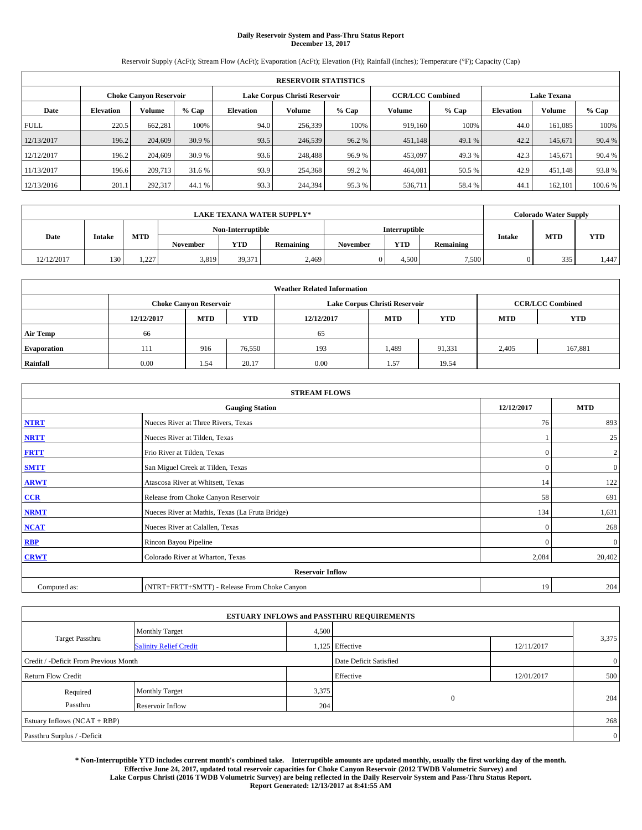# **Daily Reservoir System and Pass-Thru Status Report December 13, 2017**

Reservoir Supply (AcFt); Stream Flow (AcFt); Evaporation (AcFt); Elevation (Ft); Rainfall (Inches); Temperature (°F); Capacity (Cap)

|             | <b>RESERVOIR STATISTICS</b>   |         |         |                               |         |         |                         |         |                    |               |        |
|-------------|-------------------------------|---------|---------|-------------------------------|---------|---------|-------------------------|---------|--------------------|---------------|--------|
|             | <b>Choke Canyon Reservoir</b> |         |         | Lake Corpus Christi Reservoir |         |         | <b>CCR/LCC Combined</b> |         | <b>Lake Texana</b> |               |        |
| Date        | <b>Elevation</b>              | Volume  | $%$ Cap | <b>Elevation</b>              | Volume  | $%$ Cap | Volume                  | $%$ Cap | <b>Elevation</b>   | <b>Volume</b> | % Cap  |
| <b>FULL</b> | 220.5                         | 662.281 | 100%    | 94.0                          | 256,339 | 100%    | 919,160                 | 100%    | 44.0               | 161,085       | 100%   |
| 12/13/2017  | 196.2                         | 204,609 | 30.9 %  | 93.5                          | 246,539 | 96.2 %  | 451,148                 | 49.1 %  | 42.2               | 145,671       | 90.4 % |
| 12/12/2017  | 196.2                         | 204,609 | 30.9 %  | 93.6                          | 248,488 | 96.9%   | 453,097                 | 49.3 %  | 42.3               | 145,671       | 90.4 % |
| 11/13/2017  | 196.6                         | 209,713 | 31.6 %  | 93.9                          | 254,368 | 99.2 %  | 464,081                 | 50.5 %  | 42.9               | 451,148       | 93.8%  |
| 12/13/2016  | 201.1                         | 292,317 | 44.1 %  | 93.3                          | 244,394 | 95.3%   | 536,711                 | 58.4%   | 44.1               | 162,101       | 100.6% |

|            | <b>LAKE TEXANA WATER SUPPLY*</b> |              |                 |                   |                  |          |               |                  |        |            | <b>Colorado Water Supply</b> |
|------------|----------------------------------|--------------|-----------------|-------------------|------------------|----------|---------------|------------------|--------|------------|------------------------------|
|            |                                  |              |                 | Non-Interruptible |                  |          | Interruptible |                  |        |            |                              |
| Date       | <b>Intake</b>                    | <b>MTD</b>   | <b>November</b> | YTD               | <b>Remaining</b> | November | YTD           | <b>Remaining</b> | Intake | <b>MTD</b> | <b>YTD</b>                   |
| 12/12/2017 | 130                              | 227<br>1.221 | 3.819           | 39.371            | 2,469            |          | 4.500         | 7,500            |        | 335        | 1.447                        |

| <b>Weather Related Information</b> |            |                               |            |            |                               |                         |            |            |  |  |
|------------------------------------|------------|-------------------------------|------------|------------|-------------------------------|-------------------------|------------|------------|--|--|
|                                    |            | <b>Choke Canyon Reservoir</b> |            |            | Lake Corpus Christi Reservoir | <b>CCR/LCC Combined</b> |            |            |  |  |
|                                    | 12/12/2017 | <b>MTD</b>                    | <b>YTD</b> | 12/12/2017 | <b>MTD</b>                    | <b>YTD</b>              | <b>MTD</b> | <b>YTD</b> |  |  |
| <b>Air Temp</b>                    | 66         |                               |            | 65         |                               |                         |            |            |  |  |
| <b>Evaporation</b>                 | 111        | 916                           | 76,550     | 193        | 1,489                         | 91,331                  | 2,405      | 167,881    |  |  |
| Rainfall                           | 0.00       | 1.54                          | 20.17      | 0.00       | 1.57                          | 19.54                   |            |            |  |  |

| <b>STREAM FLOWS</b> |                                                 |              |                  |  |  |  |  |  |  |
|---------------------|-------------------------------------------------|--------------|------------------|--|--|--|--|--|--|
|                     | <b>Gauging Station</b>                          | 12/12/2017   | <b>MTD</b>       |  |  |  |  |  |  |
| <b>NTRT</b>         | Nueces River at Three Rivers, Texas             | 76           | 893              |  |  |  |  |  |  |
| <b>NRTT</b>         | Nueces River at Tilden, Texas                   |              | 25               |  |  |  |  |  |  |
| <b>FRTT</b>         | Frio River at Tilden, Texas                     | $\mathbf{0}$ | $\boldsymbol{2}$ |  |  |  |  |  |  |
| <b>SMTT</b>         | San Miguel Creek at Tilden, Texas               | $\mathbf{0}$ | $\mathbf{0}$     |  |  |  |  |  |  |
| <b>ARWT</b>         | Atascosa River at Whitsett, Texas               | 14           | 122              |  |  |  |  |  |  |
| $CCR$               | Release from Choke Canyon Reservoir             | 58           | 691              |  |  |  |  |  |  |
| <b>NRMT</b>         | Nueces River at Mathis, Texas (La Fruta Bridge) | 134          | 1,631            |  |  |  |  |  |  |
| <b>NCAT</b>         | Nueces River at Calallen, Texas                 | $\mathbf{0}$ | 268              |  |  |  |  |  |  |
| RBP                 | Rincon Bayou Pipeline                           | $\Omega$     | $\mathbf{0}$     |  |  |  |  |  |  |
| <b>CRWT</b>         | Colorado River at Wharton, Texas                | 2,084        | 20,402           |  |  |  |  |  |  |
|                     | <b>Reservoir Inflow</b>                         |              |                  |  |  |  |  |  |  |
| Computed as:        | (NTRT+FRTT+SMTT) - Release From Choke Canyon    | 19           | 204              |  |  |  |  |  |  |

|                                       |                               |                        | <b>ESTUARY INFLOWS and PASSTHRU REQUIREMENTS</b> |                |       |  |  |
|---------------------------------------|-------------------------------|------------------------|--------------------------------------------------|----------------|-------|--|--|
|                                       | <b>Monthly Target</b>         | 4,500                  |                                                  |                |       |  |  |
| Target Passthru                       | <b>Salinity Relief Credit</b> |                        | 1,125 Effective                                  | 12/11/2017     | 3,375 |  |  |
| Credit / -Deficit From Previous Month |                               | Date Deficit Satisfied |                                                  | $\overline{0}$ |       |  |  |
| <b>Return Flow Credit</b>             |                               |                        | Effective                                        | 12/01/2017     | 500   |  |  |
| Required                              | Monthly Target                | 3,375                  |                                                  |                |       |  |  |
| Passthru                              | <b>Reservoir Inflow</b>       | 204                    | $\mathbf{0}$                                     |                | 204   |  |  |
| Estuary Inflows (NCAT + RBP)          |                               |                        |                                                  |                | 268   |  |  |
| Passthru Surplus / -Deficit           |                               |                        |                                                  |                |       |  |  |

**\* Non-Interruptible YTD includes current month's combined take. Interruptible amounts are updated monthly, usually the first working day of the month. Effective June 24, 2017, updated total reservoir capacities for Choke Canyon Reservoir (2012 TWDB Volumetric Survey) and Lake Corpus Christi (2016 TWDB Volumetric Survey) are being reflected in the Daily Reservoir System and Pass-Thru Status Report. Report Generated: 12/13/2017 at 8:41:55 AM**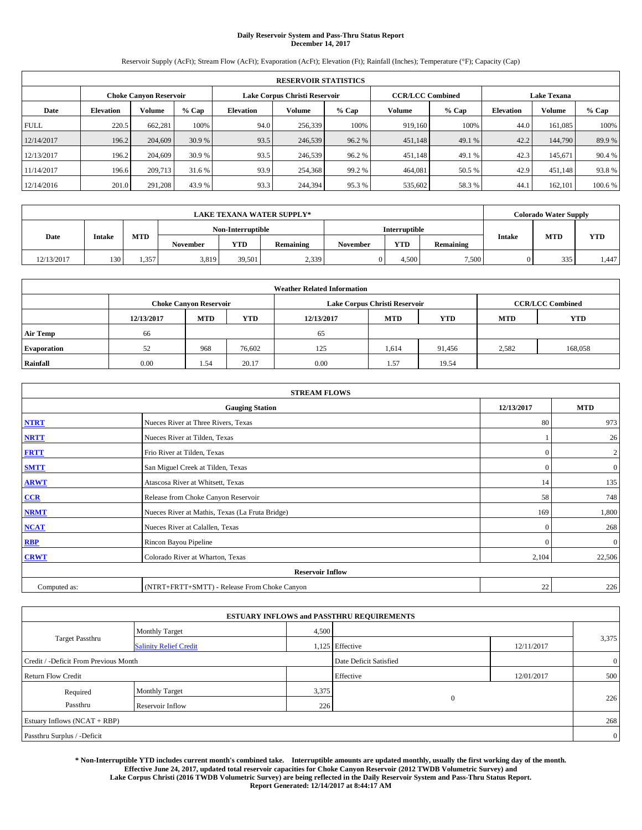# **Daily Reservoir System and Pass-Thru Status Report December 14, 2017**

Reservoir Supply (AcFt); Stream Flow (AcFt); Evaporation (AcFt); Elevation (Ft); Rainfall (Inches); Temperature (°F); Capacity (Cap)

|                                          | <b>RESERVOIR STATISTICS</b>   |         |         |                               |         |         |                         |         |                    |               |        |
|------------------------------------------|-------------------------------|---------|---------|-------------------------------|---------|---------|-------------------------|---------|--------------------|---------------|--------|
|                                          | <b>Choke Canyon Reservoir</b> |         |         | Lake Corpus Christi Reservoir |         |         | <b>CCR/LCC Combined</b> |         | <b>Lake Texana</b> |               |        |
| Date                                     | <b>Elevation</b>              | Volume  | $%$ Cap | <b>Elevation</b>              | Volume  | $%$ Cap | Volume                  | $%$ Cap | <b>Elevation</b>   | <b>Volume</b> | % Cap  |
| <b>FULL</b>                              | 220.5                         | 662.281 | 100%    | 94.0                          | 256,339 | 100%    | 919,160                 | 100%    | 44.0               | 161,085       | 100%   |
| 12/14/2017                               | 196.2                         | 204,609 | 30.9 %  | 93.5                          | 246,539 | 96.2 %  | 451,148                 | 49.1 %  | 42.2               | 144,790       | 89.9%  |
| 12/13/2017                               | 196.2                         | 204,609 | 30.9 %  | 93.5                          | 246,539 | 96.2%   | 451,148                 | 49.1 %  | 42.3               | 145,671       | 90.4 % |
| 11/14/2017                               | 196.6                         | 209,713 | 31.6 %  | 93.9                          | 254,368 | 99.2 %  | 464,081                 | 50.5 %  | 42.9               | 451,148       | 93.8%  |
| 201.0<br>291,208<br>43.9 %<br>12/14/2016 |                               |         |         | 93.3                          | 244,394 | 95.3%   | 535,602                 | 58.3%   | 44.1               | 162,101       | 100.6% |

|            | <b>LAKE TEXANA WATER SUPPLY*</b> |            |                   |        |                  |          |               |                  |        |            | <b>Colorado Water Supply</b> |
|------------|----------------------------------|------------|-------------------|--------|------------------|----------|---------------|------------------|--------|------------|------------------------------|
|            |                                  |            | Non-Interruptible |        |                  |          | Interruptible |                  |        |            |                              |
| Date       | <b>Intake</b>                    | <b>MTD</b> | <b>November</b>   | YTD    | <b>Remaining</b> | November | YTD           | <b>Remaining</b> | Intake | <b>MTD</b> | <b>YTD</b>                   |
| 12/13/2017 | 130                              | 1.357      | 3.819             | 39.501 | 2,339            |          | 4.500         | 7,500            |        | 335        | 1.447                        |

| <b>Weather Related Information</b> |            |                               |            |            |                               |                         |            |            |  |  |
|------------------------------------|------------|-------------------------------|------------|------------|-------------------------------|-------------------------|------------|------------|--|--|
|                                    |            | <b>Choke Canyon Reservoir</b> |            |            | Lake Corpus Christi Reservoir | <b>CCR/LCC Combined</b> |            |            |  |  |
|                                    | 12/13/2017 | <b>MTD</b>                    | <b>YTD</b> | 12/13/2017 | <b>MTD</b>                    | YTD.                    | <b>MTD</b> | <b>YTD</b> |  |  |
| <b>Air Temp</b>                    | 66         |                               |            | 65         |                               |                         |            |            |  |  |
| <b>Evaporation</b>                 | 52         | 968                           | 76.602     | 125        | 1.614                         | 91,456                  | 2,582      | 168,058    |  |  |
| Rainfall                           | 0.00       | 1.54                          | 20.17      | 0.00       | 1.57                          | 19.54                   |            |            |  |  |

| <b>STREAM FLOWS</b> |                                                 |              |                  |  |  |  |  |  |  |
|---------------------|-------------------------------------------------|--------------|------------------|--|--|--|--|--|--|
|                     | <b>Gauging Station</b>                          | 12/13/2017   | <b>MTD</b>       |  |  |  |  |  |  |
| <b>NTRT</b>         | Nueces River at Three Rivers, Texas             | 80           | 973              |  |  |  |  |  |  |
| <b>NRTT</b>         | Nueces River at Tilden, Texas                   |              | 26               |  |  |  |  |  |  |
| <b>FRTT</b>         | Frio River at Tilden, Texas                     | $\mathbf{0}$ | $\boldsymbol{2}$ |  |  |  |  |  |  |
| <b>SMTT</b>         | San Miguel Creek at Tilden, Texas               | $\mathbf{0}$ | $\overline{0}$   |  |  |  |  |  |  |
| <b>ARWT</b>         | Atascosa River at Whitsett, Texas               | 14           | 135              |  |  |  |  |  |  |
| $CCR$               | Release from Choke Canyon Reservoir             | 58           | 748              |  |  |  |  |  |  |
| <b>NRMT</b>         | Nueces River at Mathis, Texas (La Fruta Bridge) | 169          | 1,800            |  |  |  |  |  |  |
| <b>NCAT</b>         | Nueces River at Calallen, Texas                 | $\Omega$     | 268              |  |  |  |  |  |  |
| <b>RBP</b>          | Rincon Bayou Pipeline                           | $\mathbf{0}$ | $\mathbf{0}$     |  |  |  |  |  |  |
| <b>CRWT</b>         | Colorado River at Wharton, Texas                | 2,104        | 22,506           |  |  |  |  |  |  |
|                     | <b>Reservoir Inflow</b>                         |              |                  |  |  |  |  |  |  |
| Computed as:        | (NTRT+FRTT+SMTT) - Release From Choke Canyon    | 22           | 226              |  |  |  |  |  |  |

|                                       |                               |                        | <b>ESTUARY INFLOWS and PASSTHRU REQUIREMENTS</b> |                |       |  |  |
|---------------------------------------|-------------------------------|------------------------|--------------------------------------------------|----------------|-------|--|--|
|                                       | <b>Monthly Target</b>         | 4,500                  |                                                  |                |       |  |  |
| Target Passthru                       | <b>Salinity Relief Credit</b> |                        | 1,125 Effective                                  | 12/11/2017     | 3,375 |  |  |
| Credit / -Deficit From Previous Month |                               | Date Deficit Satisfied |                                                  | $\overline{0}$ |       |  |  |
| <b>Return Flow Credit</b>             |                               |                        | Effective                                        | 12/01/2017     | 500   |  |  |
| Required                              | Monthly Target                | 3,375                  |                                                  |                |       |  |  |
| Passthru                              | <b>Reservoir Inflow</b>       | 226                    | $\mathbf{0}$                                     |                | 226   |  |  |
| Estuary Inflows (NCAT + RBP)          |                               |                        |                                                  |                | 268   |  |  |
| Passthru Surplus / -Deficit           |                               |                        |                                                  |                |       |  |  |

**\* Non-Interruptible YTD includes current month's combined take. Interruptible amounts are updated monthly, usually the first working day of the month. Effective June 24, 2017, updated total reservoir capacities for Choke Canyon Reservoir (2012 TWDB Volumetric Survey) and Lake Corpus Christi (2016 TWDB Volumetric Survey) are being reflected in the Daily Reservoir System and Pass-Thru Status Report. Report Generated: 12/14/2017 at 8:44:17 AM**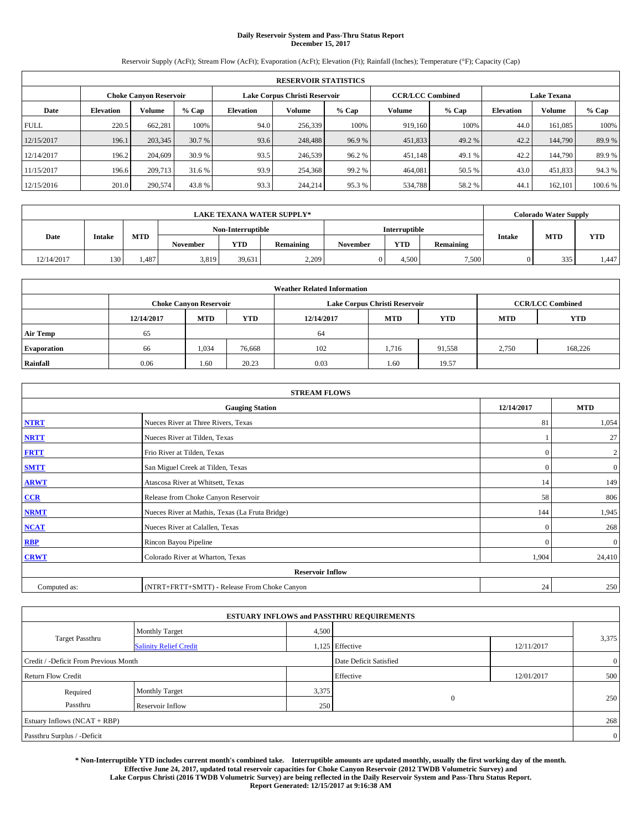# **Daily Reservoir System and Pass-Thru Status Report December 15, 2017**

Reservoir Supply (AcFt); Stream Flow (AcFt); Evaporation (AcFt); Elevation (Ft); Rainfall (Inches); Temperature (°F); Capacity (Cap)

|             | <b>RESERVOIR STATISTICS</b> |         |        |                               |         |         |                         |         |                    |               |        |
|-------------|-----------------------------|---------|--------|-------------------------------|---------|---------|-------------------------|---------|--------------------|---------------|--------|
|             | Choke Canvon Reservoir      |         |        | Lake Corpus Christi Reservoir |         |         | <b>CCR/LCC Combined</b> |         | <b>Lake Texana</b> |               |        |
| Date        | <b>Elevation</b>            | Volume  | % Cap  | <b>Elevation</b>              | Volume  | $%$ Cap | Volume                  | $%$ Cap | <b>Elevation</b>   | <b>Volume</b> | % Cap  |
| <b>FULL</b> | 220.5                       | 662,281 | 100%   | 94.0                          | 256,339 | 100%    | 919.160                 | 100%    | 44.0               | 161.085       | 100%   |
| 12/15/2017  | 196.1                       | 203,345 | 30.7 % | 93.6                          | 248,488 | 96.9%   | 451,833                 | 49.2 %  | 42.2               | 144,790       | 89.9%  |
| 12/14/2017  | 196.2                       | 204,609 | 30.9 % | 93.5                          | 246,539 | 96.2%   | 451,148                 | 49.1 %  | 42.2               | 144,790       | 89.9%  |
| 11/15/2017  | 196.6                       | 209,713 | 31.6 % | 93.9                          | 254,368 | 99.2 %  | 464.081                 | 50.5 %  | 43.0               | 451,833       | 94.3%  |
| 12/15/2016  | 201.0                       | 290,574 | 43.8%  | 93.3                          | 244,214 | 95.3%   | 534,788                 | 58.2%   | 44.                | 162,101       | 100.6% |

|            | <b>LAKE TEXANA WATER SUPPLY*</b> |            |                 |                   |           |          |               |                  |        |            | <b>Colorado Water Supply</b> |
|------------|----------------------------------|------------|-----------------|-------------------|-----------|----------|---------------|------------------|--------|------------|------------------------------|
|            |                                  |            |                 | Non-Interruptible |           |          | Interruptible |                  |        | <b>MTD</b> |                              |
| Date       | <b>Intake</b>                    | <b>MTD</b> | <b>November</b> | <b>YTD</b>        | Remaining | November | <b>YTD</b>    | <b>Remaining</b> | Intake |            | <b>YTD</b>                   |
| 12/14/2017 | 130                              | 1.487      | 3,819           | 39.631            | 2,209     |          | 4.500         | 7,500            |        | 335        | 1.447                        |

| <b>Weather Related Information</b> |            |                               |            |            |                                                      |                         |       |         |  |
|------------------------------------|------------|-------------------------------|------------|------------|------------------------------------------------------|-------------------------|-------|---------|--|
|                                    |            | <b>Choke Canyon Reservoir</b> |            |            | Lake Corpus Christi Reservoir                        | <b>CCR/LCC Combined</b> |       |         |  |
|                                    | 12/14/2017 | <b>MTD</b>                    | <b>YTD</b> | 12/14/2017 | <b>YTD</b><br><b>MTD</b><br><b>YTD</b><br><b>MTD</b> |                         |       |         |  |
| <b>Air Temp</b>                    | 65         |                               |            | 64         |                                                      |                         |       |         |  |
| <b>Evaporation</b>                 | 66         | 1,034                         | 76,668     | 102        | 1,716                                                | 91,558                  | 2,750 | 168,226 |  |
| Rainfall                           | 0.06       | 1.60                          | 20.23      | 0.03       | 1.60                                                 | 19.57                   |       |         |  |

| <b>STREAM FLOWS</b> |                                                 |              |                  |  |  |  |  |  |
|---------------------|-------------------------------------------------|--------------|------------------|--|--|--|--|--|
|                     | 12/14/2017                                      | <b>MTD</b>   |                  |  |  |  |  |  |
| <b>NTRT</b>         | Nueces River at Three Rivers, Texas             | 81           | 1,054            |  |  |  |  |  |
| <b>NRTT</b>         | Nueces River at Tilden, Texas                   |              | 27               |  |  |  |  |  |
| <b>FRTT</b>         | Frio River at Tilden, Texas                     | $\mathbf{0}$ | $\boldsymbol{2}$ |  |  |  |  |  |
| <b>SMTT</b>         | San Miguel Creek at Tilden, Texas               | $\mathbf{0}$ | $\mathbf{0}$     |  |  |  |  |  |
| <b>ARWT</b>         | Atascosa River at Whitsett, Texas               | 14           | 149              |  |  |  |  |  |
| $CCR$               | Release from Choke Canyon Reservoir             | 58           | 806              |  |  |  |  |  |
| <b>NRMT</b>         | Nueces River at Mathis, Texas (La Fruta Bridge) | 144          | 1,945            |  |  |  |  |  |
| <b>NCAT</b>         | Nueces River at Calallen, Texas                 | $\mathbf{0}$ | 268              |  |  |  |  |  |
| RBP                 | Rincon Bayou Pipeline                           | $\Omega$     | $\mathbf{0}$     |  |  |  |  |  |
| <b>CRWT</b>         | Colorado River at Wharton, Texas                | 1,904        | 24,410           |  |  |  |  |  |
|                     | <b>Reservoir Inflow</b>                         |              |                  |  |  |  |  |  |
| Computed as:        | (NTRT+FRTT+SMTT) - Release From Choke Canyon    | 24           | 250              |  |  |  |  |  |

|                                       |                               |       | <b>ESTUARY INFLOWS and PASSTHRU REQUIREMENTS</b> |            |                |
|---------------------------------------|-------------------------------|-------|--------------------------------------------------|------------|----------------|
|                                       | <b>Monthly Target</b>         | 4,500 |                                                  |            |                |
| Target Passthru                       | <b>Salinity Relief Credit</b> |       | 1,125 Effective                                  | 12/11/2017 | 3,375          |
| Credit / -Deficit From Previous Month |                               |       | Date Deficit Satisfied                           |            | $\overline{0}$ |
| <b>Return Flow Credit</b>             |                               |       | Effective                                        | 12/01/2017 | 500            |
| Required                              | Monthly Target                | 3,375 |                                                  |            |                |
| Passthru                              | <b>Reservoir Inflow</b>       | 250   | $\mathbf{0}$                                     |            | 250            |
| Estuary Inflows (NCAT + RBP)          |                               |       |                                                  |            | 268            |
| Passthru Surplus / -Deficit           |                               |       |                                                  |            | $\overline{0}$ |

**\* Non-Interruptible YTD includes current month's combined take. Interruptible amounts are updated monthly, usually the first working day of the month. Effective June 24, 2017, updated total reservoir capacities for Choke Canyon Reservoir (2012 TWDB Volumetric Survey) and Lake Corpus Christi (2016 TWDB Volumetric Survey) are being reflected in the Daily Reservoir System and Pass-Thru Status Report. Report Generated: 12/15/2017 at 9:16:38 AM**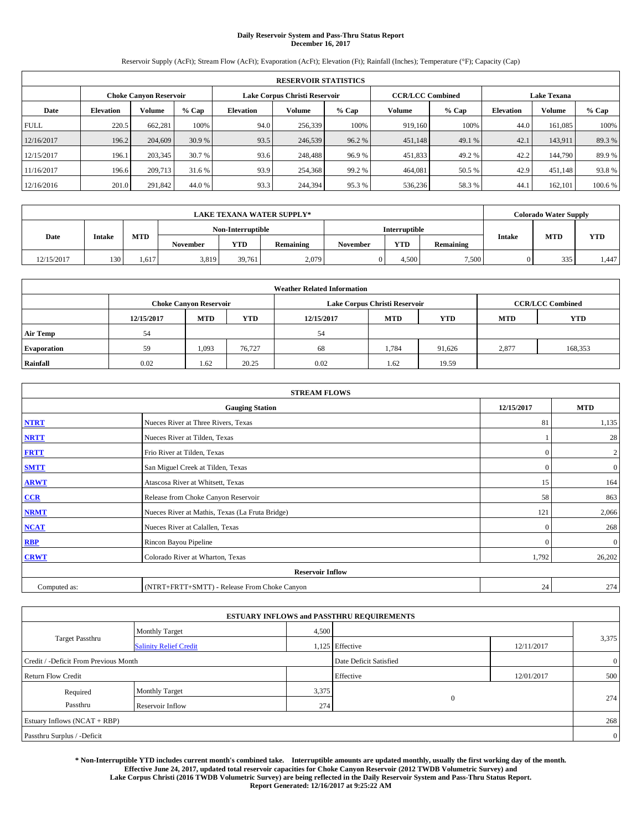# **Daily Reservoir System and Pass-Thru Status Report December 16, 2017**

Reservoir Supply (AcFt); Stream Flow (AcFt); Evaporation (AcFt); Elevation (Ft); Rainfall (Inches); Temperature (°F); Capacity (Cap)

| <b>RESERVOIR STATISTICS</b> |                  |                        |        |                  |                               |         |                         |         |                  |                    |        |  |
|-----------------------------|------------------|------------------------|--------|------------------|-------------------------------|---------|-------------------------|---------|------------------|--------------------|--------|--|
|                             |                  | Choke Canvon Reservoir |        |                  | Lake Corpus Christi Reservoir |         | <b>CCR/LCC Combined</b> |         |                  | <b>Lake Texana</b> |        |  |
| Date                        | <b>Elevation</b> | Volume                 | % Cap  | <b>Elevation</b> | Volume                        | $%$ Cap | Volume                  | $%$ Cap | <b>Elevation</b> | <b>Volume</b>      | % Cap  |  |
| <b>FULL</b>                 | 220.5            | 662,281                | 100%   | 94.0             | 256,339                       | 100%    | 919.160                 | 100%    | 44.0             | 161.085            | 100%   |  |
| 12/16/2017                  | 196.2            | 204,609                | 30.9 % | 93.5             | 246,539                       | 96.2%   | 451,148                 | 49.1 %  | 42.1             | 143,911            | 89.3%  |  |
| 12/15/2017                  | 196.1            | 203,345                | 30.7 % | 93.6             | 248,488                       | 96.9%   | 451,833                 | 49.2 %  | 42.2             | 144,790            | 89.9%  |  |
| 11/16/2017                  | 196.6            | 209,713                | 31.6 % | 93.9             | 254,368                       | 99.2 %  | 464.081                 | 50.5 %  | 42.9             | 451.148            | 93.8%  |  |
| 12/16/2016                  | 201.0            | 291,842                | 44.0 % | 93.3             | 244,394                       | 95.3%   | 536,236                 | 58.3%   | 44.              | 162,101            | 100.6% |  |

| <b>LAKE TEXANA WATER SUPPLY*</b> |               |            |                 |                   |                  |          |               |                  |        | <b>Colorado Water Supply</b> |            |
|----------------------------------|---------------|------------|-----------------|-------------------|------------------|----------|---------------|------------------|--------|------------------------------|------------|
|                                  |               |            |                 | Non-Interruptible |                  |          | Interruptible |                  |        |                              |            |
| Date                             | <b>Intake</b> | <b>MTD</b> | <b>November</b> | YTD               | <b>Remaining</b> | November | YTD           | <b>Remaining</b> | Intake | <b>MTD</b>                   | <b>YTD</b> |
| 12/15/2017                       | 130           | 1.617      | 3.819           | 39.761            | 2,079            |          | 4.500         | 7,500            |        | 335                          | 1.447      |

| <b>Weather Related Information</b> |            |                               |            |            |                                                      |                         |       |         |  |
|------------------------------------|------------|-------------------------------|------------|------------|------------------------------------------------------|-------------------------|-------|---------|--|
|                                    |            | <b>Choke Canyon Reservoir</b> |            |            | Lake Corpus Christi Reservoir                        | <b>CCR/LCC Combined</b> |       |         |  |
|                                    | 12/15/2017 | <b>MTD</b>                    | <b>YTD</b> | 12/15/2017 | <b>YTD</b><br><b>MTD</b><br><b>YTD</b><br><b>MTD</b> |                         |       |         |  |
| <b>Air Temp</b>                    | 54         |                               |            | 54         |                                                      |                         |       |         |  |
| <b>Evaporation</b>                 | 59         | 1,093                         | 76,727     | 68         | 1,784                                                | 91,626                  | 2,877 | 168,353 |  |
| Rainfall                           | 0.02       | 1.62                          | 20.25      | 0.02       | 1.62                                                 | 19.59                   |       |         |  |

| <b>STREAM FLOWS</b>     |                                                 |              |                  |  |  |  |  |  |
|-------------------------|-------------------------------------------------|--------------|------------------|--|--|--|--|--|
|                         | 12/15/2017                                      | <b>MTD</b>   |                  |  |  |  |  |  |
| <b>NTRT</b>             | Nueces River at Three Rivers, Texas             | 81           | 1,135            |  |  |  |  |  |
| <b>NRTT</b>             | Nueces River at Tilden, Texas                   |              | 28               |  |  |  |  |  |
| <b>FRTT</b>             | Frio River at Tilden, Texas                     | $\mathbf{0}$ | $\boldsymbol{2}$ |  |  |  |  |  |
| <b>SMTT</b>             | San Miguel Creek at Tilden, Texas               | $\mathbf{0}$ | $\mathbf{0}$     |  |  |  |  |  |
| <b>ARWT</b>             | Atascosa River at Whitsett, Texas               | 15           | 164              |  |  |  |  |  |
| $CCR$                   | Release from Choke Canyon Reservoir             | 58           | 863              |  |  |  |  |  |
| <b>NRMT</b>             | Nueces River at Mathis, Texas (La Fruta Bridge) | 121          | 2,066            |  |  |  |  |  |
| <b>NCAT</b>             | Nueces River at Calallen, Texas                 | $\mathbf{0}$ | 268              |  |  |  |  |  |
| RBP                     | Rincon Bayou Pipeline                           | $\Omega$     | $\mathbf{0}$     |  |  |  |  |  |
| <b>CRWT</b>             | Colorado River at Wharton, Texas                | 1,792        | 26,202           |  |  |  |  |  |
| <b>Reservoir Inflow</b> |                                                 |              |                  |  |  |  |  |  |
| Computed as:            | (NTRT+FRTT+SMTT) - Release From Choke Canyon    | 24           | 274              |  |  |  |  |  |

|                                       |                               |       | <b>ESTUARY INFLOWS and PASSTHRU REQUIREMENTS</b> |            |                |
|---------------------------------------|-------------------------------|-------|--------------------------------------------------|------------|----------------|
|                                       | <b>Monthly Target</b>         | 4,500 |                                                  |            |                |
| <b>Target Passthru</b>                | <b>Salinity Relief Credit</b> |       | 1,125 Effective                                  | 12/11/2017 | 3,375          |
| Credit / -Deficit From Previous Month |                               |       | Date Deficit Satisfied                           |            | $\overline{0}$ |
| <b>Return Flow Credit</b>             |                               |       | Effective                                        | 12/01/2017 | 500            |
| Required                              | Monthly Target                | 3,375 |                                                  |            |                |
| Passthru                              | <b>Reservoir Inflow</b>       | 274   | $\mathbf{0}$                                     |            | 274            |
| Estuary Inflows (NCAT + RBP)          |                               |       |                                                  |            | 268            |
| Passthru Surplus / -Deficit           |                               |       |                                                  |            | $\overline{0}$ |

**\* Non-Interruptible YTD includes current month's combined take. Interruptible amounts are updated monthly, usually the first working day of the month. Effective June 24, 2017, updated total reservoir capacities for Choke Canyon Reservoir (2012 TWDB Volumetric Survey) and Lake Corpus Christi (2016 TWDB Volumetric Survey) are being reflected in the Daily Reservoir System and Pass-Thru Status Report. Report Generated: 12/16/2017 at 9:25:22 AM**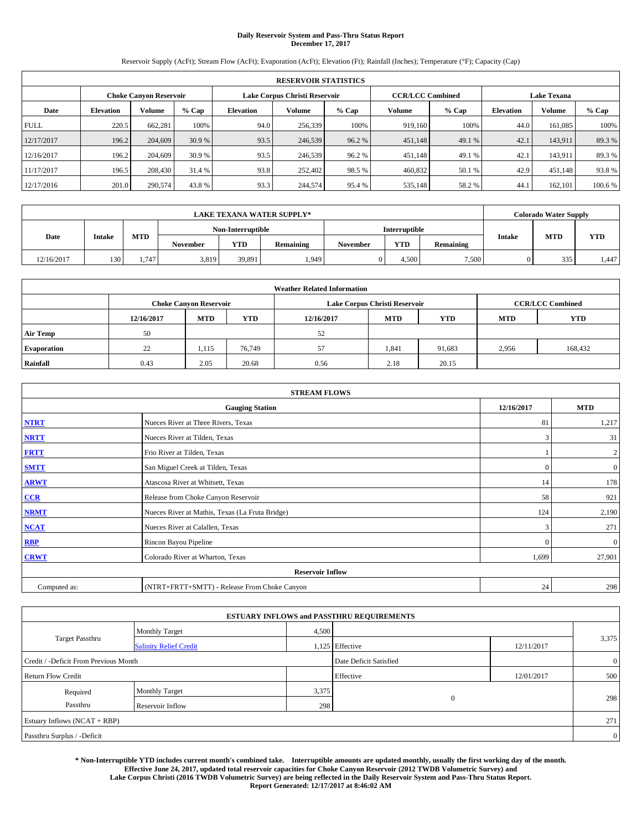# **Daily Reservoir System and Pass-Thru Status Report December 17, 2017**

Reservoir Supply (AcFt); Stream Flow (AcFt); Evaporation (AcFt); Elevation (Ft); Rainfall (Inches); Temperature (°F); Capacity (Cap)

| <b>RESERVOIR STATISTICS</b> |                  |                        |         |                  |                               |         |                         |         |                  |                    |         |  |
|-----------------------------|------------------|------------------------|---------|------------------|-------------------------------|---------|-------------------------|---------|------------------|--------------------|---------|--|
|                             |                  | Choke Canvon Reservoir |         |                  | Lake Corpus Christi Reservoir |         | <b>CCR/LCC Combined</b> |         |                  | <b>Lake Texana</b> |         |  |
| Date                        | <b>Elevation</b> | Volume                 | $%$ Cap | <b>Elevation</b> | <b>Volume</b>                 | $%$ Cap | Volume                  | $%$ Cap | <b>Elevation</b> | <b>Volume</b>      | $%$ Cap |  |
| <b>FULL</b>                 | 220.5            | 662,281                | 100%    | 94.0             | 256,339                       | 100%    | 919.160                 | 100%    | 44.0             | 161.085            | 100%    |  |
| 12/17/2017                  | 196.2            | 204,609                | 30.9 %  | 93.5             | 246,539                       | 96.2%   | 451,148                 | 49.1 %  | 42.1             | 143,911            | 89.3%   |  |
| 12/16/2017                  | 196.2            | 204,609                | 30.9 %  | 93.5             | 246,539                       | 96.2%   | 451,148                 | 49.1 %  | 42.              | 143.911            | 89.3%   |  |
| 11/17/2017                  | 196.5            | 208,430                | 31.4 %  | 93.8             | 252,402                       | 98.5 %  | 460,832                 | 50.1 %  | 42.9             | 451.148            | 93.8%   |  |
| 12/17/2016                  | 201.0            | 290,574                | 43.8%   | 93.3             | 244,574                       | 95.4 %  | 535,148                 | 58.2 %  | 44.              | 162,101            | 100.6%  |  |

| <b>LAKE TEXANA WATER SUPPLY*</b> |               |            |                 |                   |                  |          |               |                  |        | <b>Colorado Water Supply</b> |            |
|----------------------------------|---------------|------------|-----------------|-------------------|------------------|----------|---------------|------------------|--------|------------------------------|------------|
|                                  |               |            |                 | Non-Interruptible |                  |          | Interruptible |                  |        |                              |            |
| Date                             | <b>Intake</b> | <b>MTD</b> | <b>November</b> | YTD               | <b>Remaining</b> | November | YTD           | <b>Remaining</b> | Intake | <b>MTD</b>                   | <b>YTD</b> |
| 12/16/2017                       | 130           | 1.747      | 3.819           | 39,891            | 1,949            |          | 4.500         | 7,500            |        | 335                          | 1.447      |

| <b>Weather Related Information</b> |            |                               |            |            |                                                      |                         |       |         |  |  |
|------------------------------------|------------|-------------------------------|------------|------------|------------------------------------------------------|-------------------------|-------|---------|--|--|
|                                    |            | <b>Choke Canyon Reservoir</b> |            |            | Lake Corpus Christi Reservoir                        | <b>CCR/LCC Combined</b> |       |         |  |  |
|                                    | 12/16/2017 | <b>MTD</b>                    | <b>YTD</b> | 12/16/2017 | <b>YTD</b><br><b>MTD</b><br><b>YTD</b><br><b>MTD</b> |                         |       |         |  |  |
| <b>Air Temp</b>                    | 50         |                               |            | 52         |                                                      |                         |       |         |  |  |
| <b>Evaporation</b>                 | 22         | 1,115                         | 76,749     | 57         | 1,841                                                | 91,683                  | 2,956 | 168,432 |  |  |
| Rainfall                           | 0.43       | 2.05                          | 20.68      | 0.56       | 2.18                                                 | 20.15                   |       |         |  |  |

| <b>STREAM FLOWS</b> |                                                 |              |                  |  |  |  |  |  |
|---------------------|-------------------------------------------------|--------------|------------------|--|--|--|--|--|
|                     | 12/16/2017                                      | <b>MTD</b>   |                  |  |  |  |  |  |
| <b>NTRT</b>         | Nueces River at Three Rivers, Texas             | 81           | 1,217            |  |  |  |  |  |
| <b>NRTT</b>         | Nueces River at Tilden, Texas                   | 3            | 31               |  |  |  |  |  |
| <b>FRTT</b>         | Frio River at Tilden, Texas                     |              | $\boldsymbol{2}$ |  |  |  |  |  |
| <b>SMTT</b>         | San Miguel Creek at Tilden, Texas               | $\mathbf{0}$ | $\overline{0}$   |  |  |  |  |  |
| <b>ARWT</b>         | Atascosa River at Whitsett, Texas               | 14           | 178              |  |  |  |  |  |
| $CCR$               | Release from Choke Canyon Reservoir             | 58           | 921              |  |  |  |  |  |
| <b>NRMT</b>         | Nueces River at Mathis, Texas (La Fruta Bridge) | 124          | 2,190            |  |  |  |  |  |
| <b>NCAT</b>         | Nueces River at Calallen, Texas                 | 3            | 271              |  |  |  |  |  |
| RBP                 | Rincon Bayou Pipeline                           | $\Omega$     | $\mathbf{0}$     |  |  |  |  |  |
| <b>CRWT</b>         | Colorado River at Wharton, Texas                | 1,699        | 27,901           |  |  |  |  |  |
|                     | <b>Reservoir Inflow</b>                         |              |                  |  |  |  |  |  |
| Computed as:        | (NTRT+FRTT+SMTT) - Release From Choke Canyon    | 24           | 298              |  |  |  |  |  |

|                                       |                               |       | <b>ESTUARY INFLOWS and PASSTHRU REQUIREMENTS</b> |            |                |  |  |  |
|---------------------------------------|-------------------------------|-------|--------------------------------------------------|------------|----------------|--|--|--|
|                                       | <b>Monthly Target</b>         | 4,500 |                                                  |            |                |  |  |  |
| <b>Target Passthru</b>                | <b>Salinity Relief Credit</b> |       | 1,125 Effective                                  | 12/11/2017 | 3,375          |  |  |  |
| Credit / -Deficit From Previous Month |                               |       | Date Deficit Satisfied                           |            | $\overline{0}$ |  |  |  |
| <b>Return Flow Credit</b>             |                               |       | Effective                                        | 12/01/2017 | 500            |  |  |  |
| Required                              | Monthly Target                | 3,375 |                                                  |            |                |  |  |  |
| Passthru                              | <b>Reservoir Inflow</b>       | 298   | $\mathbf{0}$                                     |            | 298            |  |  |  |
| Estuary Inflows (NCAT + RBP)          |                               |       |                                                  |            |                |  |  |  |
| Passthru Surplus / -Deficit           |                               |       |                                                  |            | $\overline{0}$ |  |  |  |

**\* Non-Interruptible YTD includes current month's combined take. Interruptible amounts are updated monthly, usually the first working day of the month. Effective June 24, 2017, updated total reservoir capacities for Choke Canyon Reservoir (2012 TWDB Volumetric Survey) and Lake Corpus Christi (2016 TWDB Volumetric Survey) are being reflected in the Daily Reservoir System and Pass-Thru Status Report. Report Generated: 12/17/2017 at 8:46:02 AM**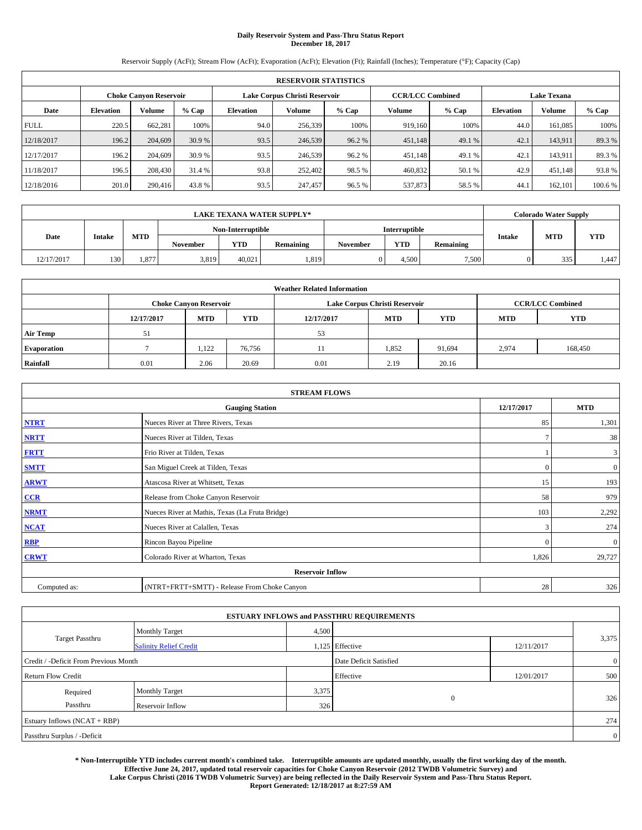# **Daily Reservoir System and Pass-Thru Status Report December 18, 2017**

Reservoir Supply (AcFt); Stream Flow (AcFt); Evaporation (AcFt); Elevation (Ft); Rainfall (Inches); Temperature (°F); Capacity (Cap)

|                                                                | <b>RESERVOIR STATISTICS</b> |         |         |                  |         |         |         |                         |                  |                    |         |
|----------------------------------------------------------------|-----------------------------|---------|---------|------------------|---------|---------|---------|-------------------------|------------------|--------------------|---------|
| Lake Corpus Christi Reservoir<br><b>Choke Canyon Reservoir</b> |                             |         |         |                  |         |         |         | <b>CCR/LCC Combined</b> |                  | <b>Lake Texana</b> |         |
| Date                                                           | <b>Elevation</b>            | Volume  | $%$ Cap | <b>Elevation</b> | Volume  | $%$ Cap | Volume  | $%$ Cap                 | <b>Elevation</b> | <b>Volume</b>      | % Cap   |
| <b>FULL</b>                                                    | 220.5                       | 662.281 | 100%    | 94.0             | 256,339 | 100%    | 919,160 | 100%                    | 44.0             | 161,085            | 100%    |
| 12/18/2017                                                     | 196.2                       | 204,609 | 30.9 %  | 93.5             | 246,539 | 96.2 %  | 451,148 | 49.1 %                  | 42.1             | 143,911            | 89.3%   |
| 12/17/2017                                                     | 196.2                       | 204,609 | 30.9 %  | 93.5             | 246,539 | 96.2%   | 451,148 | 49.1 %                  | 42.1             | 143,911            | 89.3%   |
| 11/18/2017                                                     | 196.5                       | 208,430 | 31.4 %  | 93.8             | 252,402 | 98.5 %  | 460,832 | 50.1 %                  | 42.9             | 451,148            | 93.8%   |
| 12/18/2016                                                     | 201.0                       | 290,416 | 43.8%   | 93.5             | 247,457 | 96.5 %  | 537,873 | 58.5 %                  | 44.1             | 162,101            | 100.6 % |

|            |               |            |                   |        | <b>LAKE TEXANA WATER SUPPLY*</b> |               |       |                  |        | <b>Colorado Water Supply</b> |            |
|------------|---------------|------------|-------------------|--------|----------------------------------|---------------|-------|------------------|--------|------------------------------|------------|
|            |               |            | Non-Interruptible |        |                                  | Interruptible |       |                  |        |                              |            |
| Date       | <b>Intake</b> | <b>MTD</b> | <b>November</b>   | YTD    | Remaining                        | November      | YTD   | <b>Remaining</b> | Intake | <b>MTD</b>                   | <b>YTD</b> |
| 12/17/2017 | 130           | 1.877      | 3.819             | 40.021 | 1,819                            |               | 4.500 | 7,500            |        | 335                          | 1.447      |

| <b>Weather Related Information</b> |            |                                                                                  |        |      |                               |        |       |                         |  |  |
|------------------------------------|------------|----------------------------------------------------------------------------------|--------|------|-------------------------------|--------|-------|-------------------------|--|--|
|                                    |            | <b>Choke Canyon Reservoir</b>                                                    |        |      | Lake Corpus Christi Reservoir |        |       | <b>CCR/LCC Combined</b> |  |  |
|                                    | 12/17/2017 | <b>YTD</b><br><b>MTD</b><br><b>MTD</b><br><b>YTD</b><br>12/17/2017<br><b>MTD</b> |        |      |                               |        |       |                         |  |  |
| <b>Air Temp</b>                    | 51         |                                                                                  |        | 53   |                               |        |       |                         |  |  |
| <b>Evaporation</b>                 |            | 1.122                                                                            | 76,756 |      | 1,852                         | 91,694 | 2,974 | 168,450                 |  |  |
| Rainfall                           | 0.01       | 2.06                                                                             | 20.69  | 0.01 | 2.19                          | 20.16  |       |                         |  |  |

|              | <b>STREAM FLOWS</b>                             |               |              |  |  |  |  |  |  |  |
|--------------|-------------------------------------------------|---------------|--------------|--|--|--|--|--|--|--|
|              | <b>Gauging Station</b>                          | 12/17/2017    | <b>MTD</b>   |  |  |  |  |  |  |  |
| <b>NTRT</b>  | Nueces River at Three Rivers, Texas             | 85            | 1,301        |  |  |  |  |  |  |  |
| <b>NRTT</b>  | Nueces River at Tilden, Texas                   | $\mathcal{I}$ | 38           |  |  |  |  |  |  |  |
| <b>FRTT</b>  | Frio River at Tilden, Texas                     |               | 3            |  |  |  |  |  |  |  |
| <b>SMTT</b>  | San Miguel Creek at Tilden, Texas               | $\mathbf{0}$  | $\mathbf{0}$ |  |  |  |  |  |  |  |
| <b>ARWT</b>  | Atascosa River at Whitsett, Texas               | 15            | 193          |  |  |  |  |  |  |  |
| $CCR$        | Release from Choke Canyon Reservoir             | 58            | 979          |  |  |  |  |  |  |  |
| <b>NRMT</b>  | Nueces River at Mathis, Texas (La Fruta Bridge) | 103           | 2,292        |  |  |  |  |  |  |  |
| <b>NCAT</b>  | Nueces River at Calallen, Texas                 | 3             | 274          |  |  |  |  |  |  |  |
| RBP          | Rincon Bayou Pipeline                           | $\Omega$      | $\mathbf{0}$ |  |  |  |  |  |  |  |
| <b>CRWT</b>  | Colorado River at Wharton, Texas                | 1,826         | 29,727       |  |  |  |  |  |  |  |
|              | <b>Reservoir Inflow</b>                         |               |              |  |  |  |  |  |  |  |
| Computed as: | (NTRT+FRTT+SMTT) - Release From Choke Canyon    | 28            | 326          |  |  |  |  |  |  |  |

| <b>ESTUARY INFLOWS and PASSTHRU REQUIREMENTS</b> |                               |       |                        |            |                |  |  |  |  |  |
|--------------------------------------------------|-------------------------------|-------|------------------------|------------|----------------|--|--|--|--|--|
|                                                  | <b>Monthly Target</b>         | 4,500 |                        |            |                |  |  |  |  |  |
| <b>Target Passthru</b>                           | <b>Salinity Relief Credit</b> |       | 1,125 Effective        | 12/11/2017 | 3,375          |  |  |  |  |  |
| Credit / -Deficit From Previous Month            |                               |       | Date Deficit Satisfied |            | $\overline{0}$ |  |  |  |  |  |
| <b>Return Flow Credit</b>                        |                               |       | Effective              | 12/01/2017 | 500            |  |  |  |  |  |
| Required                                         | Monthly Target                | 3,375 |                        |            |                |  |  |  |  |  |
| Passthru                                         | Reservoir Inflow              | 326   | $\overline{0}$         |            | 326            |  |  |  |  |  |
| Estuary Inflows (NCAT + RBP)                     |                               |       |                        |            |                |  |  |  |  |  |
| Passthru Surplus / -Deficit                      |                               |       |                        |            |                |  |  |  |  |  |

**\* Non-Interruptible YTD includes current month's combined take. Interruptible amounts are updated monthly, usually the first working day of the month. Effective June 24, 2017, updated total reservoir capacities for Choke Canyon Reservoir (2012 TWDB Volumetric Survey) and Lake Corpus Christi (2016 TWDB Volumetric Survey) are being reflected in the Daily Reservoir System and Pass-Thru Status Report. Report Generated: 12/18/2017 at 8:27:59 AM**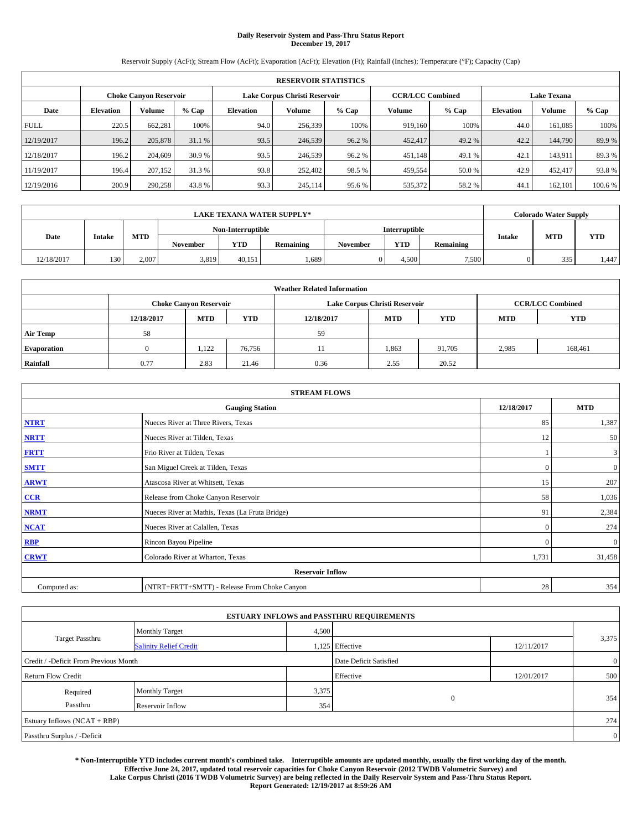# **Daily Reservoir System and Pass-Thru Status Report December 19, 2017**

Reservoir Supply (AcFt); Stream Flow (AcFt); Evaporation (AcFt); Elevation (Ft); Rainfall (Inches); Temperature (°F); Capacity (Cap)

|                                                                                           | <b>RESERVOIR STATISTICS</b> |         |         |                  |         |         |         |         |                  |                    |         |
|-------------------------------------------------------------------------------------------|-----------------------------|---------|---------|------------------|---------|---------|---------|---------|------------------|--------------------|---------|
| <b>CCR/LCC Combined</b><br>Lake Corpus Christi Reservoir<br><b>Choke Canyon Reservoir</b> |                             |         |         |                  |         |         |         |         |                  | <b>Lake Texana</b> |         |
| Date                                                                                      | <b>Elevation</b>            | Volume  | $%$ Cap | <b>Elevation</b> | Volume  | $%$ Cap | Volume  | $%$ Cap | <b>Elevation</b> | <b>Volume</b>      | % Cap   |
| <b>FULL</b>                                                                               | 220.5                       | 662.281 | 100%    | 94.0             | 256,339 | 100%    | 919,160 | 100%    | 44.0             | 161,085            | 100%    |
| 12/19/2017                                                                                | 196.2                       | 205,878 | 31.1 %  | 93.5             | 246,539 | 96.2 %  | 452,417 | 49.2 %  | 42.2             | 144,790            | 89.9%   |
| 12/18/2017                                                                                | 196.2                       | 204,609 | 30.9 %  | 93.5             | 246,539 | 96.2%   | 451,148 | 49.1 %  | 42.1             | 143,911            | 89.3%   |
| 11/19/2017                                                                                | 196.4                       | 207,152 | 31.3 %  | 93.8             | 252,402 | 98.5 %  | 459,554 | 50.0 %  | 42.9             | 452,417            | 93.8%   |
| 12/19/2016                                                                                | 200.9                       | 290,258 | 43.8%   | 93.3             | 245,114 | 95.6%   | 535,372 | 58.2%   | 44.1             | 162,101            | 100.6 % |

|            |               |            |                   |        | <b>LAKE TEXANA WATER SUPPLY*</b> |               |       |                  |        | <b>Colorado Water Supply</b> |            |
|------------|---------------|------------|-------------------|--------|----------------------------------|---------------|-------|------------------|--------|------------------------------|------------|
|            |               |            | Non-Interruptible |        |                                  | Interruptible |       |                  |        |                              |            |
| Date       | <b>Intake</b> | <b>MTD</b> | <b>November</b>   | YTD    | Remaining                        | November      | YTD   | <b>Remaining</b> | Intake | <b>MTD</b>                   | <b>YTD</b> |
| 12/18/2017 | 130           | 2.007      | 3.819             | 40.151 | .689                             |               | 4.500 | 7,500            |        | 335                          | 1.447      |

| <b>Weather Related Information</b> |            |                                                                                  |        |      |                               |        |       |                         |  |  |
|------------------------------------|------------|----------------------------------------------------------------------------------|--------|------|-------------------------------|--------|-------|-------------------------|--|--|
|                                    |            | <b>Choke Canyon Reservoir</b>                                                    |        |      | Lake Corpus Christi Reservoir |        |       | <b>CCR/LCC Combined</b> |  |  |
|                                    | 12/18/2017 | <b>YTD</b><br><b>MTD</b><br><b>MTD</b><br><b>YTD</b><br>12/18/2017<br><b>MTD</b> |        |      |                               |        |       |                         |  |  |
| <b>Air Temp</b>                    | 58         |                                                                                  |        | 59   |                               |        |       |                         |  |  |
| <b>Evaporation</b>                 |            | 1.122                                                                            | 76,756 |      | 1,863                         | 91,705 | 2,985 | 168,461                 |  |  |
| Rainfall                           | 0.77       | 2.83                                                                             | 21.46  | 0.36 | 2.55                          | 20.52  |       |                         |  |  |

|              | <b>STREAM FLOWS</b>                             |              |                |  |  |  |  |  |  |  |
|--------------|-------------------------------------------------|--------------|----------------|--|--|--|--|--|--|--|
|              | <b>Gauging Station</b>                          | 12/18/2017   | <b>MTD</b>     |  |  |  |  |  |  |  |
| <b>NTRT</b>  | Nueces River at Three Rivers, Texas             | 85           | 1,387          |  |  |  |  |  |  |  |
| <b>NRTT</b>  | Nueces River at Tilden, Texas                   | 12           | 50             |  |  |  |  |  |  |  |
| <b>FRTT</b>  | Frio River at Tilden, Texas                     |              | 3              |  |  |  |  |  |  |  |
| <b>SMTT</b>  | San Miguel Creek at Tilden, Texas               | $\mathbf{0}$ | $\overline{0}$ |  |  |  |  |  |  |  |
| <b>ARWT</b>  | Atascosa River at Whitsett, Texas               | 15           | 207            |  |  |  |  |  |  |  |
| $CCR$        | Release from Choke Canyon Reservoir             | 58           | 1,036          |  |  |  |  |  |  |  |
| <b>NRMT</b>  | Nueces River at Mathis, Texas (La Fruta Bridge) | 91           | 2,384          |  |  |  |  |  |  |  |
| <b>NCAT</b>  | Nueces River at Calallen, Texas                 | $\Omega$     | 274            |  |  |  |  |  |  |  |
| RBP          | Rincon Bayou Pipeline                           | $\mathbf{0}$ | $\mathbf{0}$   |  |  |  |  |  |  |  |
| <b>CRWT</b>  | Colorado River at Wharton, Texas                | 1,731        | 31,458         |  |  |  |  |  |  |  |
|              | <b>Reservoir Inflow</b>                         |              |                |  |  |  |  |  |  |  |
| Computed as: | (NTRT+FRTT+SMTT) - Release From Choke Canyon    | 28           | 354            |  |  |  |  |  |  |  |

|                                       |                               |       | <b>ESTUARY INFLOWS and PASSTHRU REQUIREMENTS</b> |            |                |  |  |  |
|---------------------------------------|-------------------------------|-------|--------------------------------------------------|------------|----------------|--|--|--|
|                                       | <b>Monthly Target</b>         | 4,500 |                                                  |            |                |  |  |  |
| Target Passthru                       | <b>Salinity Relief Credit</b> |       | 1,125 Effective                                  | 12/11/2017 | 3,375          |  |  |  |
| Credit / -Deficit From Previous Month |                               |       | Date Deficit Satisfied                           |            | $\overline{0}$ |  |  |  |
| <b>Return Flow Credit</b>             |                               |       | Effective                                        | 12/01/2017 | 500            |  |  |  |
| Required                              | Monthly Target                | 3,375 |                                                  |            |                |  |  |  |
| Passthru                              | <b>Reservoir Inflow</b>       | 354   | $\mathbf{0}$                                     |            | 354            |  |  |  |
| Estuary Inflows (NCAT + RBP)          |                               |       |                                                  |            |                |  |  |  |
| Passthru Surplus / -Deficit           |                               |       |                                                  |            | $\overline{0}$ |  |  |  |

**\* Non-Interruptible YTD includes current month's combined take. Interruptible amounts are updated monthly, usually the first working day of the month. Effective June 24, 2017, updated total reservoir capacities for Choke Canyon Reservoir (2012 TWDB Volumetric Survey) and Lake Corpus Christi (2016 TWDB Volumetric Survey) are being reflected in the Daily Reservoir System and Pass-Thru Status Report. Report Generated: 12/19/2017 at 8:59:26 AM**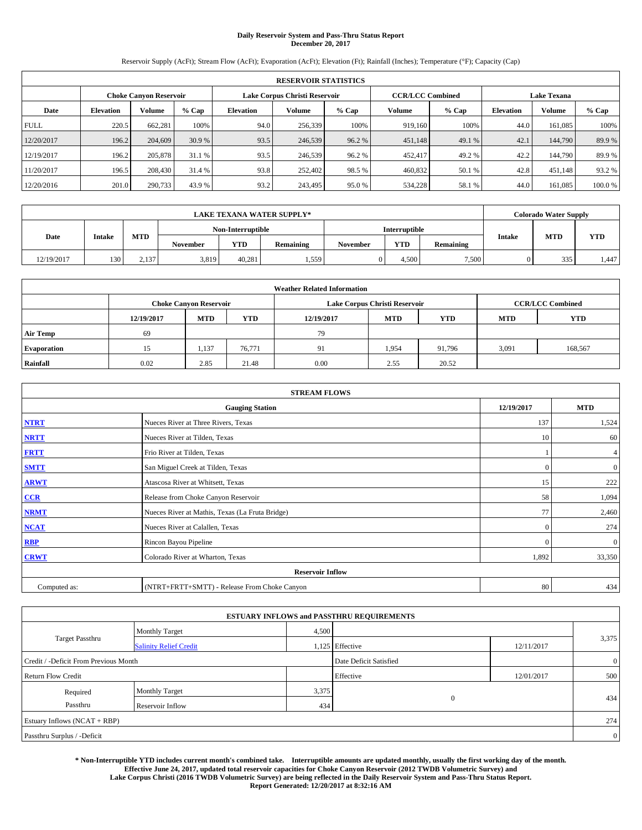# **Daily Reservoir System and Pass-Thru Status Report December 20, 2017**

Reservoir Supply (AcFt); Stream Flow (AcFt); Evaporation (AcFt); Elevation (Ft); Rainfall (Inches); Temperature (°F); Capacity (Cap)

|                                                                | <b>RESERVOIR STATISTICS</b> |         |         |                  |         |         |         |                         |                  |                    |        |
|----------------------------------------------------------------|-----------------------------|---------|---------|------------------|---------|---------|---------|-------------------------|------------------|--------------------|--------|
| Lake Corpus Christi Reservoir<br><b>Choke Canyon Reservoir</b> |                             |         |         |                  |         |         |         | <b>CCR/LCC Combined</b> |                  | <b>Lake Texana</b> |        |
| Date                                                           | <b>Elevation</b>            | Volume  | $%$ Cap | <b>Elevation</b> | Volume  | $%$ Cap | Volume  | $%$ Cap                 | <b>Elevation</b> | <b>Volume</b>      | % Cap  |
| <b>FULL</b>                                                    | 220.5                       | 662.281 | 100%    | 94.0             | 256,339 | 100%    | 919,160 | 100%                    | 44.0             | 161,085            | 100%   |
| 12/20/2017                                                     | 196.2                       | 204,609 | 30.9 %  | 93.5             | 246,539 | 96.2 %  | 451,148 | 49.1 %                  | 42.1             | 144,790            | 89.9%  |
| 12/19/2017                                                     | 196.2                       | 205,878 | 31.1 %  | 93.5             | 246,539 | 96.2%   | 452,417 | 49.2 %                  | 42.2             | 144,790            | 89.9 % |
| 11/20/2017                                                     | 196.5                       | 208,430 | 31.4 %  | 93.8             | 252,402 | 98.5 %  | 460,832 | 50.1 %                  | 42.8             | 451,148            | 93.2 % |
| 12/20/2016                                                     | 201.0                       | 290,733 | 43.9 %  | 93.2             | 243,495 | 95.0%   | 534,228 | 58.1 %                  | 44.0             | 161,085            | 100.0% |

|            | LAKE TEXANA WATER SUPPLY*_                |            |                 |            |           |          |            |           |               | <b>Colorado Water Supply</b> |            |
|------------|-------------------------------------------|------------|-----------------|------------|-----------|----------|------------|-----------|---------------|------------------------------|------------|
|            | <b>Interruptible</b><br>Non-Interruptible |            |                 |            |           |          |            |           |               |                              |            |
| Date       | <b>Intake</b>                             | <b>MTD</b> | <b>November</b> | <b>YTD</b> | Remaining | November | <b>YTD</b> | Remaining | <b>Intake</b> | <b>MTD</b>                   | <b>YTD</b> |
| 12/19/2017 | 130                                       | 2.137      | 3.819           | 40.281     | 1,559     |          | 4.500      | 7,500     | 0             | 335                          | 1.447      |

|                    | <b>Weather Related Information</b> |                               |            |            |                               |                         |            |            |  |  |  |  |  |
|--------------------|------------------------------------|-------------------------------|------------|------------|-------------------------------|-------------------------|------------|------------|--|--|--|--|--|
|                    |                                    | <b>Choke Canyon Reservoir</b> |            |            | Lake Corpus Christi Reservoir | <b>CCR/LCC Combined</b> |            |            |  |  |  |  |  |
|                    | 12/19/2017                         | <b>MTD</b>                    | <b>YTD</b> | 12/19/2017 | <b>MTD</b>                    | <b>YTD</b>              | <b>MTD</b> | <b>YTD</b> |  |  |  |  |  |
| <b>Air Temp</b>    | 69                                 |                               |            | 79         |                               |                         |            |            |  |  |  |  |  |
| <b>Evaporation</b> |                                    | 1,137                         | 76,771     | 91         | 1,954                         | 91,796                  | 3,091      | 168,567    |  |  |  |  |  |
| Rainfall           | 0.02                               | 2.85                          | 21.48      | 0.00       | 2.55                          | 20.52                   |            |            |  |  |  |  |  |

| <b>STREAM FLOWS</b> |                                                 |              |              |  |  |  |  |  |
|---------------------|-------------------------------------------------|--------------|--------------|--|--|--|--|--|
|                     | <b>Gauging Station</b>                          | 12/19/2017   | <b>MTD</b>   |  |  |  |  |  |
| <b>NTRT</b>         | Nueces River at Three Rivers, Texas             | 137          | 1,524        |  |  |  |  |  |
| <b>NRTT</b>         | Nueces River at Tilden, Texas                   | 10           | 60           |  |  |  |  |  |
| <b>FRTT</b>         | Frio River at Tilden, Texas                     |              | 4            |  |  |  |  |  |
| <b>SMTT</b>         | San Miguel Creek at Tilden, Texas               | $\mathbf{0}$ | $\mathbf{0}$ |  |  |  |  |  |
| <b>ARWT</b>         | Atascosa River at Whitsett, Texas               | 15           | 222          |  |  |  |  |  |
| $CCR$               | Release from Choke Canyon Reservoir             | 58           | 1,094        |  |  |  |  |  |
| <b>NRMT</b>         | Nueces River at Mathis, Texas (La Fruta Bridge) | 77           | 2,460        |  |  |  |  |  |
| <b>NCAT</b>         | Nueces River at Calallen, Texas                 | $\Omega$     | 274          |  |  |  |  |  |
| <b>RBP</b>          | Rincon Bayou Pipeline                           | $\Omega$     | $\mathbf{0}$ |  |  |  |  |  |
| <b>CRWT</b>         | Colorado River at Wharton, Texas                | 1,892        | 33,350       |  |  |  |  |  |
|                     | <b>Reservoir Inflow</b>                         |              |              |  |  |  |  |  |
| Computed as:        | (NTRT+FRTT+SMTT) - Release From Choke Canyon    | 80           | 434          |  |  |  |  |  |

|                                       |                               |       | <b>ESTUARY INFLOWS and PASSTHRU REQUIREMENTS</b> |            |                |
|---------------------------------------|-------------------------------|-------|--------------------------------------------------|------------|----------------|
|                                       | <b>Monthly Target</b>         | 4,500 |                                                  |            |                |
| Target Passthru                       | <b>Salinity Relief Credit</b> |       | 1,125 Effective                                  | 12/11/2017 | 3,375          |
| Credit / -Deficit From Previous Month |                               |       | Date Deficit Satisfied                           |            | $\overline{0}$ |
| <b>Return Flow Credit</b>             |                               |       | Effective                                        | 12/01/2017 | 500            |
| Required                              | Monthly Target                | 3,375 |                                                  |            |                |
| Passthru                              | <b>Reservoir Inflow</b>       | 434   | $\mathbf{0}$                                     |            | 434            |
| Estuary Inflows (NCAT + RBP)          |                               |       |                                                  |            | 274            |
| Passthru Surplus / -Deficit           |                               |       |                                                  |            | $\overline{0}$ |

**\* Non-Interruptible YTD includes current month's combined take. Interruptible amounts are updated monthly, usually the first working day of the month. Effective June 24, 2017, updated total reservoir capacities for Choke Canyon Reservoir (2012 TWDB Volumetric Survey) and Lake Corpus Christi (2016 TWDB Volumetric Survey) are being reflected in the Daily Reservoir System and Pass-Thru Status Report. Report Generated: 12/20/2017 at 8:32:16 AM**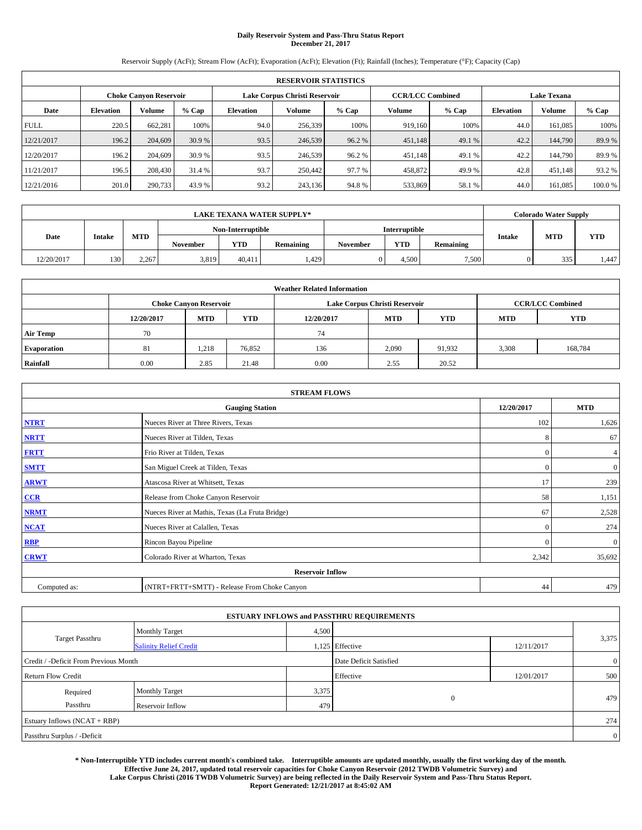# **Daily Reservoir System and Pass-Thru Status Report December 21, 2017**

Reservoir Supply (AcFt); Stream Flow (AcFt); Evaporation (AcFt); Elevation (Ft); Rainfall (Inches); Temperature (°F); Capacity (Cap)

|             | <b>RESERVOIR STATISTICS</b> |                        |         |                               |         |         |                         |         |                    |               |        |  |  |
|-------------|-----------------------------|------------------------|---------|-------------------------------|---------|---------|-------------------------|---------|--------------------|---------------|--------|--|--|
|             |                             | Choke Canvon Reservoir |         | Lake Corpus Christi Reservoir |         |         | <b>CCR/LCC Combined</b> |         | <b>Lake Texana</b> |               |        |  |  |
| Date        | <b>Elevation</b>            | Volume                 | $%$ Cap | <b>Elevation</b>              | Volume  | $%$ Cap | Volume                  | $%$ Cap | <b>Elevation</b>   | <b>Volume</b> | % Cap  |  |  |
| <b>FULL</b> | 220.5                       | 662,281                | 100%    | 94.0                          | 256,339 | 100%    | 919.160                 | 100%    | 44.0               | 161.085       | 100%   |  |  |
| 12/21/2017  | 196.2                       | 204,609                | 30.9 %  | 93.5                          | 246,539 | 96.2 %  | 451,148                 | 49.1 %  | 42.2               | 144,790       | 89.9%  |  |  |
| 12/20/2017  | 196.2                       | 204,609                | 30.9 %  | 93.5                          | 246,539 | 96.2%   | 451,148                 | 49.1 %  | 42.2               | 144,790       | 89.9%  |  |  |
| 11/21/2017  | 196.5                       | 208,430                | 31.4 %  | 93.7                          | 250,442 | 97.7 %  | 458,872                 | 49.9%   | 42.8               | 451,148       | 93.2 % |  |  |
| 12/21/2016  | 201.0                       | 290,733                | 43.9 %  | 93.2                          | 243,136 | 94.8%   | 533,869                 | 58.1 %  | 44.0               | 161.085       | 100.0% |  |  |

|            | <b>LAKE TEXANA WATER SUPPLY*</b> |            |                                    |        |           |          |            |                  |        | <b>Colorado Water Supply</b> |            |
|------------|----------------------------------|------------|------------------------------------|--------|-----------|----------|------------|------------------|--------|------------------------------|------------|
|            |                                  |            | Non-Interruptible<br>Interruptible |        |           |          |            |                  |        |                              |            |
| Date       | <b>Intake</b>                    | <b>MTD</b> | <b>November</b>                    | YTD    | Remaining | November | <b>YTD</b> | <b>Remaining</b> | Intake | <b>MTD</b>                   | <b>YTD</b> |
| 12/20/2017 | 130                              | 2.267      | 3.819                              | 40.411 | 1,429     |          | 4.500      | 7,500            | 0      | 335                          | 1.447      |

|                    | <b>Weather Related Information</b> |                               |                                                                                  |      |                               |                         |       |         |  |  |  |  |  |
|--------------------|------------------------------------|-------------------------------|----------------------------------------------------------------------------------|------|-------------------------------|-------------------------|-------|---------|--|--|--|--|--|
|                    |                                    | <b>Choke Canyon Reservoir</b> |                                                                                  |      | Lake Corpus Christi Reservoir | <b>CCR/LCC Combined</b> |       |         |  |  |  |  |  |
|                    | 12/20/2017                         | <b>MTD</b>                    | <b>YTD</b><br><b>YTD</b><br><b>MTD</b><br><b>YTD</b><br>12/20/2017<br><b>MTD</b> |      |                               |                         |       |         |  |  |  |  |  |
| <b>Air Temp</b>    | 70                                 |                               |                                                                                  | 74   |                               |                         |       |         |  |  |  |  |  |
| <b>Evaporation</b> | 81                                 | 1,218                         | 76,852                                                                           | 136  | 2,090                         | 91,932                  | 3,308 | 168,784 |  |  |  |  |  |
| Rainfall           | 0.00                               | 2.85                          | 21.48                                                                            | 0.00 | 2.55                          | 20.52                   |       |         |  |  |  |  |  |

| <b>STREAM FLOWS</b> |                                                 |              |                  |  |  |  |  |  |
|---------------------|-------------------------------------------------|--------------|------------------|--|--|--|--|--|
|                     | <b>Gauging Station</b>                          | 12/20/2017   | <b>MTD</b>       |  |  |  |  |  |
| <b>NTRT</b>         | Nueces River at Three Rivers, Texas             | 102          | 1,626            |  |  |  |  |  |
| <b>NRTT</b>         | Nueces River at Tilden, Texas                   | 8            | 67               |  |  |  |  |  |
| <b>FRTT</b>         | Frio River at Tilden, Texas                     | $\mathbf{0}$ | 4                |  |  |  |  |  |
| <b>SMTT</b>         | San Miguel Creek at Tilden, Texas               | $\mathbf{0}$ | $\boldsymbol{0}$ |  |  |  |  |  |
| <b>ARWT</b>         | Atascosa River at Whitsett, Texas               | 17           | 239              |  |  |  |  |  |
| $CCR$               | Release from Choke Canyon Reservoir             | 58           | 1,151            |  |  |  |  |  |
| <b>NRMT</b>         | Nueces River at Mathis, Texas (La Fruta Bridge) | 67           | 2,528            |  |  |  |  |  |
| <b>NCAT</b>         | Nueces River at Calallen, Texas                 | $\mathbf{0}$ | 274              |  |  |  |  |  |
| RBP                 | Rincon Bayou Pipeline                           | $\Omega$     | $\mathbf{0}$     |  |  |  |  |  |
| <b>CRWT</b>         | Colorado River at Wharton, Texas                | 2,342        | 35,692           |  |  |  |  |  |
|                     | <b>Reservoir Inflow</b>                         |              |                  |  |  |  |  |  |
| Computed as:        | (NTRT+FRTT+SMTT) - Release From Choke Canyon    | 44           | 479              |  |  |  |  |  |

|                                       |                               |       | <b>ESTUARY INFLOWS and PASSTHRU REQUIREMENTS</b> |            |                |
|---------------------------------------|-------------------------------|-------|--------------------------------------------------|------------|----------------|
|                                       | <b>Monthly Target</b>         | 4,500 |                                                  |            |                |
| <b>Target Passthru</b>                | <b>Salinity Relief Credit</b> |       | 1,125 Effective                                  | 12/11/2017 | 3,375          |
| Credit / -Deficit From Previous Month |                               |       | Date Deficit Satisfied                           |            | $\overline{0}$ |
| <b>Return Flow Credit</b>             |                               |       | Effective                                        | 12/01/2017 | 500            |
| Required                              | Monthly Target                | 3,375 |                                                  |            |                |
| Passthru                              | <b>Reservoir Inflow</b>       | 479   | $\mathbf{0}$                                     |            | 479            |
| Estuary Inflows (NCAT + RBP)          |                               |       |                                                  |            | 274            |
| Passthru Surplus / -Deficit           |                               |       |                                                  |            | $\overline{0}$ |

**\* Non-Interruptible YTD includes current month's combined take. Interruptible amounts are updated monthly, usually the first working day of the month. Effective June 24, 2017, updated total reservoir capacities for Choke Canyon Reservoir (2012 TWDB Volumetric Survey) and Lake Corpus Christi (2016 TWDB Volumetric Survey) are being reflected in the Daily Reservoir System and Pass-Thru Status Report. Report Generated: 12/21/2017 at 8:45:02 AM**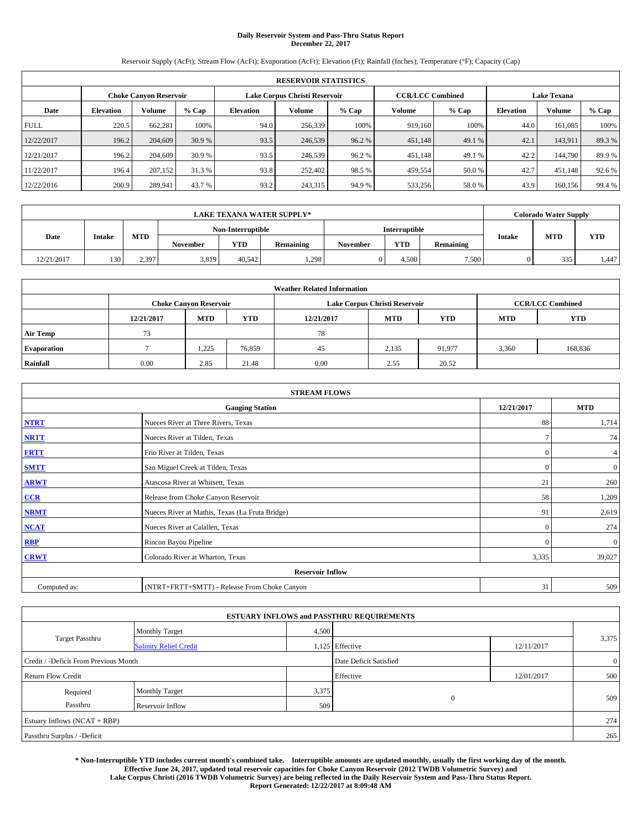# **Daily Reservoir System and Pass-Thru Status Report December 22, 2017**

Reservoir Supply (AcFt); Stream Flow (AcFt); Evaporation (AcFt); Elevation (Ft); Rainfall (Inches); Temperature (°F); Capacity (Cap)

|             | <b>RESERVOIR STATISTICS</b> |                               |        |                               |         |        |                         |         |                    |               |        |  |  |
|-------------|-----------------------------|-------------------------------|--------|-------------------------------|---------|--------|-------------------------|---------|--------------------|---------------|--------|--|--|
|             |                             | <b>Choke Canvon Reservoir</b> |        | Lake Corpus Christi Reservoir |         |        | <b>CCR/LCC Combined</b> |         | <b>Lake Texana</b> |               |        |  |  |
| Date        | <b>Elevation</b>            | <b>Volume</b>                 | % Cap  | Elevation                     | Volume  | % Cap  | Volume                  | $%$ Cap | <b>Elevation</b>   | <b>Volume</b> | % Cap  |  |  |
| <b>FULL</b> | 220.5                       | 662.281                       | 100%   | 94.0                          | 256,339 | 100%   | 919,160                 | 100%    | 44.0               | 161,085       | 100%   |  |  |
| 12/22/2017  | 196.2                       | 204,609                       | 30.9 % | 93.5                          | 246,539 | 96.2 % | 451,148                 | 49.1 %  | 42.1               | 143,911       | 89.3%  |  |  |
| 12/21/2017  | 196.2                       | 204,609                       | 30.9 % | 93.5                          | 246,539 | 96.2%  | 451,148                 | 49.1 %  | 42.2               | 144,790       | 89.9%  |  |  |
| 11/22/2017  | 196.4                       | 207,152                       | 31.3 % | 93.8                          | 252,402 | 98.5 % | 459,554                 | 50.0%   | 42.7               | 451,148       | 92.6%  |  |  |
| 12/22/2016  | 200.9                       | 289.941                       | 43.7 % | 93.2                          | 243,315 | 94.9 % | 533,256                 | 58.0%   | 43.9               | 160,156       | 99.4 % |  |  |

|            | <b>LAKE TEXANA WATER SUPPLY*</b> |            |                   |            |           |          |               |                  |        | <b>Colorado Water Supply</b> |            |
|------------|----------------------------------|------------|-------------------|------------|-----------|----------|---------------|------------------|--------|------------------------------|------------|
|            |                                  |            | Non-Interruptible |            |           |          | Interruptible |                  |        |                              |            |
| Date       | <b>Intake</b>                    | <b>MTD</b> | <b>November</b>   | <b>YTD</b> | Remaining | November | <b>YTD</b>    | <b>Remaining</b> | Intake | <b>MTD</b>                   | <b>YTD</b> |
| 12/21/2017 | 130                              | 2.397      | 3,819             | 40.542     | 1,298     |          | 4.500         | 7,500            |        | 335                          | 1.447      |

|                    | <b>Weather Related Information</b> |                               |                                                                                  |      |                               |                         |       |         |  |  |  |  |  |
|--------------------|------------------------------------|-------------------------------|----------------------------------------------------------------------------------|------|-------------------------------|-------------------------|-------|---------|--|--|--|--|--|
|                    |                                    | <b>Choke Canyon Reservoir</b> |                                                                                  |      | Lake Corpus Christi Reservoir | <b>CCR/LCC Combined</b> |       |         |  |  |  |  |  |
|                    | 12/21/2017                         | <b>MTD</b>                    | <b>YTD</b><br><b>YTD</b><br><b>MTD</b><br><b>YTD</b><br>12/21/2017<br><b>MTD</b> |      |                               |                         |       |         |  |  |  |  |  |
| <b>Air Temp</b>    | 73                                 |                               |                                                                                  | 78   |                               |                         |       |         |  |  |  |  |  |
| <b>Evaporation</b> |                                    | 1,225                         | 76,859                                                                           | 45   | 2,135                         | 91,977                  | 3,360 | 168,836 |  |  |  |  |  |
| Rainfall           | 0.00                               | 2.85                          | 21.48                                                                            | 0.00 | 2.55                          | 20.52                   |       |         |  |  |  |  |  |

| <b>STREAM FLOWS</b> |                                                 |              |              |  |  |  |  |  |  |
|---------------------|-------------------------------------------------|--------------|--------------|--|--|--|--|--|--|
|                     | <b>Gauging Station</b>                          |              |              |  |  |  |  |  |  |
| <b>NTRT</b>         | Nueces River at Three Rivers, Texas             | 88           | 1,714        |  |  |  |  |  |  |
| <b>NRTT</b>         | Nueces River at Tilden, Texas                   | $\mathbf{r}$ | 74           |  |  |  |  |  |  |
| <b>FRTT</b>         | Frio River at Tilden, Texas                     | $\Omega$     | 4            |  |  |  |  |  |  |
| <b>SMTT</b>         | San Miguel Creek at Tilden, Texas               | $\mathbf{0}$ | $\mathbf{0}$ |  |  |  |  |  |  |
| <b>ARWT</b>         | Atascosa River at Whitsett, Texas               | 21           | 260          |  |  |  |  |  |  |
| $CCR$               | Release from Choke Canyon Reservoir             | 58           | 1,209        |  |  |  |  |  |  |
| <b>NRMT</b>         | Nueces River at Mathis, Texas (La Fruta Bridge) | 91           | 2,619        |  |  |  |  |  |  |
| <b>NCAT</b>         | Nueces River at Calallen, Texas                 | $\mathbf{0}$ | 274          |  |  |  |  |  |  |
| RBP                 | Rincon Bayou Pipeline                           | $\Omega$     | $\mathbf{0}$ |  |  |  |  |  |  |
| <b>CRWT</b>         | Colorado River at Wharton, Texas                | 3,335        | 39,027       |  |  |  |  |  |  |
|                     | <b>Reservoir Inflow</b>                         |              |              |  |  |  |  |  |  |
| Computed as:        | (NTRT+FRTT+SMTT) - Release From Choke Canyon    |              |              |  |  |  |  |  |  |

|                                       |                               |       | <b>ESTUARY INFLOWS and PASSTHRU REQUIREMENTS</b> |            |                |
|---------------------------------------|-------------------------------|-------|--------------------------------------------------|------------|----------------|
|                                       | <b>Monthly Target</b>         | 4,500 |                                                  |            |                |
| <b>Target Passthru</b>                | <b>Salinity Relief Credit</b> |       | 1,125 Effective                                  | 12/11/2017 | 3,375          |
| Credit / -Deficit From Previous Month |                               |       | Date Deficit Satisfied                           |            | $\overline{0}$ |
| <b>Return Flow Credit</b>             |                               |       | Effective                                        | 12/01/2017 | 500            |
| Required                              | Monthly Target                | 3,375 |                                                  |            |                |
| Passthru                              | <b>Reservoir Inflow</b>       | 509   | $\mathbf{0}$                                     |            | 509            |
| Estuary Inflows (NCAT + RBP)          |                               |       |                                                  |            | 274            |
| Passthru Surplus / -Deficit           |                               |       |                                                  |            | 265            |

**\* Non-Interruptible YTD includes current month's combined take. Interruptible amounts are updated monthly, usually the first working day of the month. Effective June 24, 2017, updated total reservoir capacities for Choke Canyon Reservoir (2012 TWDB Volumetric Survey) and Lake Corpus Christi (2016 TWDB Volumetric Survey) are being reflected in the Daily Reservoir System and Pass-Thru Status Report. Report Generated: 12/22/2017 at 8:09:48 AM**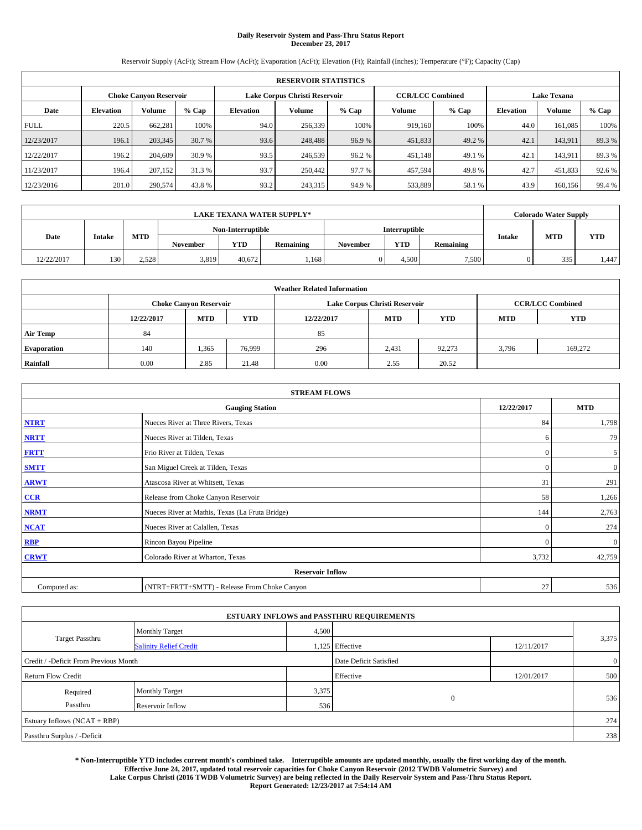# **Daily Reservoir System and Pass-Thru Status Report December 23, 2017**

Reservoir Supply (AcFt); Stream Flow (AcFt); Evaporation (AcFt); Elevation (Ft); Rainfall (Inches); Temperature (°F); Capacity (Cap)

| <b>RESERVOIR STATISTICS</b> |                  |                               |        |           |                               |         |                         |        |                    |         |        |  |
|-----------------------------|------------------|-------------------------------|--------|-----------|-------------------------------|---------|-------------------------|--------|--------------------|---------|--------|--|
|                             |                  | <b>Choke Canvon Reservoir</b> |        |           | Lake Corpus Christi Reservoir |         | <b>CCR/LCC Combined</b> |        | <b>Lake Texana</b> |         |        |  |
| Date                        | <b>Elevation</b> | Volume                        | % Cap  | Elevation | Volume                        | $%$ Cap | Volume                  | % Cap  | <b>Elevation</b>   | Volume  | % Cap  |  |
| <b>FULL</b>                 | 220.5            | 662.281                       | 100%   | 94.0      | 256,339                       | 100%    | 919.160                 | 100%   | 44.0               | 161.085 | 100%   |  |
| 12/23/2017                  | 196.1            | 203,345                       | 30.7 % | 93.6      | 248,488                       | 96.9%   | 451,833                 | 49.2 % | 42.1               | 143.911 | 89.3%  |  |
| 12/22/2017                  | 196.2            | 204,609                       | 30.9 % | 93.5      | 246,539                       | 96.2%   | 451,148                 | 49.1 % | 42.1               | 143.911 | 89.3 % |  |
| 11/23/2017                  | 196.4            | 207,152                       | 31.3 % | 93.7      | 250,442                       | 97.7 %  | 457,594                 | 49.8%  | 42.7               | 451.833 | 92.6 % |  |
| 12/23/2016                  | 201.0            | 290,574                       | 43.8%  | 93.2      | 243,315                       | 94.9%   | 533,889                 | 58.1 % | 43.9               | 160,156 | 99.4 % |  |

| <b>LAKE TEXANA WATER SUPPLY*</b> |               |            |                 |                   |           |               |            |                  | <b>Colorado Water Supply</b> |            |            |
|----------------------------------|---------------|------------|-----------------|-------------------|-----------|---------------|------------|------------------|------------------------------|------------|------------|
|                                  |               |            |                 | Non-Interruptible |           | Interruptible |            |                  |                              |            |            |
| Date                             | <b>Intake</b> | <b>MTD</b> | <b>November</b> | <b>YTD</b>        | Remaining | November      | <b>YTD</b> | <b>Remaining</b> | Intake                       | <b>MTD</b> | <b>YTD</b> |
| 12/22/2017                       | 130           | 2.528      | 3,819           | 40.672            | 1,168     |               | 4.500      | 7,500            |                              | 335        | 1.447      |

| <b>Weather Related Information</b> |            |                               |            |            |                               |                         |            |            |  |  |
|------------------------------------|------------|-------------------------------|------------|------------|-------------------------------|-------------------------|------------|------------|--|--|
|                                    |            | <b>Choke Canyon Reservoir</b> |            |            | Lake Corpus Christi Reservoir | <b>CCR/LCC Combined</b> |            |            |  |  |
|                                    | 12/22/2017 | <b>MTD</b>                    | <b>YTD</b> | 12/22/2017 | <b>MTD</b>                    | <b>YTD</b>              | <b>MTD</b> | <b>YTD</b> |  |  |
| <b>Air Temp</b>                    | 84         |                               |            | 85         |                               |                         |            |            |  |  |
| <b>Evaporation</b>                 | 140        | 1,365                         | 76,999     | 296        | 2,431                         | 92,273                  | 3,796      | 169.272    |  |  |
| Rainfall                           | 0.00       | 2.85                          | 21.48      | 0.00       | 2.55                          | 20.52                   |            |            |  |  |

| <b>STREAM FLOWS</b> |                                                 |              |              |  |  |  |  |  |  |
|---------------------|-------------------------------------------------|--------------|--------------|--|--|--|--|--|--|
|                     | <b>Gauging Station</b>                          |              |              |  |  |  |  |  |  |
| <b>NTRT</b>         | Nueces River at Three Rivers, Texas             | 84           | 1,798        |  |  |  |  |  |  |
| <b>NRTT</b>         | Nueces River at Tilden, Texas                   | 6            | 79           |  |  |  |  |  |  |
| <b>FRTT</b>         | Frio River at Tilden, Texas                     | $\mathbf{0}$ | 5            |  |  |  |  |  |  |
| <b>SMTT</b>         | San Miguel Creek at Tilden, Texas               | $\mathbf{0}$ | $\mathbf{0}$ |  |  |  |  |  |  |
| <b>ARWT</b>         | Atascosa River at Whitsett, Texas               | 31           | 291          |  |  |  |  |  |  |
| $CCR$               | Release from Choke Canyon Reservoir             | 58           | 1,266        |  |  |  |  |  |  |
| <b>NRMT</b>         | Nueces River at Mathis, Texas (La Fruta Bridge) | 144          | 2,763        |  |  |  |  |  |  |
| <b>NCAT</b>         | Nueces River at Calallen, Texas                 | $\Omega$     | 274          |  |  |  |  |  |  |
| RBP                 | Rincon Bayou Pipeline                           | $\theta$     | $\mathbf{0}$ |  |  |  |  |  |  |
| <b>CRWT</b>         | Colorado River at Wharton, Texas                | 3,732        | 42,759       |  |  |  |  |  |  |
|                     | <b>Reservoir Inflow</b>                         |              |              |  |  |  |  |  |  |
| Computed as:        | (NTRT+FRTT+SMTT) - Release From Choke Canyon    |              |              |  |  |  |  |  |  |

|                                       |                               |       | <b>ESTUARY INFLOWS and PASSTHRU REQUIREMENTS</b> |            |                |
|---------------------------------------|-------------------------------|-------|--------------------------------------------------|------------|----------------|
|                                       | <b>Monthly Target</b>         | 4,500 |                                                  |            |                |
| <b>Target Passthru</b>                | <b>Salinity Relief Credit</b> |       | 1,125 Effective                                  | 12/11/2017 | 3,375          |
| Credit / -Deficit From Previous Month |                               |       | Date Deficit Satisfied                           |            | $\overline{0}$ |
| <b>Return Flow Credit</b>             |                               |       | Effective                                        | 12/01/2017 | 500            |
| Required                              | Monthly Target                | 3,375 |                                                  |            |                |
| Passthru                              | <b>Reservoir Inflow</b>       | 536   | $\mathbf{0}$                                     |            | 536            |
| Estuary Inflows (NCAT + RBP)          |                               |       |                                                  |            | 274            |
| Passthru Surplus / -Deficit           |                               |       |                                                  |            | 238            |

**\* Non-Interruptible YTD includes current month's combined take. Interruptible amounts are updated monthly, usually the first working day of the month. Effective June 24, 2017, updated total reservoir capacities for Choke Canyon Reservoir (2012 TWDB Volumetric Survey) and Lake Corpus Christi (2016 TWDB Volumetric Survey) are being reflected in the Daily Reservoir System and Pass-Thru Status Report. Report Generated: 12/23/2017 at 7:54:14 AM**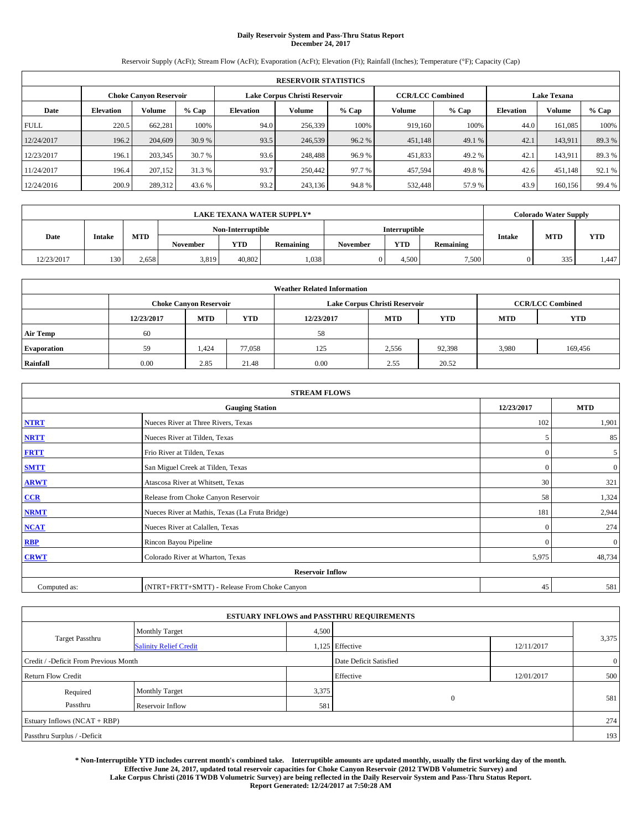# **Daily Reservoir System and Pass-Thru Status Report December 24, 2017**

Reservoir Supply (AcFt); Stream Flow (AcFt); Evaporation (AcFt); Elevation (Ft); Rainfall (Inches); Temperature (°F); Capacity (Cap)

| <b>RESERVOIR STATISTICS</b> |                  |                               |        |           |                               |         |                         |        |                    |         |        |  |
|-----------------------------|------------------|-------------------------------|--------|-----------|-------------------------------|---------|-------------------------|--------|--------------------|---------|--------|--|
|                             |                  | <b>Choke Canvon Reservoir</b> |        |           | Lake Corpus Christi Reservoir |         | <b>CCR/LCC Combined</b> |        | <b>Lake Texana</b> |         |        |  |
| Date                        | <b>Elevation</b> | Volume                        | % Cap  | Elevation | Volume                        | $%$ Cap | Volume                  | % Cap  | <b>Elevation</b>   | Volume  | % Cap  |  |
| <b>FULL</b>                 | 220.5            | 662.281                       | 100%   | 94.0      | 256,339                       | 100%    | 919.160                 | 100%   | 44.0               | 161.085 | 100%   |  |
| 12/24/2017                  | 196.2            | 204,609                       | 30.9 % | 93.5      | 246,539                       | 96.2 %  | 451,148                 | 49.1 % | 42.1               | 143.911 | 89.3%  |  |
| 12/23/2017                  | 196.1            | 203,345                       | 30.7 % | 93.6      | 248,488                       | 96.9%   | 451,833                 | 49.2 % | 42.1               | 143.911 | 89.3 % |  |
| 11/24/2017                  | 196.4            | 207,152                       | 31.3 % | 93.7      | 250,442                       | 97.7 %  | 457,594                 | 49.8%  | 42.6               | 451,148 | 92.1 % |  |
| 12/24/2016                  | 200.9            | 289,312                       | 43.6 % | 93.2      | 243,136                       | 94.8%   | 532,448                 | 57.9 % | 43.9               | 160,156 | 99.4 % |  |

| <b>LAKE TEXANA WATER SUPPLY*</b> |               |            |                 |                   |           |          |               |                  | <b>Colorado Water Supply</b> |            |            |
|----------------------------------|---------------|------------|-----------------|-------------------|-----------|----------|---------------|------------------|------------------------------|------------|------------|
|                                  |               |            |                 | Non-Interruptible |           |          | Interruptible |                  |                              |            |            |
| Date                             | <b>Intake</b> | <b>MTD</b> | <b>November</b> | <b>YTD</b>        | Remaining | November | <b>YTD</b>    | <b>Remaining</b> | Intake                       | <b>MTD</b> | <b>YTD</b> |
| 12/23/2017                       | 130           | 2.658      | 3,819           | 40.802            | 1,038     |          | 4.500         | 7,500            |                              | 335        | 1.447      |

| <b>Weather Related Information</b> |            |                               |            |            |                               |                         |            |            |  |
|------------------------------------|------------|-------------------------------|------------|------------|-------------------------------|-------------------------|------------|------------|--|
|                                    |            | <b>Choke Canyon Reservoir</b> |            |            | Lake Corpus Christi Reservoir | <b>CCR/LCC Combined</b> |            |            |  |
|                                    | 12/23/2017 | <b>MTD</b>                    | <b>YTD</b> | 12/23/2017 | <b>MTD</b>                    | YTD.                    | <b>MTD</b> | <b>YTD</b> |  |
| <b>Air Temp</b>                    | 60         |                               |            | 58         |                               |                         |            |            |  |
| <b>Evaporation</b>                 | 59         | 1,424                         | 77,058     | 125        | 2,556                         | 92,398                  | 3,980      | 169,456    |  |
| Rainfall                           | 0.00       | 2.85                          | 21.48      | 0.00       | 2.55                          | 20.52                   |            |            |  |

| <b>STREAM FLOWS</b> |                                                 |              |              |  |  |  |  |  |  |
|---------------------|-------------------------------------------------|--------------|--------------|--|--|--|--|--|--|
|                     | <b>Gauging Station</b>                          |              |              |  |  |  |  |  |  |
| <b>NTRT</b>         | Nueces River at Three Rivers, Texas             | 102          | 1,901        |  |  |  |  |  |  |
| <b>NRTT</b>         | Nueces River at Tilden, Texas                   | 5            | 85           |  |  |  |  |  |  |
| <b>FRTT</b>         | Frio River at Tilden, Texas                     | $\mathbf{0}$ | 5            |  |  |  |  |  |  |
| <b>SMTT</b>         | San Miguel Creek at Tilden, Texas               | $\mathbf{0}$ | $\mathbf{0}$ |  |  |  |  |  |  |
| <b>ARWT</b>         | Atascosa River at Whitsett, Texas               | 30           | 321          |  |  |  |  |  |  |
| $CCR$               | Release from Choke Canyon Reservoir             | 58           | 1,324        |  |  |  |  |  |  |
| <b>NRMT</b>         | Nueces River at Mathis, Texas (La Fruta Bridge) | 181          | 2,944        |  |  |  |  |  |  |
| <b>NCAT</b>         | Nueces River at Calallen, Texas                 | $\mathbf{0}$ | 274          |  |  |  |  |  |  |
| RBP                 | Rincon Bayou Pipeline                           | $\Omega$     | $\mathbf{0}$ |  |  |  |  |  |  |
| <b>CRWT</b>         | Colorado River at Wharton, Texas                | 5,975        | 48,734       |  |  |  |  |  |  |
|                     | <b>Reservoir Inflow</b>                         |              |              |  |  |  |  |  |  |
| Computed as:        | (NTRT+FRTT+SMTT) - Release From Choke Canyon    |              |              |  |  |  |  |  |  |

|                                       |                               |       | <b>ESTUARY INFLOWS and PASSTHRU REQUIREMENTS</b> |            |                |
|---------------------------------------|-------------------------------|-------|--------------------------------------------------|------------|----------------|
|                                       | <b>Monthly Target</b>         | 4,500 |                                                  |            |                |
| <b>Target Passthru</b>                | <b>Salinity Relief Credit</b> |       | 1,125 Effective                                  | 12/11/2017 | 3,375          |
| Credit / -Deficit From Previous Month |                               |       | Date Deficit Satisfied                           |            | $\overline{0}$ |
| <b>Return Flow Credit</b>             |                               |       | Effective                                        | 12/01/2017 | 500            |
| Required                              | Monthly Target                | 3,375 |                                                  |            |                |
| Passthru                              | <b>Reservoir Inflow</b>       | 581   | $\mathbf{0}$                                     |            | 581            |
| Estuary Inflows (NCAT + RBP)          |                               |       |                                                  |            | 274            |
| Passthru Surplus / -Deficit           |                               |       |                                                  |            | 193            |

**\* Non-Interruptible YTD includes current month's combined take. Interruptible amounts are updated monthly, usually the first working day of the month. Effective June 24, 2017, updated total reservoir capacities for Choke Canyon Reservoir (2012 TWDB Volumetric Survey) and Lake Corpus Christi (2016 TWDB Volumetric Survey) are being reflected in the Daily Reservoir System and Pass-Thru Status Report. Report Generated: 12/24/2017 at 7:50:28 AM**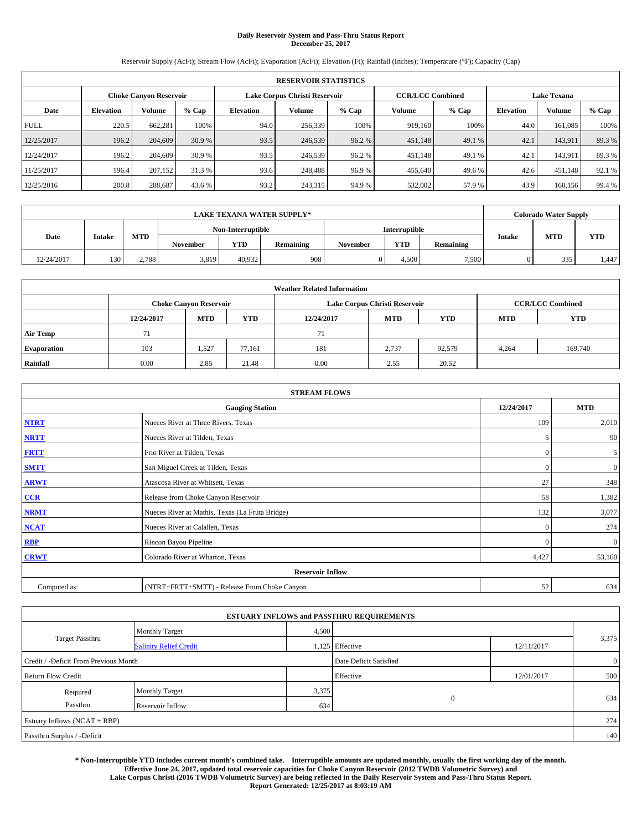# **Daily Reservoir System and Pass-Thru Status Report December 25, 2017**

Reservoir Supply (AcFt); Stream Flow (AcFt); Evaporation (AcFt); Elevation (Ft); Rainfall (Inches); Temperature (°F); Capacity (Cap)

|             | <b>RESERVOIR STATISTICS</b>   |               |        |                               |         |        |                         |         |                    |               |        |
|-------------|-------------------------------|---------------|--------|-------------------------------|---------|--------|-------------------------|---------|--------------------|---------------|--------|
|             | <b>Choke Canvon Reservoir</b> |               |        | Lake Corpus Christi Reservoir |         |        | <b>CCR/LCC Combined</b> |         | <b>Lake Texana</b> |               |        |
| Date        | <b>Elevation</b>              | <b>Volume</b> | % Cap  | Elevation                     | Volume  | % Cap  | Volume                  | $%$ Cap | <b>Elevation</b>   | <b>Volume</b> | % Cap  |
| <b>FULL</b> | 220.5                         | 662,281       | 100%   | 94.0                          | 256,339 | 100%   | 919,160                 | 100%    | 44.0               | 161,085       | 100%   |
| 12/25/2017  | 196.2                         | 204,609       | 30.9 % | 93.5                          | 246,539 | 96.2 % | 451,148                 | 49.1 %  | 42.1               | 143,911       | 89.3%  |
| 12/24/2017  | 196.2                         | 204,609       | 30.9 % | 93.5                          | 246,539 | 96.2%  | 451,148                 | 49.1 %  | 42.1               | 143,911       | 89.3%  |
| 11/25/2017  | 196.4                         | 207,152       | 31.3 % | 93.6                          | 248,488 | 96.9%  | 455,640                 | 49.6 %  | 42.6               | 451,148       | 92.1 % |
| 12/25/2016  | 200.8                         | 288.687       | 43.6 % | 93.2                          | 243,315 | 94.9 % | 532,002                 | 57.9%   | 43.9               | 160,156       | 99.4 % |

|            | <b>LAKE TEXANA WATER SUPPLY*</b> |            |                 |                   |           |          |               |                  |        |            | <b>Colorado Water Supply</b> |  |  |
|------------|----------------------------------|------------|-----------------|-------------------|-----------|----------|---------------|------------------|--------|------------|------------------------------|--|--|
|            |                                  |            |                 | Non-Interruptible |           |          | Interruptible |                  |        |            |                              |  |  |
| Date       | <b>Intake</b>                    | <b>MTD</b> | <b>November</b> | <b>YTD</b>        | Remaining | November | <b>YTD</b>    | <b>Remaining</b> | Intake | <b>MTD</b> | <b>YTD</b>                   |  |  |
| 12/24/2017 | 130                              | 2.788      | 3,819           | 40.932            | 908       |          | 4.500         | 7,500            |        | 335        | 1.447                        |  |  |

| <b>Weather Related Information</b> |            |                               |            |            |                               |                         |            |            |  |  |
|------------------------------------|------------|-------------------------------|------------|------------|-------------------------------|-------------------------|------------|------------|--|--|
|                                    |            | <b>Choke Canyon Reservoir</b> |            |            | Lake Corpus Christi Reservoir | <b>CCR/LCC Combined</b> |            |            |  |  |
|                                    | 12/24/2017 | <b>MTD</b>                    | <b>YTD</b> | 12/24/2017 | <b>MTD</b>                    | <b>YTD</b>              | <b>MTD</b> | <b>YTD</b> |  |  |
| <b>Air Temp</b>                    | 71         |                               |            | 71         |                               |                         |            |            |  |  |
| <b>Evaporation</b>                 | 103        | 1,527                         | 77,161     | 181        | 2,737                         | 92.579                  | 4,264      | 169,740    |  |  |
| Rainfall                           | 0.00       | 2.85                          | 21.48      | 0.00       | 2.55                          | 20.52                   |            |            |  |  |

| <b>STREAM FLOWS</b> |                                                 |              |              |  |  |  |  |  |  |
|---------------------|-------------------------------------------------|--------------|--------------|--|--|--|--|--|--|
|                     | <b>Gauging Station</b>                          | 12/24/2017   | <b>MTD</b>   |  |  |  |  |  |  |
| <b>NTRT</b>         | Nueces River at Three Rivers, Texas             | 109          | 2,010        |  |  |  |  |  |  |
| <b>NRTT</b>         | Nueces River at Tilden, Texas                   | 5            | 90           |  |  |  |  |  |  |
| <b>FRTT</b>         | Frio River at Tilden, Texas                     | $\mathbf{0}$ | 5            |  |  |  |  |  |  |
| <b>SMTT</b>         | San Miguel Creek at Tilden, Texas               | $\mathbf{0}$ | $\mathbf{0}$ |  |  |  |  |  |  |
| <b>ARWT</b>         | Atascosa River at Whitsett, Texas               | 27           | 348          |  |  |  |  |  |  |
| $CCR$               | Release from Choke Canyon Reservoir             | 58           | 1,382        |  |  |  |  |  |  |
| <b>NRMT</b>         | Nueces River at Mathis, Texas (La Fruta Bridge) | 132          | 3,077        |  |  |  |  |  |  |
| <b>NCAT</b>         | Nueces River at Calallen, Texas                 | $\Omega$     | 274          |  |  |  |  |  |  |
| RBP                 | Rincon Bayou Pipeline                           | $\Omega$     | $\mathbf{0}$ |  |  |  |  |  |  |
| <b>CRWT</b>         | Colorado River at Wharton, Texas                | 4,427        | 53,160       |  |  |  |  |  |  |
|                     | <b>Reservoir Inflow</b>                         |              |              |  |  |  |  |  |  |
| Computed as:        | (NTRT+FRTT+SMTT) - Release From Choke Canyon    | 52           | 634          |  |  |  |  |  |  |

| <b>ESTUARY INFLOWS and PASSTHRU REQUIREMENTS</b> |                               |       |                        |                |       |  |  |  |  |  |
|--------------------------------------------------|-------------------------------|-------|------------------------|----------------|-------|--|--|--|--|--|
|                                                  | <b>Monthly Target</b>         | 4,500 |                        |                |       |  |  |  |  |  |
| <b>Target Passthru</b>                           | <b>Salinity Relief Credit</b> |       | 1,125 Effective        | 12/11/2017     | 3,375 |  |  |  |  |  |
| Credit / -Deficit From Previous Month            |                               |       | Date Deficit Satisfied | $\overline{0}$ |       |  |  |  |  |  |
| <b>Return Flow Credit</b>                        |                               |       | Effective              | 12/01/2017     | 500   |  |  |  |  |  |
| Required                                         | Monthly Target                | 3,375 |                        |                |       |  |  |  |  |  |
| Passthru                                         | Reservoir Inflow              | 634   | $\overline{0}$         |                | 634   |  |  |  |  |  |
| Estuary Inflows (NCAT + RBP)                     |                               |       |                        |                | 274   |  |  |  |  |  |
| Passthru Surplus / -Deficit                      |                               |       |                        |                |       |  |  |  |  |  |

**\* Non-Interruptible YTD includes current month's combined take. Interruptible amounts are updated monthly, usually the first working day of the month. Effective June 24, 2017, updated total reservoir capacities for Choke Canyon Reservoir (2012 TWDB Volumetric Survey) and Lake Corpus Christi (2016 TWDB Volumetric Survey) are being reflected in the Daily Reservoir System and Pass-Thru Status Report. Report Generated: 12/25/2017 at 8:03:19 AM**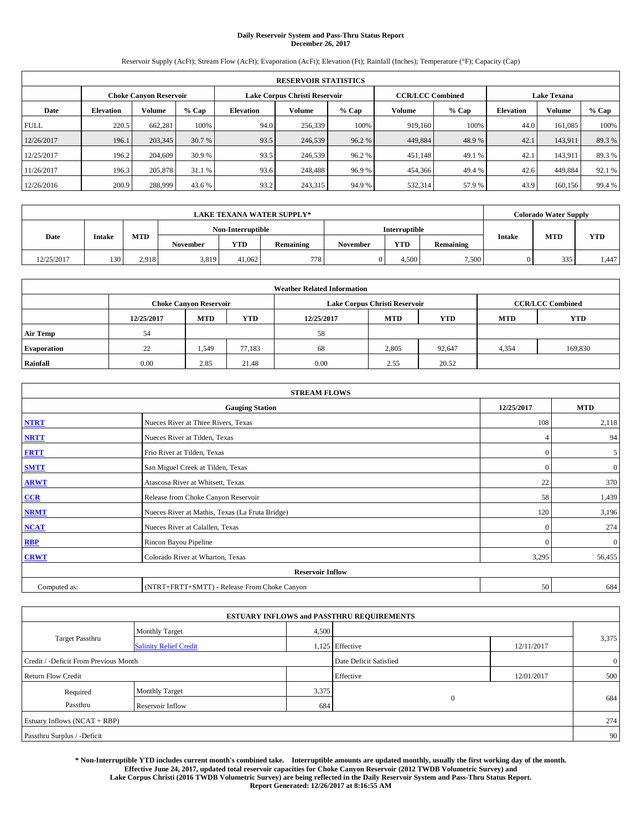# **Daily Reservoir System and Pass-Thru Status Report December 26, 2017**

Reservoir Supply (AcFt); Stream Flow (AcFt); Evaporation (AcFt); Elevation (Ft); Rainfall (Inches); Temperature (°F); Capacity (Cap)

|             | <b>RESERVOIR STATISTICS</b>   |               |        |                               |         |        |                         |         |                    |               |        |
|-------------|-------------------------------|---------------|--------|-------------------------------|---------|--------|-------------------------|---------|--------------------|---------------|--------|
|             | <b>Choke Canyon Reservoir</b> |               |        | Lake Corpus Christi Reservoir |         |        | <b>CCR/LCC Combined</b> |         | <b>Lake Texana</b> |               |        |
| Date        | <b>Elevation</b>              | <b>Volume</b> | % Cap  | <b>Elevation</b>              | Volume  | % Cap  | Volume                  | $%$ Cap | <b>Elevation</b>   | <b>Volume</b> | % Cap  |
| <b>FULL</b> | 220.5                         | 662.281       | 100%   | 94.0                          | 256,339 | 100%   | 919.160                 | 100%    | 44.0               | 161,085       | 100%   |
| 12/26/2017  | 196.1                         | 203,345       | 30.7 % | 93.5                          | 246,539 | 96.2 % | 449,884                 | 48.9%   | 42.1               | 143.911       | 89.3%  |
| 12/25/2017  | 196.2                         | 204,609       | 30.9 % | 93.5                          | 246,539 | 96.2%  | 451,148                 | 49.1 %  | 42.1               | 143,911       | 89.3%  |
| 11/26/2017  | 196.3                         | 205,878       | 31.1 % | 93.6                          | 248,488 | 96.9%  | 454,366                 | 49.4 %  | 42.6               | 449.884       | 92.1 % |
| 12/26/2016  | 200.9                         | 288,999       | 43.6 % | 93.2                          | 243,315 | 94.9 % | 532,314                 | 57.9%   | 43.9               | 160,156       | 99.4 % |

|            | <b>LAKE TEXANA WATER SUPPLY*</b> |            |                   |            |           |          |               |                  |        |            | <b>Colorado Water Supply</b> |  |  |
|------------|----------------------------------|------------|-------------------|------------|-----------|----------|---------------|------------------|--------|------------|------------------------------|--|--|
|            |                                  |            | Non-Interruptible |            |           |          | Interruptible |                  |        |            |                              |  |  |
| Date       | <b>Intake</b>                    | <b>MTD</b> | <b>November</b>   | <b>YTD</b> | Remaining | November | <b>YTD</b>    | <b>Remaining</b> | Intake | <b>MTD</b> | <b>YTD</b>                   |  |  |
| 12/25/2017 | 130                              | 2.918      | 3,819             | 41.062     | 778.      |          | 4.500         | 7,500            |        | 335        | 1.447                        |  |  |

| <b>Weather Related Information</b> |            |                               |            |            |                               |                         |                          |         |  |  |
|------------------------------------|------------|-------------------------------|------------|------------|-------------------------------|-------------------------|--------------------------|---------|--|--|
|                                    |            | <b>Choke Canyon Reservoir</b> |            |            | Lake Corpus Christi Reservoir | <b>CCR/LCC Combined</b> |                          |         |  |  |
|                                    | 12/25/2017 | <b>MTD</b>                    | <b>YTD</b> | 12/25/2017 | <b>MTD</b>                    | YTD.                    | <b>YTD</b><br><b>MTD</b> |         |  |  |
| <b>Air Temp</b>                    | 54         |                               |            | 58         |                               |                         |                          |         |  |  |
| <b>Evaporation</b>                 | 22         | 1,549                         | 77.183     | 68         | 2,805                         | 92.647                  | 4,354                    | 169,830 |  |  |
| Rainfall                           | 0.00       | 2.85                          | 21.48      | 0.00       | 2.55                          | 20.52                   |                          |         |  |  |

| <b>STREAM FLOWS</b> |                                                 |              |              |  |  |  |  |  |  |
|---------------------|-------------------------------------------------|--------------|--------------|--|--|--|--|--|--|
|                     | <b>Gauging Station</b>                          | 12/25/2017   | <b>MTD</b>   |  |  |  |  |  |  |
| <b>NTRT</b>         | Nueces River at Three Rivers, Texas             | 108          | 2,118        |  |  |  |  |  |  |
| <b>NRTT</b>         | Nueces River at Tilden, Texas                   | 4            | 94           |  |  |  |  |  |  |
| <b>FRTT</b>         | Frio River at Tilden, Texas                     | $\mathbf{0}$ | 5            |  |  |  |  |  |  |
| <b>SMTT</b>         | San Miguel Creek at Tilden, Texas               | $\mathbf{0}$ | $\mathbf{0}$ |  |  |  |  |  |  |
| <b>ARWT</b>         | Atascosa River at Whitsett, Texas               | 22           | 370          |  |  |  |  |  |  |
| $CCR$               | Release from Choke Canyon Reservoir             | 58           | 1,439        |  |  |  |  |  |  |
| <b>NRMT</b>         | Nueces River at Mathis, Texas (La Fruta Bridge) | 120          | 3,196        |  |  |  |  |  |  |
| <b>NCAT</b>         | Nueces River at Calallen, Texas                 | $\mathbf{0}$ | 274          |  |  |  |  |  |  |
| RBP                 | Rincon Bayou Pipeline                           | $\Omega$     | $\mathbf{0}$ |  |  |  |  |  |  |
| <b>CRWT</b>         | Colorado River at Wharton, Texas                | 3,295        | 56,455       |  |  |  |  |  |  |
|                     | <b>Reservoir Inflow</b>                         |              |              |  |  |  |  |  |  |
| Computed as:        | (NTRT+FRTT+SMTT) - Release From Choke Canyon    | 50           | 684          |  |  |  |  |  |  |

|                                       |                               |       | <b>ESTUARY INFLOWS and PASSTHRU REQUIREMENTS</b> |            |                |
|---------------------------------------|-------------------------------|-------|--------------------------------------------------|------------|----------------|
|                                       | <b>Monthly Target</b>         | 4,500 |                                                  |            |                |
| <b>Target Passthru</b>                | <b>Salinity Relief Credit</b> |       | 1,125 Effective                                  | 12/11/2017 | 3,375          |
| Credit / -Deficit From Previous Month |                               |       | Date Deficit Satisfied                           |            | $\overline{0}$ |
| <b>Return Flow Credit</b>             |                               |       | Effective                                        | 12/01/2017 | 500            |
| Required                              | Monthly Target                | 3,375 |                                                  |            |                |
| Passthru                              | <b>Reservoir Inflow</b>       |       | $\mathbf{0}$<br>684                              |            | 684            |
| Estuary Inflows (NCAT + RBP)          |                               |       |                                                  |            | 274            |
| Passthru Surplus / -Deficit           |                               |       |                                                  |            | 90             |

**\* Non-Interruptible YTD includes current month's combined take. Interruptible amounts are updated monthly, usually the first working day of the month. Effective June 24, 2017, updated total reservoir capacities for Choke Canyon Reservoir (2012 TWDB Volumetric Survey) and Lake Corpus Christi (2016 TWDB Volumetric Survey) are being reflected in the Daily Reservoir System and Pass-Thru Status Report. Report Generated: 12/26/2017 at 8:16:55 AM**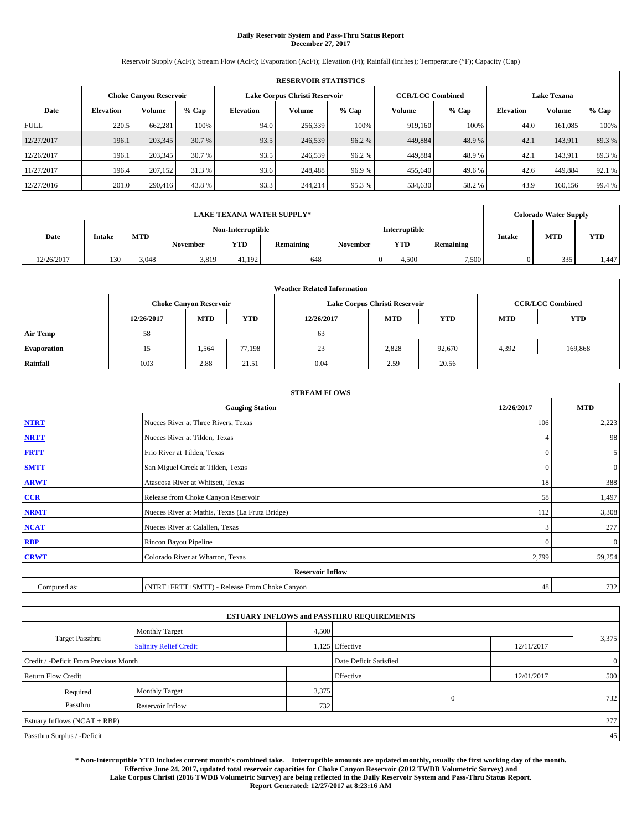# **Daily Reservoir System and Pass-Thru Status Report December 27, 2017**

Reservoir Supply (AcFt); Stream Flow (AcFt); Evaporation (AcFt); Elevation (Ft); Rainfall (Inches); Temperature (°F); Capacity (Cap)

|             | <b>RESERVOIR STATISTICS</b>   |         |        |                               |         |         |                         |         |                    |         |        |
|-------------|-------------------------------|---------|--------|-------------------------------|---------|---------|-------------------------|---------|--------------------|---------|--------|
|             | <b>Choke Canyon Reservoir</b> |         |        | Lake Corpus Christi Reservoir |         |         | <b>CCR/LCC Combined</b> |         | <b>Lake Texana</b> |         |        |
| Date        | <b>Elevation</b>              | Volume  | % Cap  | Elevation                     | Volume  | $%$ Cap | Volume                  | $%$ Cap | <b>Elevation</b>   | Volume  | % Cap  |
| <b>FULL</b> | 220.5                         | 662,281 | 100%   | 94.0                          | 256,339 | 100%    | 919.160                 | 100%    | 44.0               | 161.085 | 100%   |
| 12/27/2017  | 196.1                         | 203,345 | 30.7 % | 93.5                          | 246,539 | 96.2%   | 449,884                 | 48.9%   | 42.1               | 143.911 | 89.3%  |
| 12/26/2017  | 196.1                         | 203,345 | 30.7 % | 93.5                          | 246,539 | 96.2%   | 449,884                 | 48.9 %  | 42.1               | 143.911 | 89.3 % |
| 11/27/2017  | 196.4                         | 207.152 | 31.3 % | 93.6                          | 248,488 | 96.9%   | 455,640                 | 49.6 %  | 42.6               | 449.884 | 92.1 % |
| 12/27/2016  | 201.0                         | 290,416 | 43.8%  | 93.3                          | 244,214 | 95.3%   | 534,630                 | 58.2 %  | 43.9               | 160,156 | 99.4 % |

|            | <b>LAKE TEXANA WATER SUPPLY*</b> |            |                 |                   |           |          |               |                  |        |            | <b>Colorado Water Supply</b> |  |  |
|------------|----------------------------------|------------|-----------------|-------------------|-----------|----------|---------------|------------------|--------|------------|------------------------------|--|--|
|            |                                  |            |                 | Non-Interruptible |           |          | Interruptible |                  |        |            |                              |  |  |
| Date       | <b>Intake</b>                    | <b>MTD</b> | <b>November</b> | <b>YTD</b>        | Remaining | November | <b>YTD</b>    | <b>Remaining</b> | Intake | <b>MTD</b> | <b>YTD</b>                   |  |  |
| 12/26/2017 | 130                              | 3.048      | 3,819           | 41.192            | 648       |          | 4.500         | 7,500            |        | 335        | 1.447                        |  |  |

| <b>Weather Related Information</b> |            |                               |            |            |                                                |                         |       |         |  |
|------------------------------------|------------|-------------------------------|------------|------------|------------------------------------------------|-------------------------|-------|---------|--|
|                                    |            | <b>Choke Canyon Reservoir</b> |            |            | Lake Corpus Christi Reservoir                  | <b>CCR/LCC Combined</b> |       |         |  |
|                                    | 12/26/2017 | <b>MTD</b>                    | <b>YTD</b> | 12/26/2017 | <b>YTD</b><br><b>MTD</b><br>YTD.<br><b>MTD</b> |                         |       |         |  |
| <b>Air Temp</b>                    | 58         |                               |            | 63         |                                                |                         |       |         |  |
| <b>Evaporation</b>                 |            | 1.564                         | 77,198     | 23         | 2.828                                          | 92,670                  | 4,392 | 169,868 |  |
| Rainfall                           | 0.03       | 2.88                          | 21.51      | 0.04       | 2.59                                           | 20.56                   |       |         |  |

| <b>STREAM FLOWS</b> |                                                 |              |                  |  |  |  |  |  |  |
|---------------------|-------------------------------------------------|--------------|------------------|--|--|--|--|--|--|
|                     | <b>Gauging Station</b>                          | 12/26/2017   | <b>MTD</b>       |  |  |  |  |  |  |
| <b>NTRT</b>         | Nueces River at Three Rivers, Texas             | 106          | 2,223            |  |  |  |  |  |  |
| <b>NRTT</b>         | Nueces River at Tilden, Texas                   | 4            | 98               |  |  |  |  |  |  |
| <b>FRTT</b>         | Frio River at Tilden, Texas                     | $\mathbf{0}$ | 5                |  |  |  |  |  |  |
| <b>SMTT</b>         | San Miguel Creek at Tilden, Texas               | $\mathbf{0}$ | $\boldsymbol{0}$ |  |  |  |  |  |  |
| <b>ARWT</b>         | Atascosa River at Whitsett, Texas               | 18           | 388              |  |  |  |  |  |  |
| $CCR$               | Release from Choke Canyon Reservoir             | 58           | 1,497            |  |  |  |  |  |  |
| <b>NRMT</b>         | Nueces River at Mathis, Texas (La Fruta Bridge) | 112          | 3,308            |  |  |  |  |  |  |
| <b>NCAT</b>         | Nueces River at Calallen, Texas                 | 3            | 277              |  |  |  |  |  |  |
| RBP                 | Rincon Bayou Pipeline                           | $\Omega$     | $\mathbf{0}$     |  |  |  |  |  |  |
| <b>CRWT</b>         | Colorado River at Wharton, Texas                | 2,799        | 59,254           |  |  |  |  |  |  |
|                     | <b>Reservoir Inflow</b>                         |              |                  |  |  |  |  |  |  |
| Computed as:        | (NTRT+FRTT+SMTT) - Release From Choke Canyon    | 48           | 732              |  |  |  |  |  |  |

|                                       |                               |       | <b>ESTUARY INFLOWS and PASSTHRU REQUIREMENTS</b> |            |                |
|---------------------------------------|-------------------------------|-------|--------------------------------------------------|------------|----------------|
|                                       | <b>Monthly Target</b>         | 4,500 |                                                  |            |                |
| <b>Target Passthru</b>                | <b>Salinity Relief Credit</b> |       | 1,125 Effective                                  | 12/11/2017 | 3,375          |
| Credit / -Deficit From Previous Month |                               |       | Date Deficit Satisfied                           |            | $\overline{0}$ |
| <b>Return Flow Credit</b>             |                               |       | Effective                                        | 12/01/2017 | 500            |
| Required                              | Monthly Target                | 3,375 |                                                  |            |                |
| Passthru                              | <b>Reservoir Inflow</b>       | 732   | $\mathbf{0}$                                     |            | 732            |
| Estuary Inflows (NCAT + RBP)          |                               |       |                                                  |            | 277            |
| Passthru Surplus / -Deficit           |                               |       |                                                  |            | 45             |

**\* Non-Interruptible YTD includes current month's combined take. Interruptible amounts are updated monthly, usually the first working day of the month. Effective June 24, 2017, updated total reservoir capacities for Choke Canyon Reservoir (2012 TWDB Volumetric Survey) and Lake Corpus Christi (2016 TWDB Volumetric Survey) are being reflected in the Daily Reservoir System and Pass-Thru Status Report. Report Generated: 12/27/2017 at 8:23:16 AM**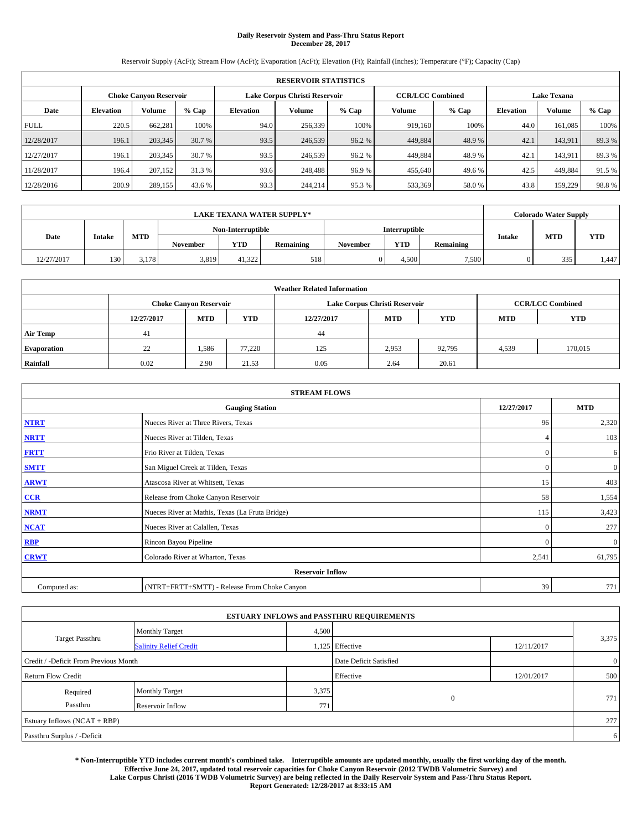# **Daily Reservoir System and Pass-Thru Status Report December 28, 2017**

Reservoir Supply (AcFt); Stream Flow (AcFt); Evaporation (AcFt); Elevation (Ft); Rainfall (Inches); Temperature (°F); Capacity (Cap)

|             | <b>RESERVOIR STATISTICS</b> |                               |        |                               |         |         |                         |         |                    |         |        |
|-------------|-----------------------------|-------------------------------|--------|-------------------------------|---------|---------|-------------------------|---------|--------------------|---------|--------|
|             |                             | <b>Choke Canvon Reservoir</b> |        | Lake Corpus Christi Reservoir |         |         | <b>CCR/LCC Combined</b> |         | <b>Lake Texana</b> |         |        |
| Date        | <b>Elevation</b>            | Volume                        | % Cap  | <b>Elevation</b>              | Volume  | $%$ Cap | Volume                  | $%$ Cap | <b>Elevation</b>   | Volume  | % Cap  |
| <b>FULL</b> | 220.5                       | 662,281                       | 100%   | 94.0                          | 256,339 | 100%    | 919.160                 | 100%    | 44.0               | 161.085 | 100%   |
| 12/28/2017  | 196.1                       | 203,345                       | 30.7 % | 93.5                          | 246,539 | 96.2%   | 449,884                 | 48.9%   | 42.1               | 143.911 | 89.3%  |
| 12/27/2017  | 196.1                       | 203,345                       | 30.7 % | 93.5                          | 246,539 | 96.2%   | 449,884                 | 48.9%   | 42.1               | 143,911 | 89.3%  |
| 11/28/2017  | 196.4                       | 207,152                       | 31.3 % | 93.6                          | 248,488 | 96.9%   | 455,640                 | 49.6 %  | 42.5               | 449.884 | 91.5 % |
| 12/28/2016  | 200.9                       | 289,155                       | 43.6 % | 93.3                          | 244,214 | 95.3%   | 533,369                 | 58.0%   | 43.8               | 159,229 | 98.8%  |

| <b>LAKE TEXANA WATER SUPPLY*</b> |               |            |                 |                   |           |          |               |                  |                      | <b>Colorado Water Supply</b> |            |
|----------------------------------|---------------|------------|-----------------|-------------------|-----------|----------|---------------|------------------|----------------------|------------------------------|------------|
|                                  |               |            |                 | Non-Interruptible |           |          | Interruptible |                  |                      |                              |            |
| Date                             | <b>Intake</b> | <b>MTD</b> | <b>November</b> | <b>YTD</b>        | Remaining | November | <b>YTD</b>    | <b>Remaining</b> | <b>MTD</b><br>Intake |                              | <b>YTD</b> |
| 12/27/2017                       | 130           | 3.178      | 3,819           | 41.322            | 518       |          | 4.500         | 7,500            |                      | 335                          | 1.447      |

| <b>Weather Related Information</b> |            |                               |            |            |                                                      |                         |       |         |  |
|------------------------------------|------------|-------------------------------|------------|------------|------------------------------------------------------|-------------------------|-------|---------|--|
|                                    |            | <b>Choke Canyon Reservoir</b> |            |            | Lake Corpus Christi Reservoir                        | <b>CCR/LCC Combined</b> |       |         |  |
|                                    | 12/27/2017 | <b>MTD</b>                    | <b>YTD</b> | 12/27/2017 | <b>YTD</b><br><b>MTD</b><br><b>YTD</b><br><b>MTD</b> |                         |       |         |  |
| <b>Air Temp</b>                    | 41         |                               |            | 44         |                                                      |                         |       |         |  |
| <b>Evaporation</b>                 | 22         | 1,586                         | 77.220     | 125        | 2,953                                                | 92,795                  | 4,539 | 170,015 |  |
| Rainfall                           | 0.02       | 2.90                          | 21.53      | 0.05       | 2.64                                                 | 20.61                   |       |         |  |

| <b>STREAM FLOWS</b> |                                                 |              |              |  |  |  |  |  |  |
|---------------------|-------------------------------------------------|--------------|--------------|--|--|--|--|--|--|
|                     | <b>Gauging Station</b>                          | 12/27/2017   | <b>MTD</b>   |  |  |  |  |  |  |
| <b>NTRT</b>         | Nueces River at Three Rivers, Texas             | 96           | 2,320        |  |  |  |  |  |  |
| <b>NRTT</b>         | Nueces River at Tilden, Texas                   | 4            | 103          |  |  |  |  |  |  |
| <b>FRTT</b>         | Frio River at Tilden, Texas                     | $\mathbf{0}$ | 6            |  |  |  |  |  |  |
| <b>SMTT</b>         | San Miguel Creek at Tilden, Texas               | $\mathbf{0}$ | $\mathbf{0}$ |  |  |  |  |  |  |
| <b>ARWT</b>         | Atascosa River at Whitsett, Texas               | 15           | 403          |  |  |  |  |  |  |
| $CCR$               | Release from Choke Canyon Reservoir             | 58           | 1,554        |  |  |  |  |  |  |
| <b>NRMT</b>         | Nueces River at Mathis, Texas (La Fruta Bridge) | 115          | 3,423        |  |  |  |  |  |  |
| <b>NCAT</b>         | Nueces River at Calallen, Texas                 | $\mathbf{0}$ | 277          |  |  |  |  |  |  |
| RBP                 | Rincon Bayou Pipeline                           | $\Omega$     | $\mathbf{0}$ |  |  |  |  |  |  |
| <b>CRWT</b>         | Colorado River at Wharton, Texas                | 2,541        | 61,795       |  |  |  |  |  |  |
|                     | <b>Reservoir Inflow</b>                         |              |              |  |  |  |  |  |  |
| Computed as:        | (NTRT+FRTT+SMTT) - Release From Choke Canyon    | 39           | 771          |  |  |  |  |  |  |

|                                       |                               |       | <b>ESTUARY INFLOWS and PASSTHRU REQUIREMENTS</b> |            |                |
|---------------------------------------|-------------------------------|-------|--------------------------------------------------|------------|----------------|
|                                       | <b>Monthly Target</b>         | 4,500 |                                                  |            |                |
| <b>Target Passthru</b>                | <b>Salinity Relief Credit</b> |       | 1,125 Effective                                  | 12/11/2017 | 3,375          |
| Credit / -Deficit From Previous Month |                               |       | Date Deficit Satisfied                           |            | $\overline{0}$ |
| <b>Return Flow Credit</b>             |                               |       | Effective                                        | 12/01/2017 | 500            |
| Required                              | Monthly Target                | 3,375 |                                                  |            |                |
| Passthru                              | <b>Reservoir Inflow</b>       | 771   | $\mathbf{0}$                                     |            | 771            |
| Estuary Inflows (NCAT + RBP)          |                               |       |                                                  |            | 277            |
| Passthru Surplus / -Deficit           |                               |       |                                                  |            | 6              |

**\* Non-Interruptible YTD includes current month's combined take. Interruptible amounts are updated monthly, usually the first working day of the month. Effective June 24, 2017, updated total reservoir capacities for Choke Canyon Reservoir (2012 TWDB Volumetric Survey) and Lake Corpus Christi (2016 TWDB Volumetric Survey) are being reflected in the Daily Reservoir System and Pass-Thru Status Report. Report Generated: 12/28/2017 at 8:33:15 AM**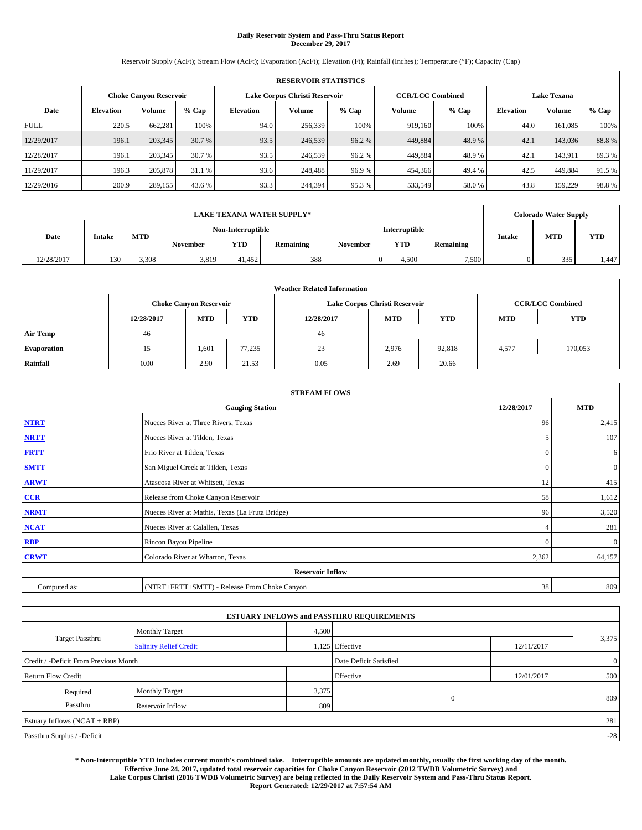# **Daily Reservoir System and Pass-Thru Status Report December 29, 2017**

Reservoir Supply (AcFt); Stream Flow (AcFt); Evaporation (AcFt); Elevation (Ft); Rainfall (Inches); Temperature (°F); Capacity (Cap)

|             | <b>RESERVOIR STATISTICS</b> |                               |        |                               |         |         |                         |        |                    |         |        |
|-------------|-----------------------------|-------------------------------|--------|-------------------------------|---------|---------|-------------------------|--------|--------------------|---------|--------|
|             |                             | <b>Choke Canvon Reservoir</b> |        | Lake Corpus Christi Reservoir |         |         | <b>CCR/LCC Combined</b> |        | <b>Lake Texana</b> |         |        |
| Date        | <b>Elevation</b>            | Volume                        | % Cap  | Elevation                     | Volume  | $%$ Cap | Volume                  | % Cap  | <b>Elevation</b>   | Volume  | % Cap  |
| <b>FULL</b> | 220.5                       | 662.281                       | 100%   | 94.0                          | 256,339 | 100%    | 919.160                 | 100%   | 44.0               | 161.085 | 100%   |
| 12/29/2017  | 196.1                       | 203,345                       | 30.7 % | 93.5                          | 246,539 | 96.2 %  | 449,884                 | 48.9%  | 42.1               | 143,036 | 88.8%  |
| 12/28/2017  | 196.1                       | 203,345                       | 30.7 % | 93.5                          | 246,539 | 96.2%   | 449,884                 | 48.9 % | 42.1               | 143.911 | 89.3 % |
| 11/29/2017  | 196.3                       | 205,878                       | 31.1 % | 93.6                          | 248,488 | 96.9%   | 454,366                 | 49.4 % | 42.5               | 449.884 | 91.5 % |
| 12/29/2016  | 200.9                       | 289,155                       | 43.6 % | 93.3                          | 244,394 | 95.3%   | 533,549                 | 58.0%  | 43.8               | 159,229 | 98.8%  |

| <b>LAKE TEXANA WATER SUPPLY*</b> |               |            |                 |                   |           |               |            |                  |                      | <b>Colorado Water Supply</b> |            |
|----------------------------------|---------------|------------|-----------------|-------------------|-----------|---------------|------------|------------------|----------------------|------------------------------|------------|
|                                  |               |            |                 | Non-Interruptible |           | Interruptible |            |                  |                      |                              |            |
| Date                             | <b>Intake</b> | <b>MTD</b> | <b>November</b> | <b>YTD</b>        | Remaining | November      | <b>YTD</b> | <b>Remaining</b> | <b>MTD</b><br>Intake |                              | <b>YTD</b> |
| 12/28/2017                       | 130           | 3.308      | 3,819           | 41.452            | 388       |               | 4.500      | 7,500            |                      | 335                          | 1.447      |

| <b>Weather Related Information</b> |            |                               |            |            |                               |                                        |       |         |  |  |
|------------------------------------|------------|-------------------------------|------------|------------|-------------------------------|----------------------------------------|-------|---------|--|--|
|                                    |            | <b>Choke Canyon Reservoir</b> |            |            | Lake Corpus Christi Reservoir | <b>CCR/LCC Combined</b>                |       |         |  |  |
|                                    | 12/28/2017 | <b>MTD</b>                    | <b>YTD</b> | 12/28/2017 | <b>MTD</b>                    | <b>YTD</b><br><b>YTD</b><br><b>MTD</b> |       |         |  |  |
| <b>Air Temp</b>                    | 46         |                               |            | 46         |                               |                                        |       |         |  |  |
| <b>Evaporation</b>                 |            | 1,601                         | 77.235     | 23         | 2,976                         | 92,818                                 | 4,577 | 170,053 |  |  |
| Rainfall                           | 0.00       | 2.90                          | 21.53      | 0.05       | 2.69                          | 20.66                                  |       |         |  |  |

| <b>STREAM FLOWS</b> |                                                 |              |                |  |  |  |  |  |  |
|---------------------|-------------------------------------------------|--------------|----------------|--|--|--|--|--|--|
|                     | <b>Gauging Station</b>                          | 12/28/2017   | <b>MTD</b>     |  |  |  |  |  |  |
| <b>NTRT</b>         | Nueces River at Three Rivers, Texas             | 96           | 2,415          |  |  |  |  |  |  |
| <b>NRTT</b>         | Nueces River at Tilden, Texas                   | 5            | 107            |  |  |  |  |  |  |
| <b>FRTT</b>         | Frio River at Tilden, Texas                     | $\mathbf{0}$ | 6              |  |  |  |  |  |  |
| <b>SMTT</b>         | San Miguel Creek at Tilden, Texas               | $\mathbf{0}$ | $\overline{0}$ |  |  |  |  |  |  |
| <b>ARWT</b>         | Atascosa River at Whitsett, Texas               | 12           | 415            |  |  |  |  |  |  |
| $CCR$               | Release from Choke Canyon Reservoir             | 58           | 1,612          |  |  |  |  |  |  |
| <b>NRMT</b>         | Nueces River at Mathis, Texas (La Fruta Bridge) | 96           | 3,520          |  |  |  |  |  |  |
| <b>NCAT</b>         | Nueces River at Calallen, Texas                 |              | 281            |  |  |  |  |  |  |
| <b>RBP</b>          | Rincon Bayou Pipeline                           | $\mathbf{0}$ | $\mathbf{0}$   |  |  |  |  |  |  |
| <b>CRWT</b>         | Colorado River at Wharton, Texas                | 2,362        | 64,157         |  |  |  |  |  |  |
|                     | <b>Reservoir Inflow</b>                         |              |                |  |  |  |  |  |  |
| Computed as:        | (NTRT+FRTT+SMTT) - Release From Choke Canyon    | 38           | 809            |  |  |  |  |  |  |

|                                       |                               |       | <b>ESTUARY INFLOWS and PASSTHRU REQUIREMENTS</b> |            |                |
|---------------------------------------|-------------------------------|-------|--------------------------------------------------|------------|----------------|
|                                       | <b>Monthly Target</b>         | 4,500 |                                                  |            |                |
| <b>Target Passthru</b>                | <b>Salinity Relief Credit</b> |       | 1,125 Effective                                  | 12/11/2017 | 3,375          |
| Credit / -Deficit From Previous Month |                               |       | Date Deficit Satisfied                           |            | $\overline{0}$ |
| <b>Return Flow Credit</b>             |                               |       | Effective                                        | 12/01/2017 | 500            |
| Required                              | Monthly Target                | 3,375 |                                                  |            |                |
| Passthru<br><b>Reservoir Inflow</b>   |                               | 809   | $\mathbf{0}$                                     |            | 809            |
| Estuary Inflows (NCAT + RBP)          |                               |       |                                                  |            | 281            |
| Passthru Surplus / -Deficit           |                               |       |                                                  |            | $-28$          |

**\* Non-Interruptible YTD includes current month's combined take. Interruptible amounts are updated monthly, usually the first working day of the month. Effective June 24, 2017, updated total reservoir capacities for Choke Canyon Reservoir (2012 TWDB Volumetric Survey) and Lake Corpus Christi (2016 TWDB Volumetric Survey) are being reflected in the Daily Reservoir System and Pass-Thru Status Report. Report Generated: 12/29/2017 at 7:57:54 AM**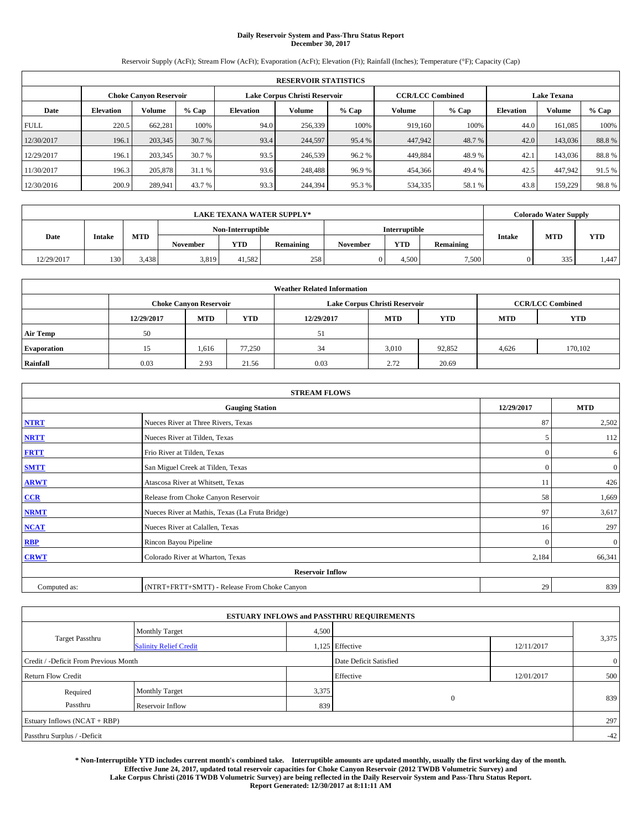# **Daily Reservoir System and Pass-Thru Status Report December 30, 2017**

Reservoir Supply (AcFt); Stream Flow (AcFt); Evaporation (AcFt); Elevation (Ft); Rainfall (Inches); Temperature (°F); Capacity (Cap)

|             | <b>RESERVOIR STATISTICS</b> |                               |        |                               |         |        |                         |         |                    |               |        |  |
|-------------|-----------------------------|-------------------------------|--------|-------------------------------|---------|--------|-------------------------|---------|--------------------|---------------|--------|--|
|             |                             | <b>Choke Canvon Reservoir</b> |        | Lake Corpus Christi Reservoir |         |        | <b>CCR/LCC Combined</b> |         | <b>Lake Texana</b> |               |        |  |
| Date        | <b>Elevation</b>            | <b>Volume</b>                 | % Cap  | Elevation                     | Volume  | % Cap  | Volume                  | $%$ Cap | <b>Elevation</b>   | <b>Volume</b> | % Cap  |  |
| <b>FULL</b> | 220.5                       | 662,281                       | 100%   | 94.0                          | 256,339 | 100%   | 919,160                 | 100%    | 44.0               | 161,085       | 100%   |  |
| 12/30/2017  | 196.1                       | 203,345                       | 30.7 % | 93.4                          | 244,597 | 95.4 % | 447,942                 | 48.7%   | 42.0               | 143,036       | 88.8%  |  |
| 12/29/2017  | 196.1                       | 203,345                       | 30.7 % | 93.5                          | 246,539 | 96.2%  | 449.884                 | 48.9%   | 42.1               | 143,036       | 88.8%  |  |
| 11/30/2017  | 196.3                       | 205,878                       | 31.1 % | 93.6                          | 248,488 | 96.9%  | 454,366                 | 49.4 %  | 42.5               | 447.942       | 91.5 % |  |
| 12/30/2016  | 200.9                       | 289.941                       | 43.7 % | 93.3                          | 244,394 | 95.3 % | 534,335                 | 58.1 %  | 43.8               | 159,229       | 98.8%  |  |

| <b>LAKE TEXANA WATER SUPPLY*</b> |               |            |                   |            |           |               |            | <b>Colorado Water Supply</b> |        |            |            |
|----------------------------------|---------------|------------|-------------------|------------|-----------|---------------|------------|------------------------------|--------|------------|------------|
|                                  |               |            | Non-Interruptible |            |           | Interruptible |            |                              |        |            |            |
| Date                             | <b>Intake</b> | <b>MTD</b> | <b>November</b>   | <b>YTD</b> | Remaining | November      | <b>YTD</b> | <b>Remaining</b>             | Intake | <b>MTD</b> | <b>YTD</b> |
| 12/29/2017                       | 130           | 3.438      | 3,819             | 41.582     | 258       |               | 4.500      | 7,500                        |        | 335        | 1.447      |

| <b>Weather Related Information</b> |            |                               |            |            |                               |                         |            |            |  |
|------------------------------------|------------|-------------------------------|------------|------------|-------------------------------|-------------------------|------------|------------|--|
|                                    |            | <b>Choke Canyon Reservoir</b> |            |            | Lake Corpus Christi Reservoir | <b>CCR/LCC Combined</b> |            |            |  |
|                                    | 12/29/2017 | <b>MTD</b>                    | <b>YTD</b> | 12/29/2017 | <b>MTD</b>                    | <b>YTD</b>              | <b>MTD</b> | <b>YTD</b> |  |
| <b>Air Temp</b>                    | 50         |                               |            | 51         |                               |                         |            |            |  |
| <b>Evaporation</b>                 |            | 1.616                         | 77.250     | 34         | 3,010                         | 92,852                  | 4,626      | 170,102    |  |
| Rainfall                           | 0.03       | 2.93                          | 21.56      | 0.03       | 2.72                          | 20.69                   |            |            |  |

| <b>STREAM FLOWS</b> |                                                 |              |              |  |  |  |  |  |  |
|---------------------|-------------------------------------------------|--------------|--------------|--|--|--|--|--|--|
|                     | <b>Gauging Station</b>                          | 12/29/2017   | <b>MTD</b>   |  |  |  |  |  |  |
| <b>NTRT</b>         | Nueces River at Three Rivers, Texas             | 87           | 2,502        |  |  |  |  |  |  |
| <b>NRTT</b>         | Nueces River at Tilden, Texas                   | 5            | 112          |  |  |  |  |  |  |
| <b>FRTT</b>         | Frio River at Tilden, Texas                     | $\mathbf{0}$ | 6            |  |  |  |  |  |  |
| <b>SMTT</b>         | San Miguel Creek at Tilden, Texas               | $\mathbf{0}$ | $\mathbf{0}$ |  |  |  |  |  |  |
| <b>ARWT</b>         | Atascosa River at Whitsett, Texas               | 11           | 426          |  |  |  |  |  |  |
| $CCR$               | Release from Choke Canyon Reservoir             | 58           | 1,669        |  |  |  |  |  |  |
| <b>NRMT</b>         | Nueces River at Mathis, Texas (La Fruta Bridge) | 97           | 3,617        |  |  |  |  |  |  |
| <b>NCAT</b>         | Nueces River at Calallen, Texas                 | 16           | 297          |  |  |  |  |  |  |
| RBP                 | Rincon Bayou Pipeline                           | $\Omega$     | $\mathbf{0}$ |  |  |  |  |  |  |
| <b>CRWT</b>         | Colorado River at Wharton, Texas                | 2,184        | 66,341       |  |  |  |  |  |  |
|                     | <b>Reservoir Inflow</b>                         |              |              |  |  |  |  |  |  |
| Computed as:        | (NTRT+FRTT+SMTT) - Release From Choke Canyon    |              |              |  |  |  |  |  |  |

|                                       |                               |                        | <b>ESTUARY INFLOWS and PASSTHRU REQUIREMENTS</b> |                |       |
|---------------------------------------|-------------------------------|------------------------|--------------------------------------------------|----------------|-------|
|                                       | <b>Monthly Target</b>         | 4,500                  |                                                  |                |       |
| <b>Target Passthru</b>                | <b>Salinity Relief Credit</b> |                        | 1,125 Effective                                  | 12/11/2017     | 3,375 |
| Credit / -Deficit From Previous Month |                               | Date Deficit Satisfied |                                                  | $\overline{0}$ |       |
| <b>Return Flow Credit</b>             |                               |                        | Effective                                        | 12/01/2017     | 500   |
| Required                              | Monthly Target                | 3,375                  |                                                  |                |       |
| Passthru                              | <b>Reservoir Inflow</b>       | 839                    | $\mathbf{0}$                                     |                | 839   |
| Estuary Inflows (NCAT + RBP)          |                               |                        |                                                  |                | 297   |
| Passthru Surplus / -Deficit           |                               |                        |                                                  |                | $-42$ |

**\* Non-Interruptible YTD includes current month's combined take. Interruptible amounts are updated monthly, usually the first working day of the month. Effective June 24, 2017, updated total reservoir capacities for Choke Canyon Reservoir (2012 TWDB Volumetric Survey) and Lake Corpus Christi (2016 TWDB Volumetric Survey) are being reflected in the Daily Reservoir System and Pass-Thru Status Report. Report Generated: 12/30/2017 at 8:11:11 AM**